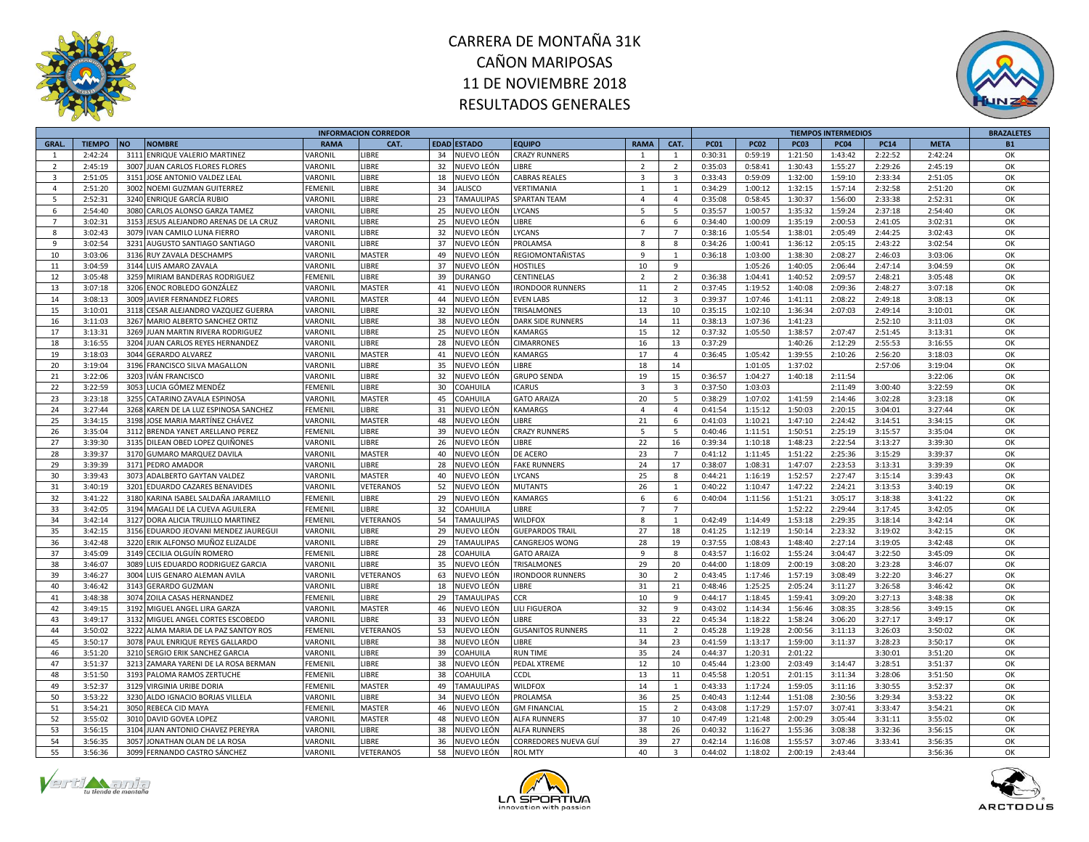



|                |               |           |                                        |                       | <b>INFORMACION CORREDOR</b> |    |                    |                          |                         |                         |             |             |             | <b>TIEMPOS INTERMEDIOS</b> |             |             | <b>BRAZALETES</b> |
|----------------|---------------|-----------|----------------------------------------|-----------------------|-----------------------------|----|--------------------|--------------------------|-------------------------|-------------------------|-------------|-------------|-------------|----------------------------|-------------|-------------|-------------------|
| <b>GRAL</b>    | <b>TIEMPO</b> | <b>NO</b> | <b>NOMBRE</b>                          | <b>RAMA</b>           | CAT.                        |    | <b>EDAD ESTADO</b> | <b>EQUIPO</b>            | <b>RAMA</b>             | CAT.                    | <b>PC01</b> | <b>PC02</b> | <b>PC03</b> | <b>PC04</b>                | <b>PC14</b> | <b>META</b> | <b>B1</b>         |
| $\overline{1}$ | 2:42:24       |           | 3111 ENRIQUE VALERIO MARTINEZ          | VARONIL               | LIBRE                       | 34 | NUEVO LEÓN         | <b>CRAZY RUNNERS</b>     | $\mathbf{1}$            | $\mathbf{1}$            | 0:30:31     | 0:59:19     | 1:21:50     | 1:43:42                    | 2:22:52     | 2:42:24     | OK                |
| $\overline{2}$ | 2:45:19       |           | 3007 JUAN CARLOS FLORES FLORES         | VARONIL               | LIBRE                       | 32 | NUEVO LEÓN         | <b>IBRE</b>              | $\overline{2}$          | $\overline{2}$          | 0:35:03     | 0:58:41     | 1:30:43     | 1:55:27                    | 2:29:26     | 2:45:19     | OK                |
| 3              | 2:51:05       |           | 3151 JOSE ANTONIO VALDEZ LEAL          | VARONIL               | LIBRE                       | 18 | NUEVO LEÓN         | CABRAS REALES            | $\overline{\mathbf{3}}$ | 3                       | 0:33:43     | 0:59:09     | 1:32:00     | 1:59:10                    | 2:33:34     | 2:51:05     | OK                |
| $\overline{a}$ | 2:51:20       |           | 3002 NOEMI GUZMAN GUITERREZ            | FEMENIL               | LIBRE                       | 34 | <b>ALISCO</b>      | VERTIMANIA               | 1                       | 1                       | 0:34:29     | 1:00:12     | 1:32:15     | 1:57:14                    | 2:32:58     | 2:51:20     | OK                |
| -5             | 2:52:31       |           | 3240 ENRIQUE GARCÍA RUBIO              | VARONIL               | LIBRE                       | 23 | <b>TAMAULIPAS</b>  | <b>SPARTAN TEAM</b>      | $\overline{4}$          | $\overline{a}$          | 0:35:08     | 0:58:45     | 1:30:37     | 1:56:00                    | 2:33:38     | 2:52:31     | OK                |
| 6              | 2:54:40       |           | 3080 CARLOS ALONSO GARZA TAMEZ         | VARONIL               | LIBRE                       | 25 | NUEVO LEÓN         | YCANS                    | 5                       | 5                       | 0:35:57     | 1:00:57     | 1:35:32     | 1:59:24                    | 2:37:18     | 2:54:40     | OK                |
| $\overline{7}$ | 3:02:31       |           | 3153 JESUS ALEJANDRO ARENAS DE LA CRUZ | VARONIL               | LIBRE                       | 25 | NUEVO LEÓN         | <b>IBRE</b>              | 6                       | 6                       | 0:34:40     | 1:00:09     | 1:35:19     | 2:00:53                    | 2:41:05     | 3:02:31     | OK                |
| 8              | 3:02:43       |           | 3079 IVAN CAMILO LUNA FIERRO           | <b><i>VARONIL</i></b> | LIBRE                       | 32 | NUEVO LEÓN         | <b>YCANS</b>             | $\overline{7}$          | $\overline{7}$          | 0:38:16     | 1:05:54     | 1:38:01     | 2:05:49                    | 2:44:25     | 3:02:43     | OK                |
| 9              | 3:02:54       |           | 3231 AUGUSTO SANTIAGO SANTIAGO         | VARONIL               | LIBRE                       | 37 | NUEVO LEÓN         | PROLAMSA                 | 8                       | 8                       | 0:34:26     | 1:00:41     | 1:36:12     | 2:05:15                    | 2:43:22     | 3:02:54     | OK                |
| 10             | 3:03:06       |           |                                        |                       |                             |    |                    |                          | $\overline{9}$          |                         |             |             |             |                            |             |             | OK                |
|                |               |           | 3136 RUY ZAVALA DESCHAMPS              | VARONIL               | MASTER                      | 49 | NUEVO LEÓN         | REGIOMONTAÑISTAS         |                         | 1                       | 0:36:18     | 1:03:00     | 1:38:30     | 2:08:27                    | 2:46:03     | 3:03:06     |                   |
| 11             | 3:04:59       |           | 3144 LUIS AMARO ZAVALA                 | VARONIL               | LIBRE                       | 37 | NUEVO LEÓN         | <b>HOSTILES</b>          | 10                      | 9                       |             | 1:05:26     | 1:40:05     | 2:06:44                    | 2:47:14     | 3:04:59     | OK                |
| 12             | 3:05:48       |           | 3259 MIRIAM BANDERAS RODRIGUEZ         | FEMENIL               | LIBRE                       | 39 | <b>DURANGO</b>     | CENTINELAS               | $\overline{2}$          | $\overline{2}$          | 0:36:38     | 1:04:41     | 1:40:52     | 2:09:57                    | 2:48:21     | 3:05:48     | OK                |
| 13             | 3:07:18       |           | 3206 ENOC ROBLEDO GONZÁLEZ             | VARONIL               | MASTER                      | 41 | NUEVO LEÓN         | <b>IRONDOOR RUNNERS</b>  | 11                      | $\overline{2}$          | 0:37:45     | 1:19:52     | 1:40:08     | 2:09:36                    | 2:48:27     | 3:07:18     | OK                |
| 14             | 3:08:13       |           | 3009 JAVIER FERNANDEZ FLORES           | <b><i>VARONIL</i></b> | <b>MASTER</b>               | 44 | NUEVO LEÓN         | <b>EVEN LABS</b>         | 12                      | $\overline{3}$          | 0:39:37     | 1:07:46     | 1:41:11     | 2:08:22                    | 2:49:18     | 3:08:13     | OK                |
| 15             | 3:10:01       |           | 3118 CESAR ALEJANDRO VAZQUEZ GUERRA    | VARONIL               | LIBRE                       | 32 | NUEVO LEÓN         | TRISALMONES              | 13                      | 10                      | 0:35:15     | 1:02:10     | 1:36:34     | 2:07:03                    | 2:49:14     | 3:10:01     | OK                |
| 16             | 3:11:03       |           | 3267 MARIO ALBERTO SANCHEZ ORTIZ       | VARONIL               | LIBRE                       | 38 | NUEVO LEÓN         | DARK SIDE RUNNERS        | 14                      | 11                      | 0:38:13     | 1:07:36     | 1:41:23     |                            | 2:52:10     | 3:11:03     | OK                |
| 17             | 3:13:31       |           | 3269 JUAN MARTIN RIVERA RODRIGUEZ      | VARONIL               | LIBRE                       | 25 | NUEVO LEÓN         | KAMARGS                  | 15                      | 12                      | 0:37:32     | 1:05:50     | 1:38:57     | 2:07:47                    | 2:51:45     | 3:13:31     | OK                |
| 18             | 3:16:55       |           | 3204 JUAN CARLOS REYES HERNANDEZ       | VARONIL               | LIBRE                       | 28 | NUEVO LEÓN         | <b>CIMARRONES</b>        | 16                      | 13                      | 0:37:29     |             | 1:40:26     | 2:12:29                    | 2:55:53     | 3:16:55     | OK                |
| 19             | 3:18:03       |           | 3044 GERARDO ALVAREZ                   | VARONIL               | MASTER                      | 41 | NUEVO LEÓN         | KAMARGS                  | 17                      | $\overline{4}$          | 0:36:45     | 1:05:42     | 1:39:55     | 2:10:26                    | 2:56:20     | 3:18:03     | OK                |
| 20             | 3:19:04       |           | 3196 FRANCISCO SILVA MAGALLON          | VARONIL               | LIBRE                       | 35 | NUEVO LEÓN         | <b>IBRE</b>              | 18                      | 14                      |             | 1:01:05     | 1:37:02     |                            | 2:57:06     | 3:19:04     | OK                |
| 21             | 3:22:06       |           | 3203 IVÁN FRANCISCO                    | VARONIL               | LIBRE                       | 32 | NUEVO LEÓN         | <b>GRUPO SENDA</b>       | 19                      | 15                      | 0:36:57     | 1:04:27     | 1:40:18     | 2:11:54                    |             | 3:22:06     | OK                |
| 22             | 3:22:59       |           | 3053 LUCIA GÓMEZ MENDÉZ                | <b>FEMENIL</b>        | LIBRE                       | 30 | COAHUILA           | CARUS                    | $\overline{\mathbf{3}}$ | $\overline{\mathbf{3}}$ | 0:37:50     | 1:03:03     |             | 2:11:49                    | 3:00:40     | 3:22:59     | OK                |
| 23             | 3:23:18       |           | 3255 CATARINO ZAVALA ESPINOSA          | VARONIL               | MASTER                      | 45 | COAHUILA           | <b>GATO ARAIZA</b>       | 20                      | 5                       | 0:38:29     | 1:07:02     | 1:41:59     | 2:14:46                    | 3:02:28     | 3:23:18     | OK                |
| 24             | 3:27:44       |           | 3268 KAREN DE LA LUZ ESPINOSA SANCHEZ  | <b>FEMENIL</b>        | LIBRE                       | 31 | NUEVO LEÓN         | KAMARGS                  | $\overline{4}$          | $\overline{4}$          | 0:41:54     | 1:15:12     | 1:50:03     | 2:20:15                    | 3:04:01     | 3:27:44     | OK                |
| 25             | 3:34:15       |           | 3198 JOSE MARIA MARTÍNEZ CHÁVEZ        | VARONIL               | MASTER                      | 48 | NUEVO LEÓN         | <b>IBRE</b>              | 21                      | 6                       | 0:41:03     | 1:10:21     | 1:47:10     | 2:24:42                    | 3:14:51     | 3:34:15     | OK                |
| 26             | 3:35:04       |           | 3112 BRENDA YANET ARELLANO PEREZ       | FEMENIL               | LIBRE                       | 39 | NUEVO LEÓN         | <b>CRAZY RUNNERS</b>     | $5^{\circ}$             | 5                       | 0:40:46     | 1:11:51     | 1:50:51     | 2:25:19                    | 3:15:57     | 3:35:04     | OK                |
| 27             | 3:39:30       |           | 3135 DILEAN OBED LOPEZ QUIÑONES        | VARONIL               | LIBRE                       | 26 | NUEVO LEÓN         | <b>IBRE</b>              | 22                      | 16                      | 0:39:34     | 1:10:18     | 1:48:23     | 2:22:54                    | 3:13:27     | 3:39:30     | OK                |
| 28             | 3:39:37       |           | 3170 GUMARO MARQUEZ DAVILA             | VARONIL               | <b>MASTER</b>               | 40 | NUEVO LEÓN         | DE ACERO                 | 23                      | $\overline{7}$          | 0:41:12     | 1:11:45     | 1:51:22     | 2:25:36                    | 3:15:29     | 3:39:37     | OK                |
| 29             | 3:39:39       |           | 3171 PEDRO AMADOR                      | VARONIL               | LIBRE                       | 28 | NUEVO LEÓN         | <b>FAKE RUNNERS</b>      | 24                      | 17                      | 0:38:07     | 1:08:31     | 1:47:07     | 2:23:53                    | 3:13:31     | 3:39:39     | OK                |
| 30             | 3:39:43       |           | 3073 ADALBERTO GAYTAN VALDEZ           | VARONIL               | MASTER                      | 40 | NUEVO LEÓN         | <b>YCANS</b>             | 25                      | 8                       | 0:44:21     | 1:16:19     | 1:52:57     | 2:27:47                    | 3:15:14     | 3:39:43     | OK                |
| 31             | 3:40:19       |           | 3201 EDUARDO CAZARES BENAVIDES         | VARONIL               | VETERANOS                   | 52 | NUEVO LEÓN         | MUTANTS                  | 26                      | $\mathbf{1}$            | 0:40:22     | 1:10:47     | 1:47:22     | 2:24:21                    | 3:13:53     | 3:40:19     | OK                |
| 32             | 3:41:22       |           | 3180 KARINA ISABEL SALDAÑA JARAMILLO   | FEMENIL               | LIBRE                       | 29 | NUEVO LEÓN         | <b>KAMARGS</b>           | 6                       | 6                       | 0:40:04     | 1:11:56     | 1:51:21     | 3:05:17                    | 3:18:38     | 3:41:22     | OK                |
| 33             | 3:42:05       |           | 3194 MAGALI DE LA CUEVA AGUILERA       | FEMENIL               | LIBRE                       | 32 | COAHUILA           | <b>IBRE</b>              | $\overline{7}$          | $\overline{7}$          |             |             | 1:52:22     | 2:29:44                    | 3:17:45     | 3:42:05     | OK                |
| 34             | 3:42:14       |           | 3127 DORA ALICIA TRUJILLO MARTINEZ     | FEMENIL               | VETERANOS                   | 54 | <b>TAMAULIPAS</b>  | WILDFOX                  | 8                       | 1                       | 0:42:49     | 1:14:49     | 1:53:18     | 2:29:35                    | 3:18:14     | 3:42:14     | OK                |
| 35             | 3:42:15       |           | 3156 EDUARDO JEOVANI MENDEZ JAUREGUI   | <b><i>VARONIL</i></b> | LIBRE                       | 29 | NUEVO LEÓN         | <b>GUEPARDOS TRAIL</b>   | 27                      | 18                      | 0:41:25     | 1:12:19     | 1:50:14     | 2:23:32                    | 3:19:02     | 3:42:15     | OK                |
| 36             | 3:42:48       |           | 3220 ERIK ALFONSO MUÑOZ ELIZALDE       | VARONIL               | LIBRE                       | 29 | <b>TAMAULIPAS</b>  | CANGREJOS WONG           | 28                      | 19                      | 0:37:55     | 1:08:43     | 1:48:40     | 2:27:14                    | 3:19:05     | 3:42:48     | OK                |
| 37             | 3:45:09       |           | 3149 CECILIA OLGUÍN ROMERO             | FEMENIL               | LIBRE                       | 28 | COAHUILA           | <b>GATO ARAIZA</b>       | 9                       | 8                       | 0:43:57     | 1:16:02     | 1:55:24     | 3:04:47                    | 3:22:50     | 3:45:09     | OK                |
| 38             | 3:46:07       |           |                                        | VARONIL               | LIBRE                       | 35 | NUEVO LEÓN         | TRISALMONES              | 29                      | 20                      | 0:44:00     | 1:18:09     | 2:00:19     | 3:08:20                    | 3:23:28     | 3:46:07     | OK                |
|                |               |           | 3089 LUIS EDUARDO RODRIGUEZ GARCIA     |                       |                             |    |                    |                          |                         |                         |             |             |             |                            |             |             |                   |
| 39             | 3:46:27       |           | 3004 LUIS GENARO ALEMAN AVILA          | VARONIL               | VETERANOS                   | 63 | NUEVO LEÓN         | <b>IRONDOOR RUNNERS</b>  | 30                      | $\overline{2}$          | 0:43:45     | 1:17:46     | 1:57:19     | 3:08:49                    | 3:22:20     | 3:46:27     | OK                |
| 40             | 3:46:42       |           | 3143 GERARDO GUZMAN                    | VARONIL               | LIBRE                       | 18 | NUEVO LEÓN         | <b>IBRE</b>              | 31                      | 21                      | 0:48:46     | 1:25:25     | 2:05:24     | 3:11:27                    | 3:26:58     | 3:46:42     | OK                |
| 41             | 3:48:38       |           | 3074 ZOILA CASAS HERNANDEZ             | <b>FEMENIL</b>        | LIBRE                       | 29 | <b>TAMAULIPAS</b>  | CR                       | 10                      | $\mathbf{q}$            | 0:44:17     | 1:18:45     | 1:59:41     | 3:09:20                    | 3:27:13     | 3:48:38     | OK                |
| 42             | 3:49:15       |           | 3192 MIGUEL ANGEL LIRA GARZA           | VARONIL               | MASTER                      | 46 | NUEVO LEÓN         | LILI FIGUEROA            | 32                      | 9                       | 0:43:02     | 1:14:34     | 1:56:46     | 3:08:35                    | 3:28:56     | 3:49:15     | OK                |
| 43             | 3:49:17       |           | 3132 MIGUEL ANGEL CORTES ESCOBEDO      | VARONIL               | <b>IBRE</b>                 | 33 | NUEVO LEÓN         | <b>IBRE</b>              | 33                      | 22                      | 0:45:34     | 1:18:22     | 1:58:24     | 3:06:20                    | 3:27:17     | 3:49:17     | OK                |
| 44             | 3:50:02       |           | 3222 ALMA MARIA DE LA PAZ SANTOY ROS   | FEMENIL               | VETERANOS                   | 53 | NUEVO LEÓN         | <b>GUSANITOS RUNNERS</b> | 11                      | 2                       | 0:45:28     | 1:19:28     | 2:00:56     | 3:11:13                    | 3:26:03     | 3:50:02     | OK                |
| 45             | 3:50:17       |           | 3078 PAUL ENRIQUE REYES GALLARDO       | <b><i>VARONIL</i></b> | LIBRE                       | 38 | NUEVO LEÓN         | <b>IBRE</b>              | 34                      | 23                      | 0:41:59     | 1:13:17     | 1:59:00     | 3:11:37                    | 3:28:23     | 3:50:17     | OK                |
| 46             | 3:51:20       |           | 3210 SERGIO ERIK SANCHEZ GARCIA        | VARONIL               | LIBRE                       | 39 | COAHUILA           | RUN TIME                 | 35                      | 24                      | 0:44:37     | 1:20:31     | 2:01:22     |                            | 3:30:01     | 3:51:20     | OK                |
| 47             | 3:51:37       |           | 3213 ZAMARA YARENI DE LA ROSA BERMAN   | <b>FEMENIL</b>        | LIBRE                       | 38 | NUEVO LEÓN         | PEDAL XTREME             | 12                      | 10                      | 0:45:44     | 1:23:00     | 2:03:49     | 3:14:47                    | 3:28:51     | 3:51:37     | OK                |
| 48             | 3:51:50       |           | 3193 PALOMA RAMOS ZERTUCHE             | FEMENIL               | LIBRE                       | 38 | COAHUILA           | COL                      | 13                      | 11                      | 0:45:58     | 1:20:51     | 2:01:15     | 3:11:34                    | 3:28:06     | 3:51:50     | OK                |
| 49             | 3:52:37       |           | 3129 VIRGINIA URIBE DORIA              | FEMENIL               | MASTER                      | 49 | <b>TAMAULIPAS</b>  | WILDFOX                  | 14                      | $\mathbf{1}$            | 0:43:33     | 1:17:24     | 1:59:05     | 3:11:16                    | 3:30:55     | 3:52:37     | OK                |
| 50             | 3:53:22       |           | 3230 ALDO IGNACIO BORJAS VILLELA       | VARONIL               | LIBRE                       | 34 | NUEVO LEÓN         | PROLAMSA                 | 36                      | 25                      | 0:40:43     | 1:12:44     | 1:51:08     | 2:30:56                    | 3:29:34     | 3:53:22     | OK                |
| 51             | 3:54:21       |           | 3050 REBECA CID MAYA                   | FEMENIL               | MASTER                      | 46 | NUEVO LEÓN         | <b>GM FINANCIAL</b>      | 15                      | $\overline{2}$          | 0:43:08     | 1:17:29     | 1:57:07     | 3:07:41                    | 3:33:47     | 3:54:21     | OK                |
| 52             | 3:55:02       |           | 3010 DAVID GOVEA LOPEZ                 | VARONIL               | MASTER                      | 48 | IUEVO LEÓN         | ALFA RUNNERS             | 37                      | 10                      | 0:47:49     | 1:21:48     | 2:00:29     | 3:05:44                    | 3:31:11     | 3:55:02     | OK                |
| 53             | 3:56:15       |           | 3104 JUAN ANTONIO CHAVEZ PEREYRA       | VARONIL               | <b>IBRE</b>                 | 38 | NUEVO LEÓN         | <b>ALFA RUNNERS</b>      | 38                      | 26                      | 0:40:32     | 1:16:27     | 1:55:36     | 3:08:38                    | 3:32:36     | 3:56:15     | OK                |
| 54             | 3:56:35       |           | 3057 JONATHAN OLAN DE LA ROSA          | VARONIL               | LIBRE                       | 36 | NUEVO LEÓN         | CORREDORES NUEVA GUÍ     | 39                      | 27                      | 0:42:14     | 1:16:08     | 1:55:57     | 3:07:46                    | 3:33:41     | 3:56:35     | OK                |
| 55             | 3:56:36       |           | 3099 FERNANDO CASTRO SÁNCHEZ           | VARONIL               | VETERANOS                   | 58 | NUEVO LEÓN         | <b>ROL MTY</b>           | 40                      | $\overline{3}$          | 0:44:02     | 1:18:02     | 2:00:19     | 2:43:44                    |             | 3:56:36     | OK                |





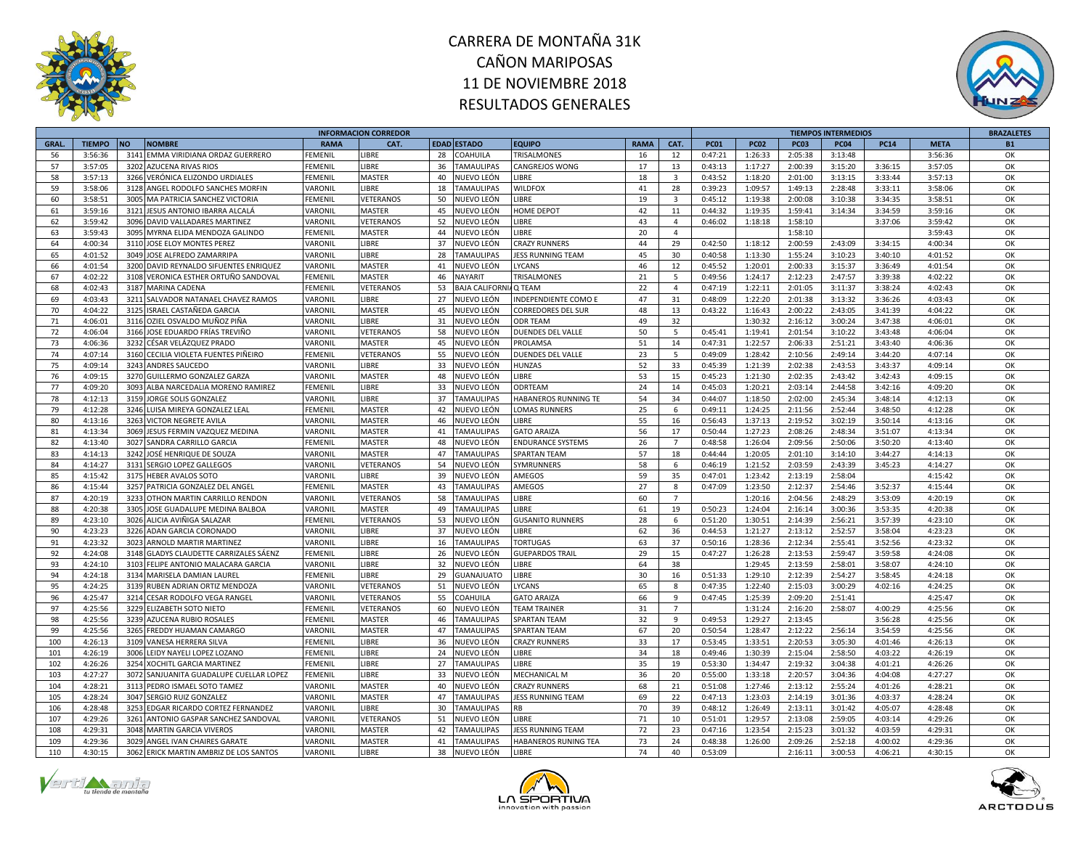



|              |               |                                         |                | <b>INFORMACION CORREDOR</b> |    |                      |                           |             |                         |             |             |             | <b>TIEMPOS INTERMEDIOS</b> |             |             | <b>BRAZALETES</b> |
|--------------|---------------|-----------------------------------------|----------------|-----------------------------|----|----------------------|---------------------------|-------------|-------------------------|-------------|-------------|-------------|----------------------------|-------------|-------------|-------------------|
| <b>GRAL.</b> | <b>TIEMPO</b> | <b>NO</b><br><b>NOMBRE</b>              | <b>RAMA</b>    | CAT.                        |    | <b>EDAD ESTADO</b>   | <b>EQUIPO</b>             | <b>RAMA</b> | CAT.                    | <b>PC01</b> | <b>PC02</b> | <b>PC03</b> | <b>PC04</b>                | <b>PC14</b> | <b>META</b> | <b>B1</b>         |
| 56           | 3:56:36       | 3141 EMMA VIRIDIANA ORDAZ GUERRERO      | FEMENIL        | <b>IBRE</b>                 | 28 | COAHUILA             | <b>TRISALMONES</b>        | 16          | 12                      | 0:47:21     | 1:26:33     | 2:05:38     | 3:13:48                    |             | 3:56:36     | OK                |
| 57           | 3:57:05       | 3202<br><b>AZUCENA RIVAS RIOS</b>       | FEMENIL        | LIBRE                       | 36 | <b>TAMAULIPAS</b>    | <b>CANGREJOS WONG</b>     | 17          | 13                      | 0:43:13     | 1:17:27     | 2:00:39     | 3:15:20                    | 3:36:15     | 3:57:05     | OK                |
| 58           | 3:57:13       | 3266 VERÓNICA ELIZONDO URDIALES         | <b>FEMENIL</b> | MASTER                      | 40 | NUEVO LEÓN           | LIBRE                     | 18          | $\overline{\mathbf{3}}$ | 0:43:52     | 1:18:20     | 2:01:00     | 3:13:15                    | 3:33:44     | 3:57:13     | OK                |
| 59           | 3:58:06       | 3128 ANGEL RODOLFO SANCHES MORFIN       | VARONIL        | LIBRE                       | 18 | <b>TAMAULIPAS</b>    | <b>WILDFOX</b>            | 41          | 28                      | 0:39:23     | 1:09:57     | 1:49:13     | 2:28:48                    | 3:33:11     | 3:58:06     | OK                |
| 60           | 3:58:51       | 3005<br>MA PATRICIA SANCHEZ VICTORIA    | FEMENIL        | VETERANOS                   | 50 | NUEVO LEÓN           | <b>IBRE</b>               | 19          | $\overline{\mathbf{3}}$ | 0:45:12     | 1:19:38     | 2:00:08     | 3:10:38                    | 3:34:35     | 3:58:51     | OK                |
| 61           | 3:59:16       | 3121 JESUS ANTONIO IBARRA ALCALÁ        | VARONIL        | <b>MASTER</b>               | 45 | NUEVO LEÓN           | HOME DEPOT                | 42          | 11                      | 0:44:32     | 1:19:35     | 1:59:41     | 3:14:34                    | 3:34:59     | 3:59:16     | OK                |
| 62           | 3:59:42       | 3096 DAVID VALLADARES MARTINEZ          | VARONIL        | VETERANOS                   | 52 | NUEVO LEÓN           | <b>IBRE</b>               | 43          | $\overline{4}$          | 0:46:02     | 1:18:18     | 1:58:10     |                            | 3:37:06     | 3:59:42     | OK                |
| 63           | 3:59:43       | 3095 MYRNA ELIDA MENDOZA GALINDO        | <b>FEMENIL</b> | <b>MASTER</b>               | 44 | NUEVO LEÓN           | <b>IBRE</b>               | 20          | $\overline{4}$          |             |             | 1:58:10     |                            |             | 3:59:43     | OK                |
|              | 4:00:34       |                                         |                | <b>JBRE</b>                 | 37 |                      |                           |             |                         |             |             |             |                            |             |             | OK                |
| 64           |               | 3110 JOSE ELOY MONTES PEREZ             | VARONIL        |                             |    | NUEVO LEÓN           | <b>CRAZY RUNNERS</b>      | 44          | 29                      | 0:42:50     | 1:18:12     | 2:00:59     | 2:43:09                    | 3:34:15     | 4:00:34     |                   |
| 65           | 4:01:52       | 3049<br>JOSE ALFREDO ZAMARRIPA          | VARONII        | <b>LIBRE</b>                | 28 | <b>TAMAULIPAS</b>    | <b>JESS RUNNING TEAM</b>  | 45          | 30                      | 0:40:58     | 1:13:30     | 1:55:24     | 3:10:23                    | 3:40:10     | 4:01:52     | OK                |
| 66           | 4:01:54       | 3200 DAVID REYNALDO SIFUENTES ENRIQUEZ  | VARONIL        | <b>MASTER</b>               | 41 | NUEVO LEÓN           | LYCANS                    | 46          | 12                      | 0:45:52     | 1:20:01     | 2:00:33     | 3:15:37                    | 3:36:49     | 4:01:54     | OK                |
| 67           | 4:02:22       | 3108 VERONICA ESTHER ORTUÑO SANDOVAL    | FEMENIL        | MASTER                      | 46 | VAYARIT              | TRISALMONES               | 21          | 5                       | 0:49:56     | 1:24:17     | 2:12:23     | 2:47:57                    | 3:39:38     | 4:02:22     | OK                |
| 68           | 4:02:43       | 3187<br><b>MARINA CADENA</b>            | FEMENIL        | VETERANOS                   | 53 | <b>BAJA CALIFORN</b> | Q TEAM                    | 22          | $\overline{4}$          | 0:47:19     | 1:22:11     | 2:01:05     | 3:11:37                    | 3:38:24     | 4:02:43     | OK                |
| 69           | 4:03:43       | 3211 SALVADOR NATANAEL CHAVEZ RAMOS     | VARONIL        | <b>IBRE</b>                 | 27 | NUEVO LEÓN           | INDEPENDIENTE COMO E      | 47          | 31                      | 0:48:09     | 1:22:20     | 2:01:38     | 3:13:32                    | 3:36:26     | 4:03:43     | OK                |
| 70           | 4:04:22       | 3125 ISRAEL CASTAÑEDA GARCIA            | VARONIL        | <b>MASTER</b>               | 45 | NUEVO LEÓN           | <b>CORREDORES DEL SUR</b> | 48          | 13                      | 0:43:22     | 1:16:43     | 2:00:22     | 2:43:05                    | 3:41:39     | 4:04:22     | OK                |
| 71           | 4:06:01       | 3116 OZIEL OSVALDO MUÑOZ PIÑA           | VARONIL        | <b>LIBRE</b>                | 31 | NUEVO LEÓN           | <b>ODR TEAM</b>           | 49          | 32                      |             | 1:30:32     | 2:16:12     | 3:00:24                    | 3:47:38     | 4:06:01     | OK                |
| 72           | 4:06:04       | 3166 JOSE EDUARDO FRÍAS TREVIÑO         | VARONIL        | VETERANOS                   | 58 | NUEVO LEÓN           | <b>DUENDES DEL VALLE</b>  | 50          | 5                       | 0:45:41     | 1:19:41     | 2:01:54     | 3:10:22                    | 3:43:48     | 4:06:04     | OK                |
| 73           | 4:06:36       | 3232 CÉSAR VELÁZQUEZ PRADO              | VARONIL        | <b>MASTER</b>               | 45 | NUEVO LEÓN           | PROLAMSA                  | 51          | 14                      | 0:47:31     | 1:22:57     | 2:06:33     | 2:51:21                    | 3:43:40     | 4:06:36     | OK                |
| 74           | 4:07:14       | 3160 CECILIA VIOLETA FUENTES PIÑEIRO    | FEMENIL        | VETERANOS                   | 55 | NUEVO LEÓN           | DUENDES DEL VALLE         | 23          | $5^{\circ}$             | 0:49:09     | 1:28:42     | 2:10:56     | 2:49:14                    | 3:44:20     | 4:07:14     | OK                |
| 75           | 4:09:14       | 3243 ANDRES SAUCEDO                     | VARONII        | <b>JBRE</b>                 | 33 | NUEVO LEÓN           | <b>HUNZAS</b>             | 52          | 33                      | 0:45:39     | 1:21:39     | 2:02:38     | 2:43:53                    | 3:43:37     | 4:09:14     | OK                |
| 76           | 4:09:15       | 3270 GUILLERMO GONZALEZ GARZA           | VARONIL        | <b>MASTER</b>               | 48 | NUEVO LEÓN           | <b>IBRE</b>               | 53          | 15                      | 0:45:23     | 1:21:30     | 2:02:35     | 2:43:42                    | 3:42:43     | 4:09:15     | OK                |
| 77           | 4:09:20       | 3093 ALBA NARCEDALIA MORENO RAMIREZ     | <b>FEMENIL</b> | LIBRE                       | 33 | NUEVO LEÓN           | ODRTEAM                   | 24          | 14                      | 0:45:03     | 1:20:21     | 2:03:14     | 2:44:58                    | 3:42:16     | 4:09:20     | OK                |
| 78           | 4:12:13       | 3159 JORGE SOLIS GONZALEZ               | VARONIL        | <b>IBRE</b>                 | 37 | <b>TAMAULIPAS</b>    | HABANEROS RUNNING TE      | 54          | 34                      | 0:44:07     | 1:18:50     | 2:02:00     | 2:45:34                    | 3:48:14     | 4:12:13     | OK                |
| 79           | 4:12:28       | 3246 LUISA MIREYA GONZALEZ LEAL         | FEMENIL        | MASTER                      | 42 | NUEVO LEÓN           | <b>LOMAS RUNNERS</b>      | 25          | 6                       | 0:49:11     | 1:24:25     | 2:11:56     | 2:52:44                    | 3:48:50     | 4:12:28     | OK                |
| 80           | 4:13:16       | 3263 VICTOR NEGRETE AVILA               | VARONIL        | <b>MASTER</b>               | 46 | NUEVO LEÓN           | <b>IBRE</b>               | 55          | 16                      | 0:56:43     | 1:37:13     | 2:19:52     | 3:02:19                    | 3:50:14     | 4:13:16     | OK                |
| 81           | 4:13:34       | 3069 JESUS FERMIN VAZQUEZ MEDINA        | VARONIL        | MASTER                      | 41 | <b>TAMAULIPAS</b>    | <b>GATO ARAIZA</b>        | 56          | 17                      | 0:50:44     | 1:27:23     | 2:08:26     | 2:48:34                    | 3:51:07     | 4:13:34     | OK                |
| 82           | 4:13:40       | 3027<br>SANDRA CARRILLO GARCIA          | FEMENIL        | MASTER                      | 48 | IUEVO LEÓN           | <b>ENDURANCE SYSTEMS</b>  | 26          | $\overline{7}$          | 0:48:58     | 1:26:04     | 2:09:56     | 2:50:06                    | 3:50:20     | 4:13:40     | OK                |
| 83           | 4:14:13       | 3242 JOSÉ HENRIQUE DE SOUZA             | VARONIL        | MASTER                      | 47 | <b>TAMAULIPAS</b>    | SPARTAN TEAM              | 57          | 18                      | 0:44:44     | 1:20:05     | 2:01:10     | 3:14:10                    | 3:44:27     | 4:14:13     | OK                |
| 84           | 4:14:27       | 3131 SERGIO LOPEZ GALLEGOS              | VARONIL        | VETERANOS                   | 54 | NUEVO LEÓN           | SYMRUNNERS                | 58          | 6                       | 0:46:19     | 1:21:52     | 2:03:59     | 2:43:39                    | 3:45:23     | 4:14:27     | OK                |
| 85           | 4:15:42       | 3175<br><b>HEBER AVALOS SOTO</b>        | VARONIL        | LIBRE                       | 39 | NUEVO LEÓN           | AMEGOS                    | 59          | 35                      | 0:47:01     | 1:23:42     | 2:13:19     | 2:58:04                    |             | 4:15:42     | OK                |
| 86           | 4:15:44       |                                         |                |                             | 43 |                      |                           | 27          |                         | 0:47:09     | 1:23:50     | 2:12:37     |                            | 3:52:37     | 4:15:44     | OK                |
|              |               | 3257 PATRICIA GONZALEZ DEL ANGEL        | FEMENIL        | MASTER                      |    | TAMAULIPAS           | AMEGOS                    |             | 8                       |             |             |             | 2:54:46                    |             |             |                   |
| 87           | 4:20:19       | 3233<br>OTHON MARTIN CARRILLO RENDON    | VARONIL        | VETERANOS                   | 58 | <b>TAMAULIPAS</b>    | <b>IBRE</b>               | 60          | $\overline{7}$          |             | 1:20:16     | 2:04:56     | 2:48:29                    | 3:53:09     | 4:20:19     | OK                |
| 88           | 4:20:38       | 3305<br>JOSE GUADALUPE MEDINA BALBOA    | VARONIL        | MASTER                      | 49 | TAMAULIPAS           | <b>IBRE</b>               | 61          | 19                      | 0:50:23     | 1:24:04     | 2:16:14     | 3:00:36                    | 3:53:35     | 4:20:38     | OK                |
| 89           | 4:23:10       | 3026 ALICIA AVIÑIGA SALAZAR             | <b>FEMENIL</b> | VETERANOS                   | 53 | NUEVO LEÓN           | <b>GUSANITO RUNNERS</b>   | 28          | 6                       | 0:51:20     | 1:30:51     | 2:14:39     | 2:56:21                    | 3:57:39     | 4:23:10     | OK                |
| 90           | 4:23:23       | 3226 ADAN GARCIA CORONADO               | VARONIL        | <b>LIBRE</b>                | 37 | NUEVO LEÓN           | <b>IBRE</b>               | 62          | 36                      | 0:44:53     | 1:21:27     | 2:13:12     | 2:52:57                    | 3:58:04     | 4:23:23     | OK                |
| 91           | 4:23:32       | 3023 ARNOLD MARTIR MARTINEZ             | VARONIL        | LIBRE                       | 16 | TAMAULIPAS           | <b>TORTUGAS</b>           | 63          | 37                      | 0:50:16     | 1:28:36     | 2:12:34     | 2:55:41                    | 3:52:56     | 4:23:32     | OK                |
| 92           | 4:24:08       | 3148 GLADYS CLAUDETTE CARRIZALES SÁENZ  | FEMENIL        | <b>LIBRE</b>                | 26 | NUEVO LEÓN           | <b>GUEPARDOS TRAIL</b>    | 29          | 15                      | 0:47:27     | 1:26:28     | 2:13:53     | 2:59:47                    | 3:59:58     | 4:24:08     | OK                |
| 93           | 4:24:10       | 3103<br>FELIPE ANTONIO MALACARA GARCIA  | VARONIL        | LIBRE                       | 32 | NUEVO LEÓN           | <b>IBRE</b>               | 64          | 38                      |             | 1:29:45     | 2:13:59     | 2:58:01                    | 3:58:07     | 4:24:10     | OK                |
| 94           | 4:24:18       | 3134 MARISELA DAMIAN LAUREL             | FEMENIL        | <b>LIBRE</b>                | 29 | <b>GUANAJUATO</b>    | <b>IBRE</b>               | 30          | 16                      | 0:51:33     | 1:29:10     | 2:12:39     | 2:54:27                    | 3:58:45     | 4:24:18     | OK                |
| 95           | 4:24:25       | 3139 RUBEN ADRIAN ORTIZ MENDOZA         | VARONIL        | VETERANOS                   | 51 | NUEVO LEÓN           | LYCANS                    | 65          | 8                       | 0:47:35     | 1:22:40     | 2:15:03     | 3:00:29                    | 4:02:16     | 4:24:25     | OK                |
| 96           | 4:25:47       | 3214 CESAR RODOLFO VEGA RANGEL          | VARONIL        | VETERANOS                   | 55 | COAHUILA             | <b>GATO ARAIZA</b>        | 66          | $\mathbf{q}$            | 0:47:45     | 1:25:39     | 2:09:20     | 2:51:41                    |             | 4:25:47     | OK                |
| 97           | 4:25:56       | 3229 ELIZABETH SOTO NIETO               | FEMENIL        | VETERANOS                   | 60 | NUEVO LEÓN           | <b>TEAM TRAINER</b>       | 31          | $\overline{7}$          |             | 1:31:24     | 2:16:20     | 2:58:07                    | 4:00:29     | 4:25:56     | OK                |
| 98           | 4:25:56       | 3239 AZUCENA RUBIO ROSALES              | FEMENIL        | MASTER                      | 46 | <b>TAMAULIPAS</b>    | <b>SPARTAN TEAM</b>       | 32          | 9                       | 0:49:53     | 1:29:27     | 2:13:45     |                            | 3:56:28     | 4:25:56     | OK                |
| 99           | 4:25:56       | 3265 FREDDY HUAMAN CAMARGO              | VARONIL        | <b>MASTER</b>               | 47 | <b>TAMAULIPAS</b>    | <b>SPARTAN TEAM</b>       | 67          | 20                      | 0:50:54     | 1:28:47     | 2:12:22     | 2:56:14                    | 3:54:59     | 4:25:56     | OK                |
| 100          | 4:26:13       | 3109 VANESA HERRERA SILVA               | <b>FEMENIL</b> | <b>IBRE</b>                 | 36 | NUEVO LEÓN           | <b>CRAZY RUNNERS</b>      | 33          | 17                      | 0:53:45     | 1:33:51     | 2:20:53     | 3:05:30                    | 4:01:46     | 4:26:13     | OK                |
| 101          | 4:26:19       | 3006 LEIDY NAYELI LOPEZ LOZANO          | FEMENIL        | <b>LIBRE</b>                | 24 | NUEVO LEÓN           | <b>IBRE</b>               | 34          | 18                      | 0:49:46     | 1:30:39     | 2:15:04     | 2:58:50                    | 4:03:22     | 4:26:19     | OK                |
| 102          | 4:26:26       | 3254 XOCHITL GARCIA MARTINEZ            | <b>FEMENIL</b> | LIBRE                       | 27 | TAMAULIPAS           | <b>IBRE</b>               | 35          | 19                      | 0:53:30     | 1:34:47     | 2:19:32     | 3:04:38                    | 4:01:21     | 4:26:26     | OK                |
| 103          | 4:27:27       | 3072 SANJUANITA GUADALUPE CUELLAR LOPEZ | <b>FEMENIL</b> | <b>LIBRE</b>                | 33 | NUEVO LEÓN           | <b>MECHANICAL M</b>       | 36          | 20                      | 0:55:00     | 1:33:18     | 2:20:57     | 3:04:36                    | 4:04:08     | 4:27:27     | OK                |
| 104          | 4:28:21       | 3113 PEDRO ISMAEL SOTO TAMEZ            | VARONIL        | MASTER                      | 40 | NUEVO LEÓN           | <b>CRAZY RUNNERS</b>      | 68          | 21                      | 0:51:08     | 1:27:46     | 2:13:12     | 2:55:24                    | 4:01:26     | 4:28:21     | OK                |
| 105          | 4:28:24       | 3047 SERGIO RUIZ GONZALEZ               | VARONIL        | <b>MASTER</b>               | 47 | <b>TAMAULIPAS</b>    | <b>JESS RUNNING TEAM</b>  | 69          | 22                      | 0:47:13     | 1:23:03     | 2:14:19     | 3:01:36                    | 4:03:37     | 4:28:24     | OK                |
| 106          | 4:28:48       | 3253 EDGAR RICARDO CORTEZ FERNANDEZ     | VARONIL        | <b>IBRE</b>                 | 30 | <b>TAMAULIPAS</b>    | <b>RB</b>                 | 70          | 39                      | 0:48:12     | 1:26:49     | 2:13:11     | 3:01:42                    | 4:05:07     | 4:28:48     | OK                |
| 107          | 4:29:26       | 3261<br>ANTONIO GASPAR SANCHEZ SANDOVAL | VARONIL        | VETERANOS                   | 51 | IUEVO LEÓN           | <b>IBRE</b>               | 71          | 10                      | 0:51:01     | 1:29:57     | 2:13:08     | 2:59:05                    | 4:03:14     | 4:29:26     | OK                |
| 108          | 4:29:31       | 3048 MARTIN GARCIA VIVEROS              | VARONIL        | MASTER                      | 42 | TAMAULIPAS           | <b>JESS RUNNING TEAM</b>  | 72          | 23                      | 0:47:16     | 1:23:54     | 2:15:23     | 3:01:32                    | 4:03:59     | 4:29:31     | OK                |
| 109          | 4:29:36       | 3029 ANGEL IVAN CHAIRES GARATE          | VARONIL        | <b>MASTER</b>               | 41 | <b>TAMAULIPAS</b>    | HABANEROS RUNING TEA      | 73          | 24                      | 0:48:38     | 1:26:00     | 2:09:26     | 2:52:18                    | 4:00:02     | 4:29:36     | OK                |
| 110          | 4:30:15       | 3062 ERICK MARTIN AMBRIZ DE LOS SANTOS  | VARONIL        | LIBRE                       | 38 | NUEVO LEÓN           | LIBRE                     | 74          | 40                      | 0:53:09     |             | 2:16:11     | 3:00:53                    | 4:06:21     | 4:30:15     | OK                |
|              |               |                                         |                |                             |    |                      |                           |             |                         |             |             |             |                            |             |             |                   |





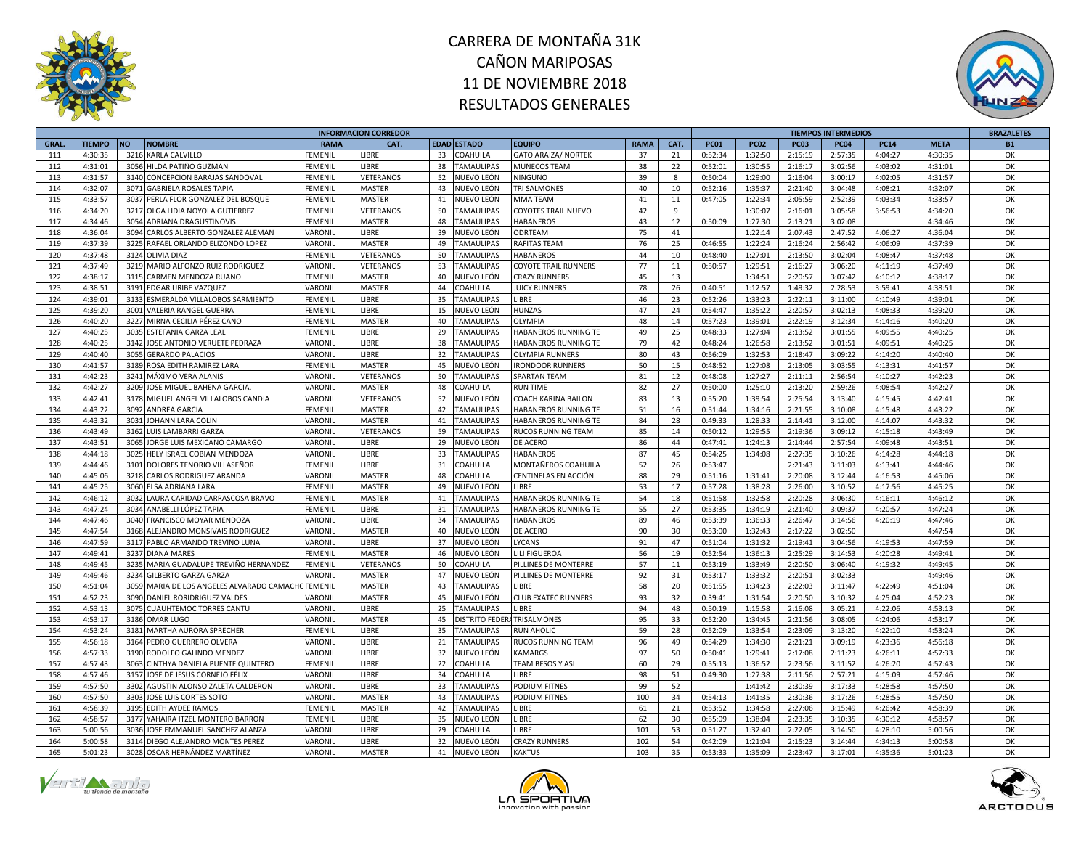



|              |                    |                                                       |             | <b>INFORMACION CORREDOR</b> |    |                        |                             |             |          |             |             |             | <b>TIEMPOS INTERMEDIOS</b> |             |             | <b>BRAZALETES</b> |
|--------------|--------------------|-------------------------------------------------------|-------------|-----------------------------|----|------------------------|-----------------------------|-------------|----------|-------------|-------------|-------------|----------------------------|-------------|-------------|-------------------|
| <b>GRAL.</b> | <b>TIEMPO</b>      | <b>NO</b><br><b>NOMBRE</b>                            | <b>RAMA</b> | CAT.                        |    | EDAD ESTADO            | <b>EQUIPO</b>               | <b>RAMA</b> | CAT.     | <b>PC01</b> | <b>PC02</b> | <b>PC03</b> | <b>PC04</b>                | <b>PC14</b> | <b>META</b> | <b>B1</b>         |
| 111          | 4:30:35            | 3216<br>KARLA CALVILLO                                | FEMENIL     | <b>IBRE</b>                 | 33 | <b>COAHUILA</b>        | <b>GATO ARAIZA/ NORTEK</b>  | 37          | 21       | 0:52:34     | 1:32:50     | 2:15:19     | 2:57:35                    | 4:04:27     | 4:30:35     | OK                |
| 112          | 4:31:01            | 3056<br>HILDA PATIÑO GUZMAN                           | FEMENIL     | LIBRE                       | 38 | <b>TAMAULIPAS</b>      | MUÑECOS TEAM                | 38          | 22       | 0:52:01     | 1:30:55     | 2:16:17     | 3:02:56                    | 4:03:02     | 4:31:01     | OK                |
| 113          | 4:31:57            | CONCEPCION BARAJAS SANDOVAL<br>3140                   | FEMENIL     | VETERANOS                   | 52 | NUEVO LEÓN             | <b>NINGUNO</b>              | 39          | 8        | 0:50:04     | 1:29:00     | 2:16:04     | 3:00:17                    | 4:02:05     | 4:31:57     | OK                |
| 114          | 4:32:07            | 3071<br><b>GABRIELA ROSALES TAPIA</b>                 | FEMENIL     | <b>MASTER</b>               | 43 | NUEVO LEÓN             | TRI SALMONES                | 40          | 10       | 0:52:16     | 1:35:37     | 2:21:40     | 3:04:48                    | 4:08:21     | 4:32:07     | OK                |
| 115          | 4:33:57            | PERLA FLOR GONZALEZ DEL BOSQUE<br>3037                | FEMENIL     | <b>MASTER</b>               | 41 | NUEVO LEÓN             | <b>MMATEAM</b>              | 41          | 11       | 0:47:05     | 1:22:34     | 2:05:59     | 2:52:39                    | 4:03:34     | 4:33:57     | OK                |
| 116          | 4:34:20            | 3217<br>OLGA LIDIA NOYOLA GUTIERREZ                   | FEMENIL     | VETERANOS                   | 50 | <b>TAMAULIPAS</b>      | <b>COYOTES TRAIL NUEVO</b>  | 42          | 9        |             | 1:30:07     | 2:16:01     | 3:05:58                    | 3:56:53     | 4:34:20     | OK                |
| 117          | 4:34:46            | 3054<br><b>ADRIANA DRAGUSTINOVIS</b>                  | FEMENIL     | MASTER                      | 48 | <b>TAMAULIPAS</b>      | <b>HABANEROS</b>            | 43          | 12       | 0:50:09     | 1:27:30     | 2:13:21     | 3:02:08                    |             | 4:34:46     | OK                |
| 118          | 4:36:04            | CARLOS ALBERTO GONZALEZ ALEMAN<br>3094                | VARONIL     | LIBRE                       | 39 | NUEVO LEÓN             | ODRTEAM                     | 75          | 41       |             | 1:22:14     | 2:07:43     | 2:47:52                    | 4:06:27     | 4:36:04     | OK                |
| 119          | 4:37:39            | 3225<br>RAFAEL ORLANDO ELIZONDO LOPEZ                 | VARONIL     | <b>MASTER</b>               | 49 | <b>TAMAULIPAS</b>      | <b>RAFITAS TEAM</b>         | 76          | 25       | 0:46:55     | 1:22:24     | 2:16:24     | 2:56:42                    | 4:06:09     | 4:37:39     | OK                |
|              |                    |                                                       |             |                             |    |                        |                             | 44          |          |             |             |             |                            |             |             | OK                |
| 120          | 4:37:48            | 3124<br>OLIVIA DIAZ                                   | FEMENIL     | <b>/ETERANOS</b>            | 50 | <b>TAMAULIPAS</b>      | HABANEROS                   |             | 10       | 0:48:40     | 1:27:01     | 2:13:50     | 3:02:04                    | 4:08:47     | 4:37:48     |                   |
| 121          | 4:37:49            | 3219<br>MARIO ALFONZO RUIZ RODRIGUEZ                  | VARONIL     | VETERANOS                   | 53 | <b>TAMAULIPAS</b>      | <b>COYOTE TRAIL RUNNERS</b> | 77          | 11       | 0:50:57     | 1:29:51     | 2:16:27     | 3:06:20                    | 4:11:19     | 4:37:49     | OK                |
| 122          | 4:38:17            | 3115<br>CARMEN MENDOZA RUANO                          | FEMENIL     | MASTER                      | 40 | NUEVO LEÓN             | <b>CRAZY RUNNERS</b>        | 45          | 13       |             | 1:34:51     | 2:20:57     | 3:07:42                    | 4:10:12     | 4:38:17     | OK                |
| 123          | 4:38:51            | 3191<br>EDGAR URIBE VAZQUEZ                           | VARONIL     | MASTER                      | 44 | COAHUILA               | <b>JUICY RUNNERS</b>        | 78          | 26       | 0:40:51     | 1:12:57     | 1:49:32     | 2:28:53                    | 3:59:41     | 4:38:51     | OK                |
| 124          | 4:39:01            | 3133<br>ESMERALDA VILLALOBOS SARMIENTO                | FEMENIL     | <b>IBRE</b>                 | 35 | <b>TAMAULIPAS</b>      | LIBRE                       | 46          | 23       | 0:52:26     | 1:33:23     | 2:22:11     | 3:11:00                    | 4:10:49     | 4:39:01     | OK                |
| 125          | 4:39:20            | 3001<br><b>VALERIA RANGEL GUERRA</b>                  | FEMENIL     | LIBRE                       | 15 | NUEVO LEÓN             | <b>HUNZAS</b>               | 47          | 24       | 0:54:47     | 1:35:22     | 2:20:57     | 3:02:13                    | 4:08:33     | 4:39:20     | OK                |
| 126          | 4:40:20            | 3227<br>MIRNA CECILIA PÉREZ CANO                      | FEMENIL     | <b>MASTER</b>               | 40 | <b>TAMAULIPAS</b>      | OLYMPIA                     | 48          | 14       | 0:57:23     | 1:39:01     | 2:22:19     | 3:12:34                    | 4:14:16     | 4:40:20     | OK                |
| 127          | 4:40:25            | 3035<br>ESTEFANIA GARZA LEAI                          | FEMENIL     | LIBRE                       | 29 | <b>TAMAULIPAS</b>      | HABANEROS RUNNING TE        | 49          | 25       | 0:48:33     | 1:27:04     | 2:13:52     | 3:01:55                    | 4:09:55     | 4:40:25     | OK                |
| 128          | 4:40:25            | 3142<br>JOSE ANTONIO VERUETE PEDRAZA                  | VARONIL     | LIBRE                       | 38 | <b>TAMAULIPAS</b>      | HABANEROS RUNNING TE        | 79          | 42       | 0:48:24     | 1:26:58     | 2:13:52     | 3:01:51                    | 4:09:51     | 4:40:25     | OK                |
| 129          | 4:40:40            | 3055<br><b>GERARDO PALACIOS</b>                       | VARONIL     | LIBRE                       | 32 | <b>TAMAULIPAS</b>      | <b>OLYMPIA RUNNERS</b>      | 80          | 43       | 0:56:09     | 1:32:53     | 2:18:47     | 3:09:22                    | 4:14:20     | 4:40:40     | OK                |
| 130          | 4:41:57            | 3189<br>ROSA EDITH RAMIREZ LARA                       | FEMENIL     | MASTER                      | 45 | NUEVO LEÓN             | <b>IRONDOOR RUNNERS</b>     | 50          | 15       | 0:48:52     | 1:27:08     | 2:13:05     | 3:03:55                    | 4:13:31     | 4:41:57     | OK                |
| 131          | 4:42:23            | 3241<br>MÁXIMO VERA ALANIS                            | VARONIL     | VETERANOS                   | 50 | <b>TAMAULIPAS</b>      | <b>SPARTAN TEAM</b>         | 81          | 12       | 0:48:08     | 1:27:27     | 2:11:11     | 2:56:54                    | 4:10:27     | 4:42:23     | OK                |
| 132          | 4:42:27            | 3209<br>JOSE MIGUEL BAHENA GARCIA.                    | VARONIL     | <b>MASTER</b>               | 48 | COAHUILA               | <b>RUN TIME</b>             | 82          | 27       | 0:50:00     | 1:25:10     | 2:13:20     | 2:59:26                    | 4:08:54     | 4:42:27     | OK                |
| 133          | 4:42:41            | MIGUEL ANGEL VILLALOBOS CANDIA<br>3178                | VARONIL     | VETERANOS                   | 52 | NUEVO LEÓN             | COACH KARINA BAILON         | 83          | 13       | 0:55:20     | 1:39:54     | 2:25:54     | 3:13:40                    | 4:15:45     | 4:42:41     | OK                |
| 134          | 4:43:22            | 3092<br>ANDREA GARCIA                                 | FEMENIL     | MASTER                      | 42 | <b>TAMAULIPAS</b>      | HABANEROS RUNNING TE        | 51          | 16       | 0:51:44     | 1:34:16     | 2:21:55     | 3:10:08                    | 4:15:48     | 4:43:22     | OK                |
| 135          | 4:43:32            | 3031<br>JOHANN LARA COLIN                             | VARONIL     | <b>MASTER</b>               | 41 | <b>TAMAULIPAS</b>      | HABANEROS RUNNING TE        | 84          | 28       | 0:49:33     | 1:28:33     | 2:14:41     | 3:12:00                    | 4:14:07     | 4:43:32     | OK                |
| 136          | 4:43:49            | 3162<br>LUIS LAMBARRI GARZA                           | VARONIL     | VETERANOS                   | 59 | <b>TAMAULIPAS</b>      | RUCOS RUNNING TEAM          | 85          | 14       | 0:50:12     | 1:29:55     | 2:19:36     | 3:09:12                    | 4:15:18     | 4:43:49     | OK                |
| 137          | 4:43:51            | 3065<br>JORGE LUIS MEXICANO CAMARGO                   | VARONIL     | LIBRE                       | 29 | NUEVO LEÓN             | DE ACERO                    | 86          | 44       | 0:47:41     | 1:24:13     | 2:14:44     | 2:57:54                    | 4:09:48     | 4:43:51     | OK                |
| 138          | 4:44:18            | 3025<br>HELY ISRAEL COBIAN MENDOZA                    | VARONIL     | <b>IBRE</b>                 | 33 | <b>TAMAULIPAS</b>      | <b>HABANEROS</b>            | 87          | 45       | 0:54:25     | 1:34:08     | 2:27:35     | 3:10:26                    | 4:14:28     | 4:44:18     | OK                |
| 139          | 4:44:46            | DOLORES TENORIO VILLASEÑOR<br>3101                    | FEMENIL     | LIBRE                       | 31 | COAHUILA               | MONTAÑEROS COAHUILA         | 52          | 26       | 0:53:47     |             | 2:21:43     | 3:11:03                    | 4:13:41     | 4:44:46     | OK                |
| 140          | 4:45:06            | 3218<br>CARLOS RODRIGUEZ ARANDA                       | VARONIL     | <b>MASTER</b>               | 48 | COAHUILA               | CENTINELAS EN ACCIÓN        | 88          | 29       | 0:51:16     | 1:31:41     | 2:20:08     | 3:12:44                    | 4:16:53     | 4:45:06     | OK                |
| 141          | 4:45:25            | 3060<br>ELSA ADRIANA LARA                             | FEMENIL     | MASTER                      | 49 | NUEVO LEÓN             | <b>LIBRE</b>                | 53          | 17       | 0:57:28     | 1:38:28     | 2:26:00     | 3:10:52                    | 4:17:56     | 4:45:25     | OK                |
| 142          | 4:46:12            | LAURA CARIDAD CARRASCOSA BRAVO<br>3032                | FEMENIL     | MASTER                      | 41 | <b>TAMAULIPAS</b>      | HABANEROS RUNNING TE        | 54          | 18       | 0:51:58     | 1:32:58     | 2:20:28     | 3:06:30                    | 4:16:11     | 4:46:12     | OK                |
| 143          | 4:47:24            | 3034<br>ANABELLI LÓPEZ TAPIA                          | FEMENIL     | LIBRE                       | 31 | <b>TAMAULIPAS</b>      | HABANEROS RUNNING TE        | 55          | 27       | 0:53:35     | 1:34:19     | 2:21:40     | 3:09:37                    | 4:20:57     | 4:47:24     | OK                |
| 144          | 4:47:46            | 3040<br>FRANCISCO MOYAR MENDOZA                       | VARONIL     | <b>IBRE</b>                 | 34 | <b>TAMAULIPAS</b>      | <b>HABANEROS</b>            | 89          | 46       | 0:53:39     | 1:36:33     | 2:26:47     | 3:14:56                    | 4:20:19     | 4:47:46     | OK                |
| 145          | 4:47:54            | 3168<br>ALEJANDRO MONSIVAIS RODRIGUEZ                 | VARONIL     | MASTER                      | 40 | NUEVO LEÓN             | DE ACERO                    | 90          | 30       | 0:53:00     | 1:32:43     | 2:17:22     | 3:02:50                    |             | 4:47:54     | OK                |
| 146          | 4:47:59            | 3117<br>PABLO ARMANDO TREVIÑO LUNA                    | VARONIL     | LIBRE                       | 37 | NUEVO LEÓN             | LYCANS                      | 91          | 47       | 0:51:04     | 1:31:32     | 2:19:41     | 3:04:56                    | 4:19:53     | 4:47:59     | OK                |
|              |                    |                                                       |             |                             |    |                        |                             |             |          |             |             |             |                            |             |             | OK                |
| 147<br>148   | 4:49:41<br>4:49:45 | 3237<br><b>DIANA MARES</b>                            | FEMENIL     | MASTER<br>VETERANOS         | 46 | NUEVO LEÓN             | LILI FIGUEROA               | 56<br>57    | 19<br>11 | 0:52:54     | 1:36:13     | 2:25:29     | 3:14:53                    | 4:20:28     | 4:49:41     |                   |
|              |                    | MARIA GUADALUPE TREVIÑO HERNANDEZ<br>3235             | FEMENIL     |                             | 50 | COAHUILA               | PILLINES DE MONTERRE        |             |          | 0:53:19     | 1:33:49     | 2:20:50     | 3:06:40                    | 4:19:32     | 4:49:45     | OK                |
| 149          | 4:49:46            | 3234<br><b>GILBERTO GARZA GARZA</b>                   | VARONIL     | MASTER                      | 47 | NUEVO LEÓN             | PILLINES DE MONTERRE        | 92          | 31       | 0:53:17     | 1:33:32     | 2:20:51     | 3:02:33                    |             | 4:49:46     | OK                |
| 150          | 4:51:04            | 3059<br>MARIA DE LOS ANGELES ALVARADO CAMACHO FEMENIL |             | <b>MASTER</b>               | 43 | <b>TAMAULIPAS</b>      | LIBRE                       | 58          | 20       | 0:51:55     | 1:34:23     | 2:22:03     | 3:11:47                    | 4:22:49     | 4:51:04     | OK                |
| 151          | 4:52:23            | 3090<br>DANIEL RORIDRIGUEZ VALDES                     | VARONIL     | MASTER                      | 45 | NUEVO LEÓN             | <b>CLUB EXATEC RUNNERS</b>  | 93          | 32       | 0:39:41     | 1:31:54     | 2:20:50     | 3:10:32                    | 4:25:04     | 4:52:23     | OK                |
| 152          | 4:53:13            | 3075<br>CUAUHTEMOC TORRES CANTU                       | VARONIL     | <b>IBRE</b>                 | 25 | <b>TAMAULIPAS</b>      | LIBRE                       | 94          | 48       | 0:50:19     | 1:15:58     | 2:16:08     | 3:05:21                    | 4:22:06     | 4:53:13     | OK                |
| 153          | 4:53:17            | 3186<br>OMAR LUGO                                     | VARONIL     | MASTER                      | 45 | <b>DISTRITO FEDERA</b> | TRISALMONES                 | 95          | 33       | 0:52:20     | 1:34:45     | 2:21:56     | 3:08:05                    | 4:24:06     | 4:53:17     | OK                |
| 154          | 4:53:24            | 3181<br>MARTHA AURORA SPRECHER                        | FEMENIL     | LIBRE                       | 35 | <b>TAMAULIPAS</b>      | <b>RUN AHOLIC</b>           | 59          | 28       | 0:52:09     | 1:33:54     | 2:23:09     | 3:13:20                    | 4:22:10     | 4:53:24     | OK                |
| 155          | 4:56:18            | 3164<br>PEDRO GUERRERO OLVERA                         | VARONIL     | <b>IBRE</b>                 | 21 | <b>TAMAULIPAS</b>      | RUCOS RUNNING TEAM          | 96          | 49       | 0:54:29     | 1:34:30     | 2:21:21     | 3:09:19                    | 4:23:36     | 4:56:18     | OK                |
| 156          | 4:57:33            | 3190<br>RODOLFO GALINDO MENDEZ                        | VARONIL     | LIBRE                       | 32 | NUEVO LEÓN             | KAMARGS                     | 97          | 50       | 0:50:41     | 1:29:41     | 2:17:08     | 2:11:23                    | 4:26:11     | 4:57:33     | OK                |
| 157          | 4:57:43            | 3063<br>CINTHYA DANIELA PUENTE QUINTERO               | FEMENIL     | LIBRE                       | 22 | COAHUILA               | TEAM BESOS Y ASI            | 60          | 29       | 0:55:13     | 1:36:52     | 2:23:56     | 3:11:52                    | 4:26:20     | 4:57:43     | OK                |
| 158          | 4:57:46            | 3157<br>JOSE DE JESUS CORNEJO FÉLIX                   | VARONIL     | LIBRE                       | 34 | <b>COAHUILA</b>        | LIBRE                       | 98          | 51       | 0:49:30     | 1:27:38     | 2:11:56     | 2:57:21                    | 4:15:09     | 4:57:46     | OK                |
| 159          | 4:57:50            | 3302<br>AGUSTIN ALONSO ZALETA CALDERON                | VARONIL     | LIBRE                       | 33 | <b>TAMAULIPAS</b>      | <b>PODIUM FITNES</b>        | 99          | 52       |             | 1:41:42     | 2:30:39     | 3:17:33                    | 4:28:58     | 4:57:50     | OK                |
| 160          | 4:57:50            | 3303<br>JOSE LUIS CORTES SOTO                         | VARONIL     | <b>MASTER</b>               | 43 | <b>TAMAULIPAS</b>      | PODIUM FITNES               | 100         | 34       | 0:54:13     | 1:41:35     | 2:30:36     | 3:17:26                    | 4:28:55     | 4:57:50     | OK                |
| 161          | 4:58:39            | 3195<br>EDITH AYDEE RAMOS                             | FEMENIL     | MASTER                      | 42 | <b>TAMAULIPAS</b>      | <b>LIBRE</b>                | 61          | 21       | 0:53:52     | 1:34:58     | 2:27:06     | 3:15:49                    | 4:26:42     | 4:58:39     | OK                |
| 162          | 4:58:57            | 3177<br>YAHAIRA ITZEL MONTERO BARRON                  | FEMENIL     | <b>IBRE</b>                 | 35 | NUEVO LEÓN             | <b>IBRE</b>                 | 62          | 30       | 0:55:09     | 1:38:04     | 2:23:35     | 3:10:35                    | 4:30:12     | 4:58:57     | OK                |
| 163          | 5:00:56            | 3036<br>JOSE EMMANUEL SANCHEZ ALANZA                  | VARONIL     | <b>IBRE</b>                 | 29 | COAHUILA               | LIBRE                       | 101         | 53       | 0:51:27     | 1:32:40     | 2:22:05     | 3:14:50                    | 4:28:10     | 5:00:56     | OK                |
| 164          | 5:00:58            | 3114 DIEGO ALEJANDRO MONTES PEREZ                     | VARONIL     | LIBRE                       | 32 | NUEVO LEÓN             | <b>CRAZY RUNNERS</b>        | 102         | 54       | 0:42:09     | 1:21:04     | 2:15:23     | 3:14:44                    | 4:34:13     | 5:00:58     | OK                |
| 165          | 5:01:23            | OSCAR HERNÁNDEZ MARTÍNEZ<br>3028                      | VARONIL     | <b>MASTER</b>               | 41 | NUEVO LEÓN             | <b>KAKTUS</b>               | 103         | 35       | 0:53:33     | 1:35:09     | 2:23:47     | 3:17:01                    | 4:35:36     | 5:01:23     | OK                |





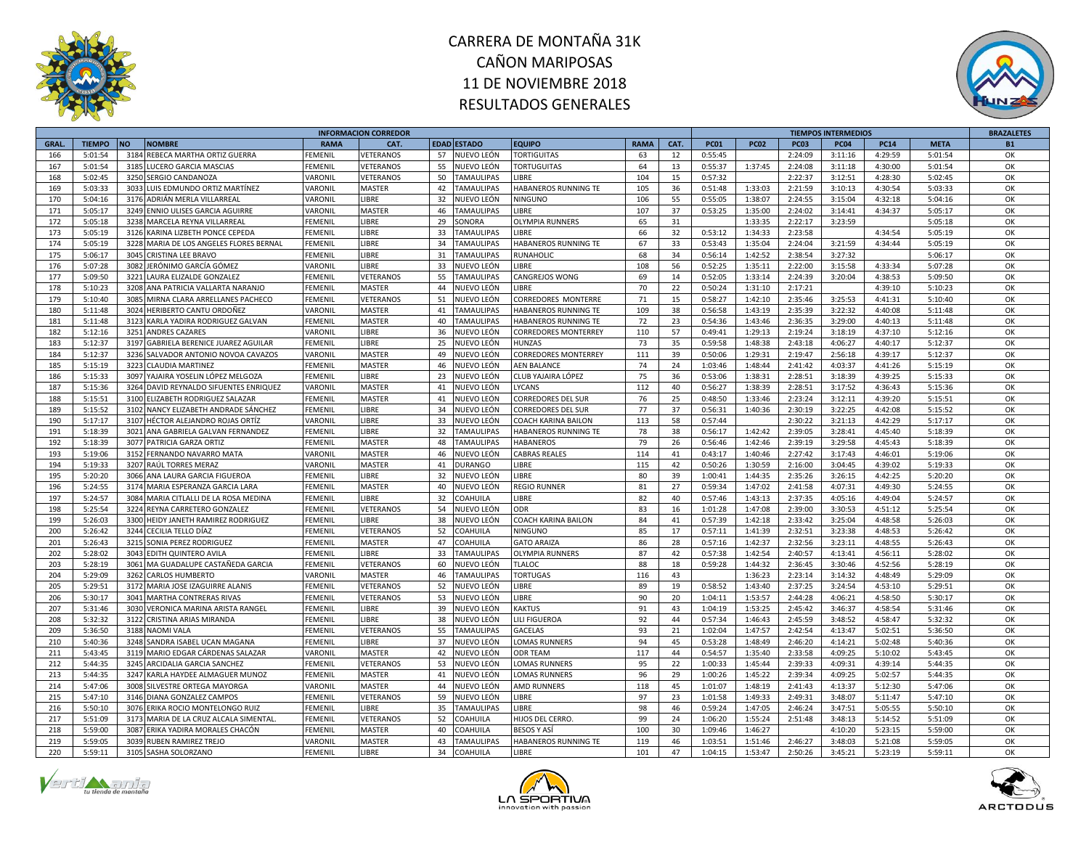



|              |                    |                                                 |             | <b>INFORMACION CORREDOR</b> |    |                   |                             |             |          |             |             |             | <b>TIEMPOS INTERMEDIOS</b> |             |             | <b>BRAZALETES</b> |
|--------------|--------------------|-------------------------------------------------|-------------|-----------------------------|----|-------------------|-----------------------------|-------------|----------|-------------|-------------|-------------|----------------------------|-------------|-------------|-------------------|
| <b>GRAL.</b> | <b>TIEMPO</b>      | <b>NO</b><br><b>NOMBRE</b>                      | <b>RAMA</b> | CAT.                        |    | EDAD ESTADO       | <b>EQUIPO</b>               | <b>RAMA</b> | CAT.     | <b>PC01</b> | <b>PC02</b> | <b>PC03</b> | <b>PC04</b>                | <b>PC14</b> | <b>META</b> | <b>B1</b>         |
| 166          | 5:01:54            | 3184<br>REBECA MARTHA ORTIZ GUERRA              | FEMENIL     | <b>/ETERANOS</b>            | 57 | NUEVO LEÓN        | <b>TORTIGUITAS</b>          | 63          | 12       | 0:55:45     |             | 2:24:09     | 3:11:16                    | 4:29:59     | 5:01:54     | OK                |
| 167          | 5:01:54            | 3185<br>LUCERO GARCIA MASCIAS                   | FEMENIL     | VETERANOS                   | 55 | NUEVO LEÓN        | <b>TORTUGUITAS</b>          | 64          | 13       | 0:55:37     | 1:37:45     | 2:24:08     | 3:11:18                    | 4:30:00     | 5:01:54     | OK                |
| 168          | 5:02:45            | 3250 SERGIO CANDANOZA                           | VARONIL     | VETERANOS                   | 50 | <b>TAMAULIPAS</b> | <b>LIBRE</b>                | 104         | 15       | 0:57:32     |             | 2:22:37     | 3:12:51                    | 4:28:30     | 5:02:45     | OK                |
| 169          | 5:03:33            | 3033<br>LUIS EDMUNDO ORTIZ MARTÍNEZ             | VARONIL     | <b>MASTER</b>               |    | 42 TAMAULIPAS     | HABANEROS RUNNING TE        | 105         | 36       | 0:51:48     | 1:33:03     | 2:21:59     | 3:10:13                    | 4:30:54     | 5:03:33     | OK                |
| 170          | 5:04:16            | 3176<br>ADRIÁN MERLA VILLARREAI                 | VARONIL     | LIBRE                       | 32 | NUEVO LEÓN        | <b>NINGUNO</b>              | 106         | 55       | 0:55:05     | 1:38:07     | 2:24:55     | 3:15:04                    | 4:32:18     | 5:04:16     | OK                |
| 171          | 5:05:17            | 3249<br>ENNIO ULISES GARCIA AGUIRRE             | VARONIL     | <b>MASTER</b>               | 46 | <b>TAMAULIPAS</b> | LIBRE                       | 107         | 37       | 0:53:25     | 1:35:00     | 2:24:02     | 3:14:41                    | 4:34:37     | 5:05:17     | OK                |
| 172          | 5:05:18            | 3238<br>MARCELA REYNA VILLARREAL                | FEMENIL     | <b>IBRE</b>                 | 29 | SONORA            | <b>OLYMPIA RUNNERS</b>      | 65          | 31       |             | 1:33:35     | 2:22:17     | 3:23:59                    |             | 5:05:18     | OK                |
| 173          | 5:05:19            | 3126<br>KARINA LIZBETH PONCE CEPEDA             | FEMENIL     | LIBRE                       | 33 | <b>TAMAULIPAS</b> | LIBRE                       | 66          | 32       | 0:53:12     | 1:34:33     | 2:23:58     |                            | 4:34:54     | 5:05:19     | OK                |
| 174          | 5:05:19            | 3228 MARIA DE LOS ANGELES FLORES BERNAL         | FEMENIL     | LIBRE                       | 34 | <b>TAMAULIPAS</b> | HABANEROS RUNNING TE        | 67          | 33       | 0:53:43     | 1:35:04     | 2:24:04     | 3:21:59                    | 4:34:44     | 5:05:19     | OK                |
|              |                    |                                                 |             |                             |    |                   |                             |             |          |             |             |             |                            |             |             | OK                |
| 175          | 5:06:17            | 3045<br>CRISTINA LEE BRAVO                      | FEMENIL     | LIBRE                       | 31 | <b>TAMAULIPAS</b> | RUNAHOLIC                   | 68          | 34       | 0:56:14     | 1:42:52     | 2:38:54     | 3:27:32                    |             | 5:06:17     |                   |
| 176          | 5:07:28            | 3082<br>JERÓNIMO GARCÍA GÓMEZ                   | VARONIL     | LIBRE                       | 33 | NUEVO LEÓN        | LIBRE                       | 108         | 56       | 0:52:25     | 1:35:11     | 2:22:00     | 3:15:58                    | 4:33:34     | 5:07:28     | OK                |
| 177          | 5:09:50            | 3221<br>LAURA ELIZALDE GONZALEZ                 | FEMENIL     | VETERANOS                   | 55 | <b>TAMAULIPAS</b> | CANGREJOS WONG              | 69          | 14       | 0:52:05     | 1:33:14     | 2:24:39     | 3:20:04                    | 4:38:53     | 5:09:50     | OK                |
| 178          | 5:10:23            | 3208<br>ANA PATRICIA VALLARTA NARANJO           | FEMENIL     | <b>MASTER</b>               | 44 | NUEVO LEÓN        | LIBRE                       | 70          | 22       | 0:50:24     | 1:31:10     | 2:17:21     |                            | 4:39:10     | 5:10:23     | OK                |
| 179          | 5:10:40            | 3085<br>MIRNA CLARA ARRELLANES PACHECO          | FEMENIL     | VETERANOS                   | 51 | NUEVO LEÓN        | CORREDORES MONTERRE         | 71          | 15       | 0:58:27     | 1:42:10     | 2:35:46     | 3:25:53                    | 4:41:31     | 5:10:40     | OK                |
| 180          | 5:11:48            | 3024 HERIBERTO CANTU ORDOÑEZ                    | VARONIL     | <b>MASTER</b>               |    | 41 TAMAULIPAS     | HABANEROS RUNNING TE        | 109         | 38       | 0:56:58     | 1:43:19     | 2:35:39     | 3:22:32                    | 4:40:08     | 5:11:48     | OK                |
| 181          | 5:11:48            | 3123<br>KARLA YADIRA RODRIGUEZ GALVAN           | FEMENIL     | <b>MASTER</b>               | 40 | <b>TAMAULIPAS</b> | HABANEROS RUNNING TE        | 72          | 23       | 0:54:36     | 1:43:46     | 2:36:35     | 3:29:00                    | 4:40:13     | 5:11:48     | OK                |
| 182          | 5:12:16            | 3251<br><b>ANDRES CAZARES</b>                   | VARONIL     | LIBRE                       | 36 | NUEVO LEÓN        | <b>CORREDORES MONTERREY</b> | 110         | 57       | 0:49:41     | 1:29:13     | 2:19:24     | 3:18:19                    | 4:37:10     | 5:12:16     | OK                |
| 183          | 5:12:37            | 3197<br><b>GABRIELA BERENICE JUAREZ AGUILAR</b> | FEMENIL     | LIBRE                       | 25 | NUEVO LEÓN        | <b>HUNZAS</b>               | 73          | 35       | 0:59:58     | 1:48:38     | 2:43:18     | 4:06:27                    | 4:40:17     | 5:12:37     | OK                |
| 184          | 5:12:37            | 3236<br>SALVADOR ANTONIO NOVOA CAVAZOS          | VARONIL     | <b>MASTER</b>               | 49 | NUEVO LEÓN        | <b>CORREDORES MONTERREY</b> | 111         | 39       | 0:50:06     | 1:29:31     | 2:19:47     | 2:56:18                    | 4:39:17     | 5:12:37     | OK                |
| 185          | 5:15:19            | 3223<br><b>CLAUDIA MARTINEZ</b>                 | FEMENIL     | MASTER                      |    | 46 NUEVO LEÓN     | <b>AEN BALANCE</b>          | 74          | 24       | 1:03:46     | 1:48:44     | 2:41:42     | 4:03:37                    | 4:41:26     | 5:15:19     | OK                |
| 186          | 5:15:33            | 3097<br>YAJAIRA YOSELIN LÓPEZ MELGOZA           | FEMENIL     | LIBRE                       | 23 | NUEVO LEÓN        | CLUB YAJAIRA LÓPEZ          | 75          | 36       | 0:53:06     | 1:38:31     | 2:28:51     | 3:18:39                    | 4:39:25     | 5:15:33     | OK                |
| 187          | 5:15:36            | DAVID REYNALDO SIFUENTES ENRIQUEZ<br>3264       | VARONIL     | <b>MASTER</b>               | 41 | NUEVO LEÓN        | LYCANS                      | 112         | 40       | 0:56:27     | 1:38:39     | 2:28:51     | 3:17:52                    | 4:36:43     | 5:15:36     | OK                |
| 188          | 5:15:51            | ELIZABETH RODRIGUEZ SALAZAR<br>3100             | FEMENIL     | <b>MASTER</b>               |    | 41 NUEVO LEÓN     | <b>CORREDORES DEL SUR</b>   | 76          | 25       | 0:48:50     | 1:33:46     | 2:23:24     | 3:12:11                    | 4:39:20     | 5:15:51     | OK                |
| 189          | 5:15:52            | 3102<br>NANCY ELIZABETH ANDRADE SÁNCHEZ         | FEMENIL     | LIBRE                       | 34 | NUEVO LEÓN        | <b>CORREDORES DEL SUR</b>   | 77          | 37       | 0:56:31     | 1:40:36     | 2:30:19     | 3:22:25                    | 4:42:08     | 5:15:52     | OK                |
| 190          | 5:17:17            | 3107<br>HÉCTOR ALEJANDRO ROJAS ORTÍZ            | VARONIL     | LIBRE                       | 33 | NUEVO LEÓN        | COACH KARINA BAILON         | 113         | 58       | 0:57:44     |             | 2:30:22     | 3:21:13                    | 4:42:29     | 5:17:17     | OK                |
| 191          | 5:18:39            | 3021<br>ANA GABRIELA GALVAN FERNANDEZ           | FEMENIL     | LIBRE                       | 32 | <b>TAMAULIPAS</b> | HABANEROS RUNNING TE        | 78          | 38       | 0:56:17     | 1:42:42     | 2:39:05     | 3:28:41                    | 4:45:40     | 5:18:39     | OK                |
| 192          | 5:18:39            | 3077<br>PATRICIA GARZA ORTIZ                    | FEMENIL     | MASTER                      | 48 | TAMAULIPAS        | HABANEROS                   | 79          | 26       | 0:56:46     | 1:42:46     | 2:39:19     | 3:29:58                    | 4:45:43     | 5:18:39     | OK                |
| 193          | 5:19:06            | 3152<br>FERNANDO NAVARRO MATA                   | VARONIL     | MASTER                      | 46 | NUEVO LEÓN        | <b>CABRAS REALES</b>        | 114         | 41       | 0:43:17     | 1:40:46     | 2:27:42     | 3:17:43                    | 4:46:01     | 5:19:06     | OK                |
| 194          | 5:19:33            | RAÚL TORRES MERAZ<br>3207                       | VARONIL     | <b>MASTER</b>               | 41 | <b>DURANGO</b>    | <b>LIBRE</b>                | 115         | 42       | 0:50:26     | 1:30:59     | 2:16:00     | 3:04:45                    | 4:39:02     | 5:19:33     | OK                |
| 195          | 5:20:20            | 3066<br>ANA LAURA GARCIA FIGUEROA               | FEMENIL     | LIBRE                       | 32 | NUEVO LEÓN        | LIBRE                       | 80          | 39       | 1:00:41     | 1:44:35     | 2:35:26     | 3:26:15                    | 4:42:25     | 5:20:20     | OK                |
| 196          | 5:24:55            | 3174<br>MARIA ESPERANZA GARCIA LARA             | FEMENIL     | MASTER                      | 40 | NUEVO LEÓN        | <b>REGIO RUNNER</b>         | 81          | 27       | 0:59:34     | 1:47:02     | 2:41:58     | 4:07:31                    | 4:49:30     | 5:24:55     | OK                |
| 197          | 5:24:57            | 3084<br>MARIA CITLALLI DE LA ROSA MEDINA        | FEMENIL     | LIBRE                       | 32 | COAHUILA          | LIBRE                       | 82          | 40       | 0:57:46     | 1:43:13     | 2:37:35     | 4:05:16                    | 4:49:04     | 5:24:57     | OK                |
| 198          | 5:25:54            | 3224<br>REYNA CARRETERO GONZALEZ                | FEMENIL     | VETERANOS                   | 54 | NUEVO LEÓN        | ODR                         | 83          | 16       | 1:01:28     | 1:47:08     | 2:39:00     | 3:30:53                    | 4:51:12     | 5:25:54     | OK                |
| 199          | 5:26:03            | 3300<br>HEIDY JANETH RAMIREZ RODRIGUEZ          | FEMENIL     | LIBRE                       | 38 | NUEVO LEÓN        | <b>COACH KARINA BAILON</b>  | 84          | 41       | 0:57:39     | 1:42:18     | 2:33:42     | 3:25:04                    | 4:48:58     | 5:26:03     | OK                |
| 200          | 5:26:42            | 3244<br>CECILIA TELLO DÍAZ                      | FEMENIL     | <b>/ETERANOS</b>            | 52 | <b>COAHUILA</b>   | NINGUNO                     | 85          | 17       | 0:57:11     | 1:41:39     | 2:32:51     | 3:23:38                    | 4:48:53     | 5:26:42     | OK                |
| 201          | 5:26:43            | 3215<br>SONIA PEREZ RODRIGUEZ                   | FEMENIL     | <b>MASTER</b>               | 47 | COAHUILA          | <b>GATO ARAIZA</b>          | 86          | 28       | 0:57:16     | 1:42:37     | 2:32:56     | 3:23:11                    | 4:48:55     | 5:26:43     | OK                |
|              |                    | 3043                                            |             | <b>IBRE</b>                 | 33 |                   |                             |             |          |             |             |             |                            |             |             | OK                |
| 202<br>203   | 5:28:02<br>5:28:19 | EDITH QUINTERO AVILA                            | FEMENIL     |                             |    | <b>TAMAULIPAS</b> | <b>OLYMPIA RUNNERS</b>      | 87<br>88    | 42<br>18 | 0:57:38     | 1:42:54     | 2:40:57     | 4:13:41                    | 4:56:11     | 5:28:02     | OK                |
|              |                    | MA GUADALUPE CASTAÑEDA GARCIA<br>3061           | FEMENIL     | VETERANOS                   | 60 | NUEVO LEÓN        | <b>TLALOC</b>               |             |          | 0:59:28     | 1:44:32     | 2:36:45     | 3:30:46                    | 4:52:56     | 5:28:19     |                   |
| 204          | 5:29:09            | 3262<br><b>CARLOS HUMBERTO</b>                  | VARONIL     | <b>MASTER</b>               | 46 | <b>TAMAULIPAS</b> | <b>TORTUGAS</b>             | 116         | 43       |             | 1:36:23     | 2:23:14     | 3:14:32                    | 4:48:49     | 5:29:09     | OK                |
| 205          | 5:29:51            | 3172 MARIA JOSE IZAGUIRRE ALANIS                | FEMENIL     | VETERANOS                   | 52 | NUEVO LEÓN        | LIBRE                       | 89          | 19       | 0:58:52     | 1:43:40     | 2:37:25     | 3:24:54                    | 4:53:10     | 5:29:51     | OK                |
| 206          | 5:30:17            | 3041<br><b>MARTHA CONTRERAS RIVAS</b>           | FEMENIL     | VETERANOS                   | 53 | NUEVO LEÓN        | LIBRE                       | 90          | 20       | 1:04:11     | 1:53:57     | 2:44:28     | 4:06:21                    | 4:58:50     | 5:30:17     | OK                |
| 207          | 5:31:46            | 3030<br>VERONICA MARINA ARISTA RANGEL           | FEMENIL     | LIBRE                       | 39 | NUEVO LEÓN        | KAKTUS                      | 91          | 43       | 1:04:19     | 1:53:25     | 2:45:42     | 3:46:37                    | 4:58:54     | 5:31:46     | OK                |
| 208          | 5:32:32            | 3122<br>CRISTINA ARIAS MIRANDA                  | FEMENIL     | LIBRE                       | 38 | NUEVO LEÓN        | LILI FIGUEROA               | 92          | 44       | 0:57:34     | 1:46:43     | 2:45:59     | 3:48:52                    | 4:58:47     | 5:32:32     | OK                |
| 209          | 5:36:50            | 3188<br><b>NAOMI VALA</b>                       | FEMENIL     | VETERANOS                   | 55 | <b>TAMAULIPAS</b> | GACELAS                     | 93          | 21       | 1:02:04     | 1:47:57     | 2:42:54     | 4:13:47                    | 5:02:51     | 5:36:50     | OK                |
| 210          | 5:40:36            | 3248<br>SANDRA ISABEL UCAN MAGANA               | FEMENIL     | <b>IBRE</b>                 | 37 | NUEVO LEÓN        | LOMAS RUNNERS               | 94          | 45       | 0:53:28     | 1:48:49     | 2:46:20     | 4:14:21                    | 5:02:48     | 5:40:36     | OK                |
| 211          | 5:43:45            | 3119<br>MARIO EDGAR CÁRDENAS SALAZAR            | VARONIL     | MASTER                      | 42 | NUEVO LEÓN        | <b>ODR TEAM</b>             | 117         | 44       | 0:54:57     | 1:35:40     | 2:33:58     | 4:09:25                    | 5:10:02     | 5:43:45     | OK                |
| 212          | 5:44:35            | 3245<br>ARCIDALIA GARCIA SANCHEZ                | FEMENIL     | VETERANOS                   | 53 | NUEVO LEÓN        | <b>LOMAS RUNNERS</b>        | 95          | 22       | 1:00:33     | 1:45:44     | 2:39:33     | 4:09:31                    | 4:39:14     | 5:44:35     | OK                |
| 213          | 5:44:35            | 3247<br>KARLA HAYDEE ALMAGUER MUNOZ             | FEMENIL     | <b>MASTER</b>               | 41 | NUEVO LEÓN        | <b>LOMAS RUNNERS</b>        | 96          | 29       | 1:00:26     | 1:45:22     | 2:39:34     | 4:09:25                    | 5:02:57     | 5:44:35     | OK                |
| 214          | 5:47:06            | 3008<br>SILVESTRE ORTEGA MAYORGA                | VARONIL     | MASTER                      | 44 | NUEVO LEÓN        | AMD RUNNERS                 | 118         | 45       | 1:01:07     | 1:48:19     | 2:41:43     | 4:13:37                    | 5:12:30     | 5:47:06     | OK                |
| 215          | 5:47:10            | 3146 DIANA GONZALEZ CAMPOS                      | FEMENIL     | VETERANOS                   | 59 | NUEVO LEÓN        | LIBRE                       | 97          | 23       | 1:01:58     | 1:49:33     | 2:49:31     | 3:48:07                    | 5:11:47     | 5:47:10     | OK                |
| 216          | 5:50:10            | 3076<br>ERIKA ROCIO MONTELONGO RUIZ             | FEMENIL     | <b>IBRE</b>                 | 35 | <b>TAMAULIPAS</b> | <b>LIBRE</b>                | 98          | 46       | 0:59:24     | 1:47:05     | 2:46:24     | 3:47:51                    | 5:05:55     | 5:50:10     | OK                |
| 217          | 5:51:09            | 3173<br>MARIA DE LA CRUZ ALCALA SIMENTAL        | FEMENIL     | <b>/ETERANOS</b>            | 52 | <b>COAHUILA</b>   | HIJOS DEL CERRO.            | 99          | 24       | 1:06:20     | 1:55:24     | 2:51:48     | 3:48:13                    | 5:14:52     | 5:51:09     | OK                |
| 218          | 5:59:00            | 3087<br>ERIKA YADIRA MORALES CHACÓN             | FEMENIL     | MASTER                      | 40 | COAHUILA          | <b>BESOS Y ASÍ</b>          | 100         | 30       | 1:09:46     | 1:46:27     |             | 4:10:20                    | 5:23:15     | 5:59:00     | OK                |
| 219          | 5:59:05            | <b>RUBEN RAMIREZ TREJO</b><br>3039              | VARONIL     | <b>MASTER</b>               | 43 | <b>TAMAULIPAS</b> | HABANEROS RUNNING TE        | 119         | 46       | 1:03:51     | 1:51:46     | 2:46:27     | 3:48:03                    | 5:21:08     | 5:59:05     | OK                |
| 220          | 5:59:11            | 3105<br>SASHA SOLORZANO                         | FEMENIL     | <b>LIBRE</b>                | 34 | <b>COAHUILA</b>   | LIBRE                       | 101         | 47       | 1:04:15     | 1:53:47     | 2:50:26     | 3:45:21                    | 5:23:19     | 5:59:11     | OK                |





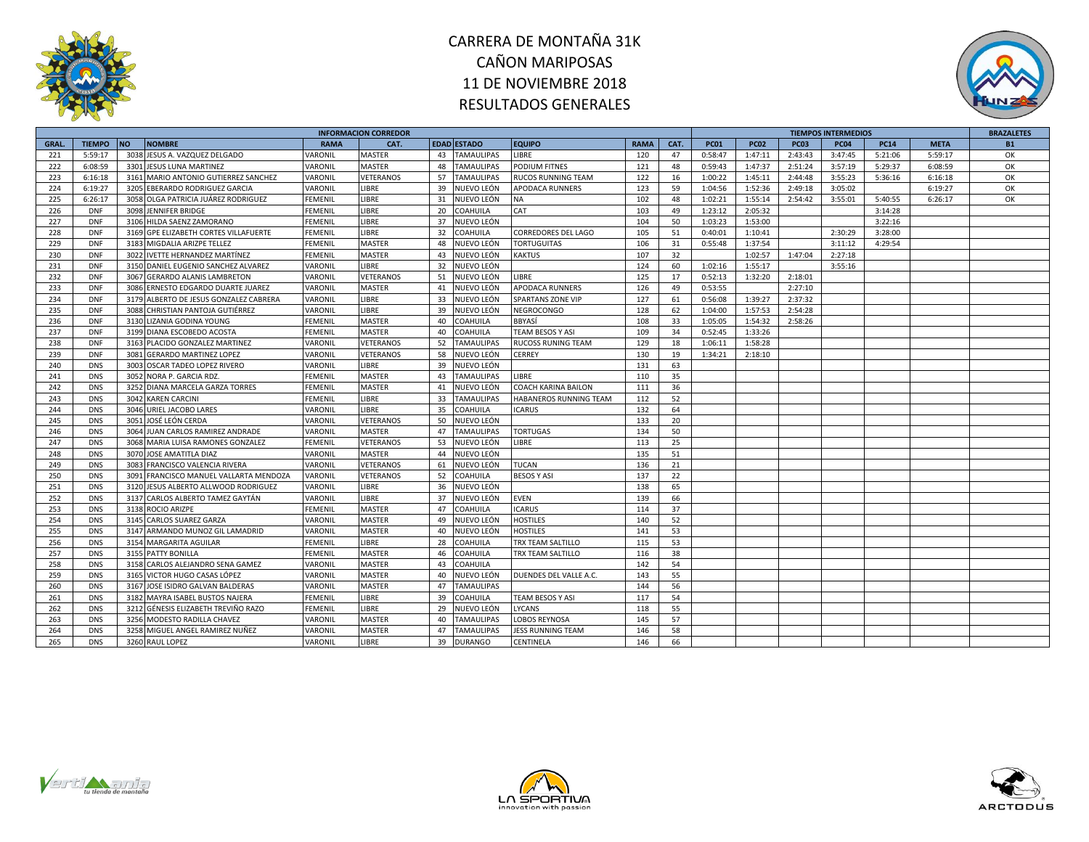



|              |               |                                        |                       | <b>INFORMACION CORREDOR</b> |    |                    |                            |             |      |             |             |             | <b>TIEMPOS INTERMEDIOS</b> |             |             | <b>BRAZALETES</b> |
|--------------|---------------|----------------------------------------|-----------------------|-----------------------------|----|--------------------|----------------------------|-------------|------|-------------|-------------|-------------|----------------------------|-------------|-------------|-------------------|
| <b>GRAL.</b> | <b>TIEMPO</b> | <b>NO</b><br><b>NOMBRE</b>             | <b>RAMA</b>           | CAT.                        |    | <b>EDAD ESTADO</b> | <b>EQUIPO</b>              | <b>RAMA</b> | CAT. | <b>PC01</b> | <b>PC02</b> | <b>PC03</b> | <b>PC04</b>                | <b>PC14</b> | <b>META</b> | <b>B1</b>         |
| 221          | 5:59:17       | 3038 JESUS A. VAZQUEZ DELGADO          | VARONIL               | MASTER                      | 43 | <b>TAMAULIPAS</b>  | LIBRE                      | 120         | 47   | 0:58:47     | 1:47:11     | 2:43:43     | 3:47:45                    | 5:21:06     | 5:59:17     | OK                |
| 222          | 6:08:59       | 3301 JESUS LUNA MARTINEZ               | VARONIL               | MASTER                      | 48 | TAMAULIPAS         | <b>PODIUM FITNES</b>       | 121         | 48   | 0:59:43     | 1:47:37     | 2:51:24     | 3:57:19                    | 5:29:37     | 6:08:59     | OK                |
| 223          | 6:16:18       | 3161 MARIO ANTONIO GUTIERREZ SANCHEZ   | VARONIL               | VETERANOS                   | 57 | <b>TAMAULIPAS</b>  | <b>RUCOS RUNNING TEAM</b>  | 122         | 16   | 1:00:22     | 1:45:11     | 2:44:48     | 3:55:23                    | 5:36:16     | 6:16:18     | OK                |
| 224          | 6:19:27       | 3205 EBERARDO RODRIGUEZ GARCIA         | VARONIL               | LIBRE                       | 39 | NUEVO LEÓN         | <b>APODACA RUNNERS</b>     | 123         | 59   | 1:04:56     | 1:52:36     | 2:49:18     | 3:05:02                    |             | 6:19:27     | OK                |
| 225          | 6:26:17       | 3058 OLGA PATRICIA JUÁREZ RODRIGUEZ    | FEMENIL               | LIBRE                       | 31 | NUEVO LEÓN         | <b>NA</b>                  | 102         | 48   | 1:02:21     | 1:55:14     | 2:54:42     | 3:55:01                    | 5:40:55     | 6:26:17     | ОК                |
| 226          | <b>DNF</b>    | 3098 JENNIFER BRIDGE                   | FEMENIL               | LIBRE                       | 20 | COAHUILA           | CAT                        | 103         | 49   | 1:23:12     | 2:05:32     |             |                            | 3:14:28     |             |                   |
| 227          | <b>DNF</b>    | 3106 HILDA SAENZ ZAMORANO              | FEMENIL               | LIBRE                       | 37 | NUEVO LEÓN         |                            | 104         | 50   | 1:03:23     | 1:53:00     |             |                            | 3:22:16     |             |                   |
| 228          | <b>DNF</b>    | 3169 GPE ELIZABETH CORTES VILLAFUERTE  | <b>FEMENIL</b>        | LIBRE                       | 32 | COAHUILA           | <b>CORREDORES DEL LAGO</b> | 105         | 51   | 0:40:01     | 1:10:41     |             | 2:30:29                    | 3:28:00     |             |                   |
| 229          | <b>DNF</b>    | 3183 MIGDALIA ARIZPE TELLEZ            | FEMENIL               | <b>MASTER</b>               | 48 | NUEVO LEÓN         | <b>TORTUGUITAS</b>         | 106         | 31   | 0:55:48     | 1:37:54     |             | 3:11:12                    | 4:29:54     |             |                   |
| 230          | <b>DNF</b>    | 3022 IVETTE HERNANDEZ MARTÍNEZ         | FEMENIL               | MASTER                      | 43 | NUEVO LEÓN         | <b>KAKTUS</b>              | 107         | 32   |             | 1:02:57     | 1:47:04     | 2:27:18                    |             |             |                   |
| 231          | <b>DNF</b>    | 3150 DANIEL EUGENIO SANCHEZ ALVAREZ    | VARONIL               | LIBRE                       | 32 | NUEVO LEÓN         |                            | 124         | 60   | 1:02:16     | 1:55:17     |             | 3:55:16                    |             |             |                   |
| 232          | <b>DNF</b>    | 3067 GERARDO ALANIS LAMBRETON          | VARONIL               | VETERANOS                   | 51 | NUEVO LEÓN         | LIBRE                      | 125         | 17   | 0:52:13     | 1:32:20     | 2:18:01     |                            |             |             |                   |
| 233          | <b>DNF</b>    | 3086 ERNESTO EDGARDO DUARTE JUAREZ     | VARONIL               | <b>MASTER</b>               | 41 | NUEVO LEÓN         | <b>APODACA RUNNERS</b>     | 126         | 49   | 0:53:55     |             | 2:27:10     |                            |             |             |                   |
| 234          | <b>DNF</b>    | 3179 ALBERTO DE JESUS GONZALEZ CABRERA | VARONIL               | LIBRE                       | 33 | NUEVO LEÓN         | <b>SPARTANS ZONE VIP</b>   | 127         | 61   | 0:56:08     | 1:39:27     | 2:37:32     |                            |             |             |                   |
| 235          | <b>DNF</b>    | 3088 CHRISTIAN PANTOJA GUTIÉRREZ       | VARONIL               | LIBRE                       | 39 | NUEVO LEÓN         | NEGROCONGO                 | 128         | 62   | 1:04:00     | 1:57:53     | 2:54:28     |                            |             |             |                   |
| 236          | <b>DNF</b>    | 3130 LIZANIA GODINA YOUNG              | <b>FEMENIL</b>        | MASTER                      | 40 | COAHUILA           | <b>BBYASÍ</b>              | 108         | 33   | 1:05:05     | 1:54:32     | 2:58:26     |                            |             |             |                   |
| 237          | <b>DNF</b>    | 3199 DIANA ESCOBEDO ACOSTA             | FEMENIL               | MASTER                      | 40 | COAHUILA           | TEAM BESOS Y ASI           | 109         | 34   | 0:52:45     | 1:33:26     |             |                            |             |             |                   |
| 238          | <b>DNF</b>    | 3163 PLACIDO GONZALEZ MARTINEZ         | VARONIL               | VETERANOS                   | 52 | <b>TAMAULIPAS</b>  | <b>RUCOSS RUNING TEAM</b>  | 129         | 18   | 1:06:11     | 1:58:28     |             |                            |             |             |                   |
| 239          | <b>DNF</b>    | 3081 GERARDO MARTINEZ LOPEZ            | VARONIL               | VETERANOS                   | 58 | NUEVO LEÓN         | <b>CERREY</b>              | 130         | 19   | 1:34:21     | 2:18:10     |             |                            |             |             |                   |
| 240          | <b>DNS</b>    | 3003 OSCAR TADEO LOPEZ RIVERO          | VARONIL               | LIBRE                       | 39 | NUEVO LEÓN         |                            | 131         | 63   |             |             |             |                            |             |             |                   |
| 241          | <b>DNS</b>    | 3052 NORA P. GARCIA RDZ.               | FEMENIL               | MASTER                      | 43 | TAMAULIPAS         | <b>IBRE</b>                | 110         | 35   |             |             |             |                            |             |             |                   |
| 242          | <b>DNS</b>    | 3252 DIANA MARCELA GARZA TORRES        | FEMENIL               | MASTER                      | 41 | NUEVO LEÓN         | <b>COACH KARINA BAILON</b> | 111         | 36   |             |             |             |                            |             |             |                   |
| 243          | <b>DNS</b>    | 3042 KAREN CARCINI                     | FEMENIL               | LIBRE                       | 33 | TAMAULIPAS         | HABANEROS RUNNING TEAM     | 112         | 52   |             |             |             |                            |             |             |                   |
| 244          | <b>DNS</b>    | 3046 URIEL JACOBO LARES                | VARONIL               | LIBRE                       | 35 | COAHUILA           | <b>ICARUS</b>              | 132         | 64   |             |             |             |                            |             |             |                   |
| 245          | <b>DNS</b>    | 3051 JOSÉ LEÓN CERDA                   | VARONIL               | VETERANOS                   | 50 | NUEVO LEÓN         |                            | 133         | 20   |             |             |             |                            |             |             |                   |
| 246          | <b>DNS</b>    | 3064 JUAN CARLOS RAMIREZ ANDRADE       | VARONIL               | MASTER                      | 47 | <b>TAMAULIPAS</b>  | <b>TORTUGAS</b>            | 134         | 50   |             |             |             |                            |             |             |                   |
| 247          | <b>DNS</b>    | 3068 MARIA LUISA RAMONES GONZALEZ      | FEMENIL               | VETERANOS                   | 53 | NUEVO LEÓN         | <b>IBRE</b>                | 113         | 25   |             |             |             |                            |             |             |                   |
| 248          | <b>DNS</b>    | 3070 JOSE AMATITLA DIAZ                | VARONIL               | MASTER                      | 44 | NUEVO LEÓN         |                            | 135         | 51   |             |             |             |                            |             |             |                   |
| 249          | <b>DNS</b>    | 3083 FRANCISCO VALENCIA RIVERA         | VARONIL               | VETERANOS                   | 61 | NUEVO LEÓN         | <b>TUCAN</b>               | 136         | 21   |             |             |             |                            |             |             |                   |
| 250          | <b>DNS</b>    | 3091 FRANCISCO MANUEL VALLARTA MENDOZA | VARONIL               | VETERANOS                   | 52 | COAHUILA           | <b>BESOS Y ASI</b>         | 137         | 22   |             |             |             |                            |             |             |                   |
| 251          | <b>DNS</b>    | 3120 JESUS ALBERTO ALLWOOD RODRIGUEZ   | VARONIL               | LIBRE                       | 36 | NUEVO LEÓN         |                            | 138         | 65   |             |             |             |                            |             |             |                   |
| 252          | <b>DNS</b>    | 3137 CARLOS ALBERTO TAMEZ GAYTÁN       | VARONIL               | LIBRE                       | 37 | NUEVO LEÓN         | <b>EVEN</b>                | 139         | 66   |             |             |             |                            |             |             |                   |
| 253          | <b>DNS</b>    | 3138 ROCIO ARIZPE                      | FEMENIL               | MASTER                      | 47 | COAHUILA           | <b>ICARUS</b>              | 114         | 37   |             |             |             |                            |             |             |                   |
| 254          | <b>DNS</b>    | 3145 CARLOS SUAREZ GARZA               | VARONIL               | MASTER                      | 49 | NUEVO LEÓN         | <b>HOSTILES</b>            | 140         | 52   |             |             |             |                            |             |             |                   |
| 255          | <b>DNS</b>    | 3147 ARMANDO MUNOZ GIL LAMADRID        | VARONIL               | <b>MASTER</b>               | 40 | NUEVO LEÓN         | <b>HOSTILES</b>            | 141         | 53   |             |             |             |                            |             |             |                   |
| 256          | <b>DNS</b>    | 3154 MARGARITA AGUILAR                 | FEMENIL               | LIBRE                       | 28 | COAHUILA           | TRX TEAM SALTILLO          | 115         | 53   |             |             |             |                            |             |             |                   |
| 257          | <b>DNS</b>    | 3155 PATTY BONILLA                     | FEMENIL               | MASTER                      | 46 | COAHUILA           | <b>TRX TEAM SALTILLO</b>   | 116         | 38   |             |             |             |                            |             |             |                   |
| 258          | <b>DNS</b>    | 3158 CARLOS ALEJANDRO SENA GAMEZ       | VARONIL               | MASTER                      | 43 | COAHUILA           |                            | 142         | 54   |             |             |             |                            |             |             |                   |
| 259          | <b>DNS</b>    | 3165 VICTOR HUGO CASAS LÓPEZ           | VARONIL               | MASTER                      | 40 | NUEVO LEÓN         | DUENDES DEL VALLE A.C.     | 143         | 55   |             |             |             |                            |             |             |                   |
| 260          | <b>DNS</b>    | 3167 JOSE ISIDRO GALVAN BALDERAS       | VARONIL               | <b>MASTER</b>               | 47 | TAMAULIPAS         |                            | 144         | 56   |             |             |             |                            |             |             |                   |
| 261          | <b>DNS</b>    | 3182 MAYRA ISABEL BUSTOS NAJERA        | FEMENIL               | <b>LIBRE</b>                | 39 | COAHUILA           | <b>TEAM BESOS Y ASI</b>    | 117         | 54   |             |             |             |                            |             |             |                   |
| 262          | <b>DNS</b>    | 3212 GÉNESIS ELIZABETH TREVIÑO RAZO    | FEMENIL               | LIBRE                       | 29 | NUEVO LEÓN         | <b>LYCANS</b>              | 118         | 55   |             |             |             |                            |             |             |                   |
| 263          | <b>DNS</b>    | 3256 MODESTO RADILLA CHAVEZ            | <b><i>JARONIL</i></b> | <b>MASTER</b>               | 40 | TAMAULIPAS         | <b>LOBOS REYNOSA</b>       | 145         | 57   |             |             |             |                            |             |             |                   |
| 264          | <b>DNS</b>    | 3258 MIGUEL ANGEL RAMIREZ NUÑEZ        | VARONIL               | MASTER                      | 47 | TAMAULIPAS         | <b>JESS RUNNING TEAM</b>   | 146         | 58   |             |             |             |                            |             |             |                   |
| 265          | <b>DNS</b>    | 3260 RAUL LOPEZ                        | VARONIL               | LIBRE                       |    | 39 DURANGO         | CENTINELA                  | 146         | 66   |             |             |             |                            |             |             |                   |





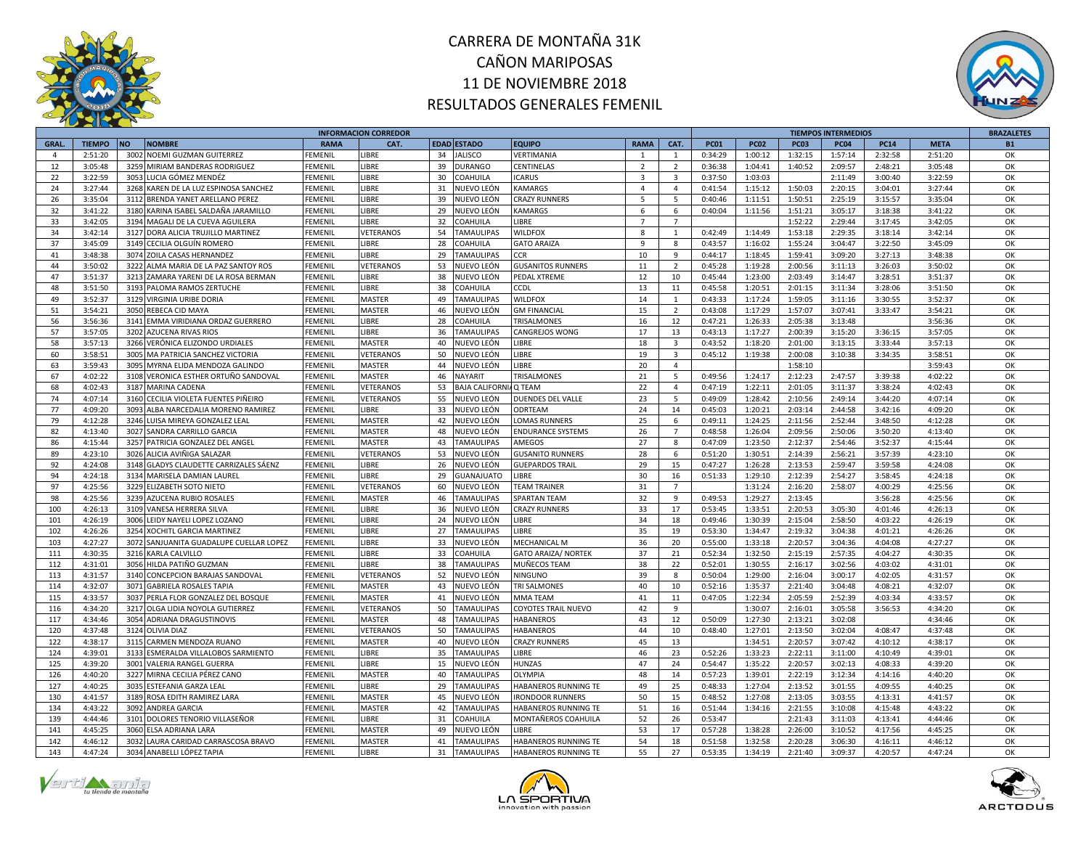



|              |               |           |                                        |                | <b>INFORMACION CORREDOR</b> |    |                          |                             |                |                                  |             |             |             | <b>TIEMPOS INTERMEDIOS</b> |             |             | <b>BRAZALETES</b> |
|--------------|---------------|-----------|----------------------------------------|----------------|-----------------------------|----|--------------------------|-----------------------------|----------------|----------------------------------|-------------|-------------|-------------|----------------------------|-------------|-------------|-------------------|
| <b>GRAL.</b> | <b>TIEMPO</b> | <b>NO</b> | <b>NOMBRE</b>                          | <b>RAMA</b>    | CAT.                        |    | <b>EDAD ESTADO</b>       | <b>EQUIPO</b>               | <b>RAMA</b>    | CAT.                             | <b>PC01</b> | <b>PC02</b> | <b>PC03</b> | <b>PC04</b>                | <b>PC14</b> | <b>META</b> | <b>B1</b>         |
| $\mathbf{A}$ | 2:51:20       | 3002      | NOEMI GUZMAN GUITERREZ                 | <b>FEMENII</b> | <b>IBRE</b>                 | 34 | <b>JALISCO</b>           | VERTIMANIA                  | $\mathbf{1}$   | $\overline{1}$                   | 0:34:29     | 1:00:12     | 1:32:15     | 1:57:14                    | 2:32:58     | 2:51:20     | OK                |
| 12           | 3:05:48       |           | 3259 MIRIAM BANDERAS RODRIGUEZ         | FEMENII        | <b>IBRE</b>                 | 39 | DURANGO                  | CENTINELAS                  | $\overline{2}$ | $\overline{2}$                   | 0:36:38     | 1:04:41     | 1:40:52     | 2:09:57                    | 2:48:21     | 3:05:48     | OK                |
| 22           | 3:22:59       |           | 3053 LUCIA GÓMEZ MENDÉZ                | FEMENIL        | <b>IBRE</b>                 | 30 | COAHUILA                 | <b>ICARUS</b>               | 3              | $\overline{\mathbf{3}}$          | 0:37:50     | 1:03:03     |             | 2:11:49                    | 3:00:40     | 3:22:59     | ОК                |
| 24           | 3:27:44       |           | 3268 KAREN DE LA LUZ ESPINOSA SANCHEZ  | <b>FEMENIL</b> | <b>LIBRE</b>                | 31 | NUEVO LEÓN               | KAMARGS                     | $\overline{4}$ | $\overline{4}$                   | 0:41:54     | 1:15:12     | 1:50:03     | 2:20:15                    | 3:04:01     | 3:27:44     | OK                |
| 26           | 3:35:04       | 3112      | BRENDA YANET ARELLANO PEREZ            | FEMENII        | <b>IBRE</b>                 | 39 | NUEVO LEÓN               | <b>CRAZY RUNNERS</b>        | $5^{\circ}$    | 5                                | 0:40:46     | 1:11:51     | 1:50:51     | 2:25:19                    | 3:15:57     | 3:35:04     | OK                |
| 32           | 3:41:22       |           | 3180 KARINA ISABEL SALDAÑA JARAMILLO   | FEMENIL        | <b>IBRE</b>                 | 29 | NUEVO LEÓN               | KAMARGS                     | 6              | 6                                | 0:40:04     | 1:11:56     | 1:51:21     | 3:05:17                    | 3:18:38     | 3:41:22     | ОK                |
| 33           | 3:42:05       | 3194      | MAGALI DE LA CUEVA AGUILERA            | <b>FEMENIL</b> | <b>IBRE</b>                 | 32 | <b>COAHUILA</b>          | <b>IBRE</b>                 | $\overline{7}$ | $\overline{7}$                   |             |             | 1:52:22     | 2:29:44                    | 3:17:45     | 3:42:05     | ОК                |
| 34           | 3:42:14       | 3127      | DORA ALICIA TRUJILLO MARTINEZ          | <b>FEMENIL</b> | VETERANOS                   | 54 | <b>TAMAULIPAS</b>        | <b>WILDFOX</b>              | 8              | $\overline{1}$                   | 0:42:49     | 1:14:49     | 1:53:18     | 2:29:35                    | 3:18:14     | 3:42:14     | OK                |
| 37           | 3:45:09       |           | 3149 CECILIA OLGUÍN ROMERO             | FEMENIL        | <b>IBRE</b>                 | 28 | COAHUILA                 | <b>GATO ARAIZA</b>          | 9              | 8                                | 0:43:57     | 1:16:02     | 1:55:24     | 3:04:47                    | 3:22:50     | 3:45:09     | ОK                |
| 41           | 3:48:38       | 3074      | ZOILA CASAS HERNANDEZ                  | FEMENII        | <b>IBRE</b>                 | 29 | TAMAULIPAS               | CCR                         | 10             | $\overline{9}$                   | 0:44:17     | 1:18:45     | 1:59:41     | 3:09:20                    | 3:27:13     | 3:48:38     | OK                |
| 44           | 3:50:02       |           | 3222 ALMA MARIA DE LA PAZ SANTOY ROS   | <b>FEMENIL</b> | VETERANOS                   | 53 | NUEVO LEÓN               | <b>GUSANITOS RUNNERS</b>    | 11             | $\overline{2}$                   | 0:45:28     | 1:19:28     | 2:00:56     | 3:11:13                    | 3:26:03     | 3:50:02     | OK                |
| 47           | 3:51:37       |           | 3213 ZAMARA YARENI DE LA ROSA BERMAN   | FEMENIL        | <b>IBRE</b>                 | 38 | NUEVO LEÓN               | PEDAL XTREME                | 12             | 10                               | 0:45:44     | 1:23:00     | 2:03:49     | 3:14:47                    | 3:28:51     | 3:51:37     | ОK                |
| 48           | 3:51:50       |           | 3193 PALOMA RAMOS ZERTUCHE             | FEMENIL        | <b>IBRE</b>                 | 38 | COAHUILA                 | CDL:                        | 13             | 11                               | 0:45:58     | 1:20:51     | 2:01:15     | 3:11:34                    | 3:28:06     | 3:51:50     | OK                |
| 49           | 3:52:37       |           | 3129 VIRGINIA URIBE DORIA              | <b>FEMENII</b> | MASTER                      | 49 | <b>TAMAULIPAS</b>        | WILDFOX                     | 14             | 1                                | 0:43:33     | 1:17:24     | 1:59:05     | 3:11:16                    | 3:30:55     | 3:52:37     | OK                |
| 51           | 3:54:21       |           | 3050 REBECA CID MAYA                   | <b>FEMENIL</b> | MASTER                      | 46 | NUEVO LEÓN               | <b>GM FINANCIAL</b>         | 15             | $\overline{2}$                   | 0:43:08     | 1:17:29     | 1:57:07     | 3:07:41                    | 3:33:47     | 3:54:21     | OK                |
| 56           | 3:56:36       | 3141      | EMMA VIRIDIANA ORDAZ GUERRERO          | FEMENII        | <b>IBRE</b>                 | 28 | COAHUILA                 | TRISALMONES                 | 16             | 12                               | 0:47:21     | 1:26:33     | 2:05:38     | 3:13:48                    |             | 3:56:36     | OK                |
| 57           | 3:57:05       |           | 3202 AZUCENA RIVAS RIOS                | FEMENIL        | <b>IBRE</b>                 | 36 | TAMAULIPAS               | CANGREJOS WONG              | 17             | 13                               | 0:43:13     | 1:17:27     | 2:00:39     | 3:15:20                    | 3:36:15     | 3:57:05     | OK                |
| 58           | 3:57:13       |           | 3266 VERÓNICA ELIZONDO URDIALES        | <b>FEMENIL</b> | MASTER                      | 40 | NUEVO LEÓN               | LIBRE                       | 18             | $\overline{\mathbf{3}}$          | 0:43:52     | 1:18:20     | 2:01:00     | 3:13:15                    | 3:33:44     | 3:57:13     | OK                |
| 60           | 3:58:51       | 3005      |                                        | FEMENII        | VETERANOS                   | 50 | NUEVO LEÓN               | <b>IBRE</b>                 | 19             | $\overline{\mathbf{3}}$          | 0:45:12     | 1:19:38     |             | 3:10:38                    | 3:34:35     | 3:58:51     | OK                |
| 63           | 3:59:43       |           | MA PATRICIA SANCHEZ VICTORIA           |                |                             |    |                          | <b>IBRE</b>                 | 20             |                                  |             |             | 2:00:08     |                            |             | 3:59:43     | OK                |
|              |               |           | 3095 MYRNA ELIDA MENDOZA GALINDO       | FEMENIL        | MASTER                      | 44 | NUEVO LEÓN               |                             |                | $\overline{4}$<br>$\overline{5}$ |             |             | 1:58:10     |                            |             |             | OK                |
| 67           | 4:02:22       |           | 3108 VERONICA ESTHER ORTUÑO SANDOVAL   | <b>FEMENIL</b> | <b>MASTER</b>               | 46 | <b>VAYARIT</b>           | TRISALMONES                 | 21             |                                  | 0:49:56     | 1:24:17     | 2:12:23     | 2:47:57                    | 3:39:38     | 4:02:22     |                   |
| 68           | 4:02:43       | 3187      | <b>MARINA CADENA</b>                   | FEMENIL        | VETERANOS                   | 53 | <b>BAJA CALIFORN</b>     | Q TEAM                      | 22             | $\overline{4}$                   | 0:47:19     | 1:22:11     | 2:01:05     | 3:11:37                    | 3:38:24     | 4:02:43     | OK                |
| 74           | 4:07:14       | 3160      | CECILIA VIOLETA FUENTES PIÑEIRO        | FEMENIL        | VETERANOS                   | 55 | NUEVO LEÓN               | DUENDES DEL VALLE           | 23             | 5                                | 0:49:09     | 1:28:42     | 2:10:56     | 2:49:14                    | 3:44:20     | 4:07:14     | OK                |
| 77           | 4:09:20       | 3093      | ALBA NARCEDALIA MORENO RAMIREZ         | FEMENIL        | <b>IBRE</b>                 | 33 | NUEVO LEÓN               | ODRTEAM                     | 24             | 14                               | 0:45:03     | 1:20:21     | 2:03:14     | 2:44:58                    | 3:42:16     | 4:09:20     | OK                |
| 79           | 4:12:28       | 3246      | LUISA MIREYA GONZALEZ LEAL             | <b>FEMENIL</b> | <b>MASTER</b>               | 42 | NUEVO LEÓN               | <b>LOMAS RUNNERS</b>        | 25             | 6                                | 0:49:11     | 1:24:25     | 2:11:56     | 2:52:44                    | 3:48:50     | 4:12:28     | OK                |
| 82           | 4:13:40       |           | 3027 SANDRA CARRILLO GARCIA            | FEMENIL        | MASTER                      | 48 | NUEVO LEÓN               | <b>ENDURANCE SYSTEMS</b>    | 26             | $\overline{7}$                   | 0:48:58     | 1:26:04     | 2:09:56     | 2:50:06                    | 3:50:20     | 4:13:40     | OK                |
| 86           | 4:15:44       |           | 3257 PATRICIA GONZALEZ DEL ANGEL       | FEMENIL        | MASTER                      | 43 | <b>TAMAULIPAS</b>        | AMEGOS                      | 27             | 8                                | 0:47:09     | 1:23:50     | 2:12:37     | 2:54:46                    | 3:52:37     | 4:15:44     | OK                |
| 89           | 4:23:10       | 3026      | ALICIA AVIÑIGA SALAZAR                 | <b>FEMENIL</b> | VETERANOS                   | 53 | NUEVO LEÓN               | <b>GUSANITO RUNNERS</b>     | 28             | 6                                | 0:51:20     | 1:30:51     | 2:14:39     | 2:56:21                    | 3:57:39     | 4:23:10     | OK                |
| 92           | 4:24:08       |           | 3148 GLADYS CLAUDETTE CARRIZALES SÁENZ | <b>FEMENIL</b> | <b>IBRE</b>                 | 26 | NUEVO LEÓN               | <b>GUEPARDOS TRAIL</b>      | 29             | 15                               | 0:47:27     | 1:26:28     | 2:13:53     | 2:59:47                    | 3:59:58     | 4:24:08     | OK                |
| 94           | 4:24:18       |           | 3134 MARISELA DAMIAN LAUREI            | FEMENII        | <b>LIBRE</b>                | 29 | <b>GUANAJUATO</b>        | <b>IBRE</b>                 | 30             | 16                               | 0:51:33     | 1:29:10     | 2:12:39     | 2:54:27                    | 3:58:45     | 4:24:18     | OK                |
| 97           | 4:25:56       |           | 3229 ELIZABETH SOTO NIETO              | FEMENII        | VETERANOS                   | 60 | NUEVO LEÓN               | <b>FEAM TRAINER</b>         | 31             | $\overline{7}$                   |             | 1:31:24     | 2:16:20     | 2:58:07                    | 4:00:29     | 4:25:56     | OK                |
| 98           | 4:25:56       | 3239      | AZUCENA RUBIO ROSALES                  | <b>FEMENIL</b> | MASTER                      | 46 | <b>TAMAULIPAS</b>        | <b>SPARTAN TEAM</b>         | 32             | $\overline{9}$                   | 0:49:53     | 1:29:27     | 2:13:45     |                            | 3:56:28     | 4:25:56     | OK                |
| 100          | 4:26:13       |           | 3109 VANESA HERRERA SILVA              | FEMENII        | <b>LIBRE</b>                | 36 | NUEVO LEÓN               | <b>CRAZY RUNNERS</b>        | 33             | 17                               | 0:53:45     | 1:33:51     | 2:20:53     | 3:05:30                    | 4:01:46     | 4:26:13     | OK                |
| 101          | 4:26:19       |           | 3006 LEIDY NAYELI LOPEZ LOZANO         | <b>FEMENIL</b> | <b>IBRE</b>                 | 24 | NUEVO LEÓN               | <b>IBRE</b>                 | 34             | 18                               | 0:49:46     | 1:30:39     | 2:15:04     | 2:58:50                    | 4:03:22     | 4:26:19     | OK                |
| 102          | 4:26:26       |           | 3254 XOCHITL GARCIA MARTINEZ           | <b>FEMENIL</b> | <b>IBRE</b>                 | 27 | <b><i>FAMAULIPAS</i></b> | <b>IBRE</b>                 | 35             | 19                               | 0:53:30     | 1:34:47     | 2:19:32     | 3:04:38                    | 4:01:21     | 4:26:26     | OK                |
| 103          | 4:27:27       | 3072      | SANJUANITA GUADALUPE CUELLAR LOPEZ     | FEMENII        | <b>IBRE</b>                 | 33 | NUEVO LEÓN               | MECHANICAL M                | 36             | 20                               | 0:55:00     | 1:33:18     | 2:20:57     | 3:04:36                    | 4:04:08     | 4:27:27     | OK                |
| 111          | 4:30:35       |           | 3216 KARLA CALVILLO                    | FEMENIL        | <b>IBRE</b>                 | 33 | COAHUILA                 | <b>GATO ARAIZA/ NORTEK</b>  | 37             | 21                               | 0:52:34     | 1:32:50     | 2:15:19     | 2:57:35                    | 4:04:27     | 4:30:35     | OK                |
| 112          | 4:31:01       |           | 3056 HILDA PATIÑO GUZMAN               | FEMENIL        | <b>IBRE</b>                 | 38 | <b>TAMAULIPAS</b>        | MUÑECOS TEAM                | 38             | 22                               | 0:52:01     | 1:30:55     | 2:16:17     | 3:02:56                    | 4:03:02     | 4:31:01     | OK                |
| 113          | 4:31:57       | 3140      | CONCEPCION BARAJAS SANDOVAL            | FEMENII        | VETERANOS                   | 52 | NUEVO LEÓN               | NINGUNO                     | 39             | 8                                | 0:50:04     | 1:29:00     | 2:16:04     | 3:00:17                    | 4:02:05     | 4:31:57     | OK                |
| 114          | 4:32:07       |           | 3071 GABRIELA ROSALES TAPIA            | FEMENIL        | <b>MASTER</b>               | 43 | NUEVO LEÓN               | <b>TRI SALMONES</b>         | 40             | 10                               | 0:52:16     | 1:35:37     | 2:21:40     | 3:04:48                    | 4:08:21     | 4:32:07     | ОК                |
| 115          | 4:33:57       | 3037      | PERLA FLOR GONZALEZ DEL BOSQUE         | <b>FEMENII</b> | MASTER                      | 41 | IUEVO LEÓN               | <b>MMA TEAM</b>             | 41             | 11                               | 0:47:05     | 1:22:34     | 2:05:59     | 2:52:39                    | 4:03:34     | 4:33:57     | OK                |
| 116          | 4:34:20       |           | 3217 OLGA LIDIA NOYOLA GUTIERREZ       | FEMENII        | VETERANOS                   | 50 | TAMAULIPAS               | COYOTES TRAIL NUEVO         | 42             | 9                                |             | 1:30:07     | 2:16:01     | 3:05:58                    | 3:56:53     | 4:34:20     | OK                |
| 117          | 4:34:46       |           | 3054 ADRIANA DRAGUSTINOVIS             | FEMENIL        | <b>MASTER</b>               | 48 | TAMAULIPAS               | HABANEROS                   | 43             | 12                               | 0:50:09     | 1:27:30     | 2:13:21     | 3:02:08                    |             | 4:34:46     | ОК                |
| 120          | 4:37:48       |           | 3124 OLIVIA DIAZ                       | FEMENIL        | VETERANOS                   | 50 | <b>TAMAULIPAS</b>        | <b>HABANEROS</b>            | 44             | 10                               | 0:48:40     | 1:27:01     | 2:13:50     | 3:02:04                    | 4:08:47     | 4:37:48     | OK                |
| 122          | 4:38:17       | 3115      | CARMEN MENDOZA RUANO                   | <b>FEMENII</b> | MASTER                      | 40 | NUEVO LEÓN               | <b>CRAZY RUNNERS</b>        | 45             | 13                               |             | 1:34:51     | 2:20:57     | 3:07:42                    | 4:10:12     | 4:38:17     | OK                |
| 124          | 4:39:01       |           | 3133 ESMERALDA VILLALOBOS SARMIENTO    | FEMENIL        | <b>IBRE</b>                 | 35 | TAMAULIPAS               | <b>IBRE</b>                 | 46             | 23                               | 0:52:26     | 1:33:23     | 2:22:11     | 3:11:00                    | 4:10:49     | 4:39:01     | OK                |
| 125          | 4:39:20       |           | 3001 VALERIA RANGEL GUERRA             | FEMENIL        | <b>IBRE</b>                 | 15 | NUEVO LEÓN               | HUNZAS                      | 47             | 24                               | 0:54:47     | 1:35:22     | 2:20:57     | 3:02:13                    | 4:08:33     | 4:39:20     | OK                |
| 126          | 4:40:20       |           | 3227 MIRNA CECILIA PÉREZ CANO          | <b>FEMENIL</b> | MASTER                      | 40 | <b>TAMAULIPAS</b>        | OLYMPIA                     | 48             | 14                               | 0:57:23     | 1:39:01     | 2:22:19     | 3:12:34                    | 4:14:16     | 4:40:20     | OK                |
| 127          | 4:40:25       |           | 3035 ESTEFANIA GARZA LEAL              | FEMENIL        | <b>IBRE</b>                 | 29 | <b>TAMAULIPAS</b>        | HABANEROS RUNNING TE        | 49             | 25                               | 0:48:33     | 1:27:04     | 2:13:52     | 3:01:55                    | 4:09:55     | 4:40:25     | OK                |
| 130          | 4:41:57       |           | 3189 ROSA EDITH RAMIREZ LARA           | FEMENIL        | <b>MASTER</b>               | 45 | NUEVO LEÓN               | <b>IRONDOOR RUNNERS</b>     | 50             | 15                               | 0:48:52     | 1:27:08     | 2:13:05     | 3:03:55                    | 4:13:31     | 4:41:57     | OK                |
| 134          | 4:43:22       |           | 3092 ANDREA GARCIA                     | FEMENIL        | MASTER                      | 42 | <b>TAMAULIPAS</b>        | HABANEROS RUNNING TE        | 51             | 16                               | 0:51:44     | 1:34:16     | 2:21:55     | 3:10:08                    | 4:15:48     | 4:43:22     | OK                |
| 139          | 4:44:46       | 3101      | DOLORES TENORIO VILLASEÑOR             | FEMENIL        | <b>IBRE</b>                 | 31 | <b>OAHUILA</b>           | MONTAÑEROS COAHUILA         | 52             | 26                               | 0:53:47     |             | 2:21:43     | 3:11:03                    | 4:13:41     | 4:44:46     | OK                |
| 141          | 4:45:25       | 3060      | ELSA ADRIANA LARA                      | FEMENII        | MASTER                      | 49 | NUEVO LEÓN               | <b>IBRE</b>                 | 53             | 17                               | 0:57:28     | 1:38:28     | 2:26:00     | 3:10:52                    | 4:17:56     | 4:45:25     | OK                |
| 142          | 4:46:12       | 3032      | LAURA CARIDAD CARRASCOSA BRAVO         | FEMENIL        | MASTER                      | 41 | <b>TAMAULIPAS</b>        | <b>HABANEROS RUNNING TE</b> | 54             | 18                               | 0:51:58     | 1:32:58     | 2:20:28     | 3:06:30                    | 4:16:11     | 4:46:12     | OK                |
| 143          | 4:47:24       | 3034      | ANABELLI LÓPEZ TAPIA                   | <b>FEMENIL</b> | LIBRE                       | 31 | <b>TAMAULIPAS</b>        | <b>HABANEROS RUNNING TE</b> | 55             | 27                               | 0:53:35     | 1:34:19     | 2:21:40     | 3:09:37                    | 4:20:57     | 4:47:24     | OK                |





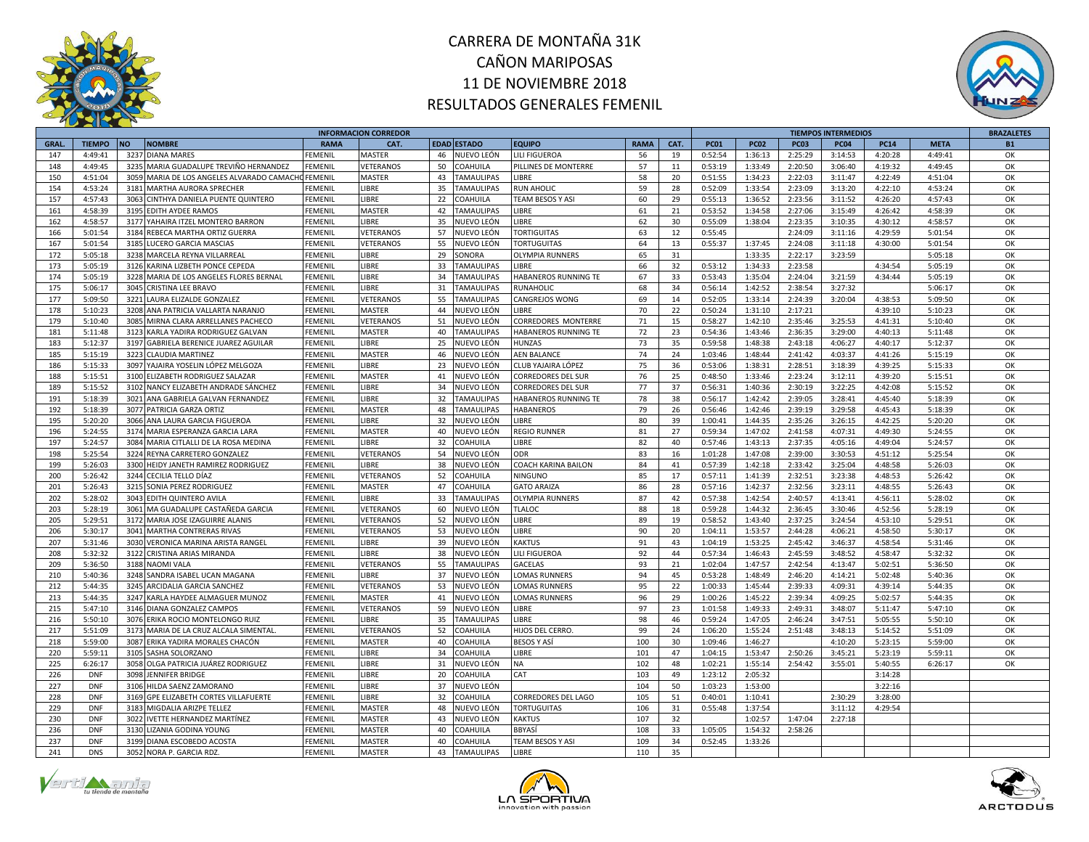



|              |               |                                            |             | <b>INFORMACION CORREDOR</b> |                         |                         |             |      |             |             |             | <b>TIEMPOS INTERMEDIOS</b> |             |             | <b>BRAZALETES</b> |
|--------------|---------------|--------------------------------------------|-------------|-----------------------------|-------------------------|-------------------------|-------------|------|-------------|-------------|-------------|----------------------------|-------------|-------------|-------------------|
| <b>GRAL.</b> | <b>TIEMPO</b> | <b>NOMBRE</b><br><b>NO</b>                 | <b>RAMA</b> | CAT.                        | <b>EDAD ESTADO</b>      | <b>EQUIPO</b>           | <b>RAMA</b> | CAT. | <b>PC01</b> | <b>PC02</b> | <b>PC03</b> | <b>PC04</b>                | <b>PC14</b> | <b>META</b> | <b>B1</b>         |
| 147          | 4:49:41       | 3237 DIANA MARES                           | FEMENIL     | <b>MASTER</b>               | 46<br>NUEVO LEÓN        | LILI FIGUEROA           | 56          | 19   | 0:52:54     | 1:36:13     | 2:25:29     | 3:14:53                    | 4:20:28     | 4:49:41     | OK                |
| 148          | 4:49:45       | 3235 MARIA GUADALUPE TREVIÑO HERNANDEZ     | FEMENIL     | VETERANOS                   | 50<br>COAHUILA          | PILLINES DE MONTERRE    | 57          | 11   | 0:53:19     | 1:33:49     | 2:20:50     | 3:06:40                    | 4:19:32     | 4:49:45     | OK                |
| 150          | 4:51:04       | 3059 MARIA DE LOS ANGELES ALVARADO CAMACHO | FEMENIL     | <b>MASTER</b>               | 43<br><b>TAMAULIPAS</b> | LIBRE                   | 58          | 20   | 0:51:55     | 1:34:23     | 2:22:03     | 3:11:47                    | 4:22:49     | 4:51:04     | OK                |
| 154          | 4:53:24       | 3181 MARTHA AURORA SPRECHER                | FEMENIL     | LIBRE                       | 35<br><b>TAMAULIPAS</b> | <b>RUN AHOLIC</b>       | 59          | 28   | 0:52:09     | 1:33:54     | 2:23:09     | 3:13:20                    | 4:22:10     | 4:53:24     | OK                |
| 157          | 4:57:43       | 3063 CINTHYA DANIELA PUENTE QUINTERO       | FEMENIL     | LIBRE                       | 22<br>COAHUILA          | TEAM BESOS Y ASI        | 60          | 29   | 0:55:13     | 1:36:52     | 2:23:56     | 3:11:52                    | 4:26:20     | 4:57:43     | OK                |
| 161          | 4:58:39       | 3195 EDITH AYDEE RAMOS                     | FEMENIL     | <b>MASTER</b>               | 42<br><b>TAMAULIPAS</b> | LIBRE                   | 61          | 21   | 0:53:52     | 1:34:58     | 2:27:06     | 3:15:49                    | 4:26:42     | 4:58:39     | OK                |
| 162          | 4:58:57       | 3177 YAHAIRA ITZEL MONTERO BARRON          | FEMENIL     | <b>IBRE</b>                 | 35<br>NUEVO LEÓN        | LIBRE                   | 62          | 30   | 0:55:09     | 1:38:04     | 2:23:35     | 3:10:35                    | 4:30:12     | 4:58:57     | OK                |
| 166          | 5:01:54       | 3184 REBECA MARTHA ORTIZ GUERRA            | FEMENIL     | VETERANOS                   | 57<br>NUEVO LEÓN        | <b>TORTIGUITAS</b>      | 63          | 12   | 0:55:45     |             | 2:24:09     | 3:11:16                    | 4:29:59     | 5:01:54     | OK                |
| 167          | 5:01:54       | 3185 LUCERO GARCIA MASCIAS                 | FEMENIL     | VETERANOS                   | 55<br>NUEVO LEÓN        | <b>TORTUGUITAS</b>      | 64          | 13   | 0:55:37     | 1:37:45     | 2:24:08     | 3:11:18                    | 4:30:00     | 5:01:54     | ОK                |
| 172          | 5:05:18       | 3238 MARCELA REYNA VILLARREAL              | FEMENIL     | LIBRE                       | 29<br><b>ONORA</b>      | OLYMPIA RUNNERS         | 65          | 31   |             | 1:33:35     | 2:22:17     | 3:23:59                    |             | 5:05:18     | OK                |
| 173          | 5:05:19       | 3126 KARINA LIZBETH PONCE CEPEDA           | FEMENIL     | LIBRE                       | 33<br><b>TAMAULIPAS</b> | LIBRE                   | 66          | 32   | 0:53:12     | 1:34:33     | 2:23:58     |                            | 4:34:54     | 5:05:19     | OK                |
| 174          | 5:05:19       | 3228 MARIA DE LOS ANGELES FLORES BERNAL    | FEMENIL     | LIBRE                       | 34<br><b>TAMAULIPAS</b> | HABANEROS RUNNING TE    | 67          | 33   | 0:53:43     | 1:35:04     | 2:24:04     | 3:21:59                    | 4:34:44     | 5:05:19     | OK                |
| 175          | 5:06:17       | 3045 CRISTINA LEE BRAVO                    | FEMENIL     | LIBRE                       | 31<br><b>TAMAULIPAS</b> | RUNAHOLIC               | 68          | 34   | 0:56:14     | 1:42:52     | 2:38:54     | 3:27:32                    |             | 5:06:17     | OK                |
| 177          | 5:09:50       | 3221 LAURA ELIZALDE GONZALEZ               | FEMENIL     | VETERANOS                   | 55<br><b>AMAULIPAS</b>  | CANGREJOS WONG          | 69          | 14   | 0:52:05     | 1:33:14     | 2:24:39     | 3:20:04                    | 4:38:53     | 5:09:50     | OK                |
| 178          | 5:10:23       | 3208 ANA PATRICIA VALLARTA NARANJO         | FEMENIL     | <b>MASTER</b>               | 44<br>NUEVO LEÓN        | <b>IBRE</b>             | 70          | 22   | 0:50:24     | 1:31:10     | 2:17:21     |                            | 4:39:10     | 5:10:23     | OK                |
| 179          | 5:10:40       | 3085 MIRNA CLARA ARRELLANES PACHECO        | FEMENIL     | VETERANOS                   | 51<br>NUEVO LEÓN        | CORREDORES MONTERRE     | 71          | 15   | 0:58:27     | 1:42:10     | 2:35:46     | 3:25:53                    | 4:41:31     | 5:10:40     | OK                |
| 181          | 5:11:48       | 3123 KARLA YADIRA RODRIGUEZ GALVAN         | FEMENIL     | <b>MASTER</b>               | 40<br><b>TAMAULIPAS</b> | HABANEROS RUNNING TE    | 72          | 23   | 0:54:36     | 1:43:46     | 2:36:35     | 3:29:00                    | 4:40:13     | 5:11:48     | OK                |
| 183          | 5:12:37       | 3197 GABRIELA BERENICE JUAREZ AGUILAR      | FEMENIL     | LIBRE                       | NUEVO LEÓN<br>25        | HUNZAS                  | 73          | 35   | 0:59:58     | 1:48:38     | 2:43:18     | 4:06:27                    | 4:40:17     | 5:12:37     | OK                |
| 185          | 5:15:19       | 3223 CLAUDIA MARTINEZ                      | FEMENIL     | <b>MASTER</b>               | 46<br>NUEVO LEÓN        | <b>AEN BALANCE</b>      | 74          | 24   | 1:03:46     | 1:48:44     | 2:41:42     | 4:03:37                    | 4:41:26     | 5:15:19     | OK                |
| 186          | 5:15:33       | 3097 YAJAIRA YOSELIN LÓPEZ MELGOZA         | FEMENIL     | <b>IBRE</b>                 | 23<br>NUEVO LEÓN        | CLUB YAJAIRA LÓPEZ      | 75          | 36   | 0:53:06     | 1:38:31     | 2:28:51     | 3:18:39                    | 4:39:25     | 5:15:33     | OK                |
| 188          | 5:15:51       | 3100 ELIZABETH RODRIGUEZ SALAZAR           | FEMENIL     | MASTER                      | 41<br>NUEVO LEÓN        | CORREDORES DEL SUR      | 76          | 25   | 0:48:50     | 1:33:46     | 2:23:24     | 3:12:11                    | 4:39:20     | 5:15:51     | OK                |
| 189          | 5:15:52       |                                            | FEMENIL     | LIBRE                       | NUEVO LEÓN<br>34        |                         | 77          | 37   |             | 1:40:36     | 2:30:19     | 3:22:25                    | 4:42:08     | 5:15:52     | OK                |
|              |               | 3102<br>NANCY ELIZABETH ANDRADE SÁNCHEZ    |             |                             |                         | CORREDORES DEL SUR      |             |      | 0:56:31     |             |             |                            |             |             |                   |
| 191          | 5:18:39       | 3021 ANA GABRIELA GALVAN FERNANDEZ         | FEMENIL     | LIBRE                       | <b>TAMAULIPAS</b><br>32 | HABANEROS RUNNING TE    | 78          | 38   | 0:56:17     | 1:42:42     | 2:39:05     | 3:28:41                    | 4:45:40     | 5:18:39     | OK                |
| 192          | 5:18:39       | 3077 PATRICIA GARZA ORTIZ                  | FEMENIL     | <b>MASTER</b>               | 48<br><b>TAMAULIPAS</b> | HABANEROS               | 79          | 26   | 0:56:46     | 1:42:46     | 2:39:19     | 3:29:58                    | 4:45:43     | 5:18:39     | OK                |
| 195          | 5:20:20       | 3066 ANA LAURA GARCIA FIGUEROA             | FEMENIL     | <b>LIBRE</b>                | 32<br>NUEVO LEÓN        | <b>IBRE</b>             | 80          | 39   | 1:00:41     | 1:44:35     | 2:35:26     | 3:26:15                    | 4:42:25     | 5:20:20     | OK                |
| 196          | 5:24:55       | 3174 MARIA ESPERANZA GARCIA LARA           | FEMENIL     | MASTER                      | 40<br>NUEVO LEÓN        | REGIO RUNNER            | 81          | 27   | 0:59:34     | 1:47:02     | 2:41:58     | 4:07:31                    | 4:49:30     | 5:24:55     | OK                |
| 197          | 5:24:57       | 3084<br>MARIA CITLALLI DE LA ROSA MEDINA   | FEMENIL     | LIBRE                       | 32<br><b>COAHUILA</b>   | LIBRE                   | 82          | 40   | 0:57:46     | 1:43:13     | 2:37:35     | 4:05:16                    | 4:49:04     | 5:24:57     | OK                |
| 198          | 5:25:54       | 3224 REYNA CARRETERO GONZALEZ              | FEMENIL     | VETERANOS                   | 54<br>NUEVO LEÓN        | ODR                     | 83          | 16   | 1:01:28     | 1:47:08     | 2:39:00     | 3:30:53                    | 4:51:12     | 5:25:54     | OK                |
| 199          | 5:26:03       | 3300 HEIDY JANETH RAMIREZ RODRIGUEZ        | FEMENIL     | LIBRE                       | 38<br>NUEVO LEÓN        | COACH KARINA BAILON     | 84          | 41   | 0:57:39     | 1:42:18     | 2:33:42     | 3:25:04                    | 4:48:58     | 5:26:03     | OK                |
| 200          | 5:26:42       | 3244 CECILIA TELLO DÍAZ                    | FEMENIL     | VETERANOS                   | 52<br>COAHUILA          | NINGUNO                 | 85          | 17   | 0:57:11     | 1:41:39     | 2:32:51     | 3:23:38                    | 4:48:53     | 5:26:42     | OK                |
| 201          | 5:26:43       | 3215 SONIA PEREZ RODRIGUEZ                 | FEMENIL     | MASTER                      | 47<br><b>COAHUILA</b>   | <b>GATO ARAIZA</b>      | 86          | 28   | 0:57:16     | 1:42:37     | 2:32:56     | 3:23:11                    | 4:48:55     | 5:26:43     | ОК                |
| 202          | 5:28:02       | 3043 EDITH QUINTERO AVILA                  | FEMENIL     | <b>IBRE</b>                 | 33<br><b>TAMAULIPAS</b> | <b>OLYMPIA RUNNERS</b>  | 87          | 42   | 0:57:38     | 1:42:54     | 2:40:57     | 4:13:41                    | 4:56:11     | 5:28:02     | OK                |
| 203          | 5:28:19       | 3061 MA GUADALUPE CASTAÑEDA GARCIA         | FEMENIL     | VETERANOS                   | 60<br>NUEVO LEÓN        | <b>TLALOC</b>           | 88          | 18   | 0:59:28     | 1:44:32     | 2:36:45     | 3:30:46                    | 4:52:56     | 5:28:19     | OK                |
| 205          | 5:29:51       | 3172 MARIA JOSE IZAGUIRRE ALANIS           | FEMENIL     | VETERANOS                   | 52<br>NUEVO LEÓN        | <b>IBRE</b>             | 89          | 19   | 0:58:52     | 1:43:40     | 2:37:25     | 3:24:54                    | 4:53:10     | 5:29:51     | OK                |
| 206          | 5:30:17       | 3041 MARTHA CONTRERAS RIVAS                | FEMENIL     | <b>/ETERANOS</b>            | 53<br>NUEVO LEÓN        | <b>IBRE</b>             | 90          | 20   | 1:04:11     | 1:53:57     | 2:44:28     | 4:06:21                    | 4:58:50     | 5:30:17     | OK                |
| 207          | 5:31:46       | 3030<br>VERONICA MARINA ARISTA RANGEL      | FEMENIL     | LIBRE                       | 39<br>NUEVO LEÓN        | KAKTUS                  | 91          | 43   | 1:04:19     | 1:53:25     | 2:45:42     | 3:46:37                    | 4:58:54     | 5:31:46     | OK                |
| 208          | 5:32:32       | 3122 CRISTINA ARIAS MIRANDA                | FEMENIL     | LIBRE                       | 38<br>NUEVO LEÓN        | LILI FIGUEROA           | 92          | 44   | 0:57:34     | 1:46:43     | 2:45:59     | 3:48:52                    | 4:58:47     | 5:32:32     | OK                |
| 209          | 5:36:50       | 3188 NAOMI VALA                            | FEMENIL     | VETERANOS                   | <b>TAMAULIPAS</b><br>55 | GACELAS                 | 93          | 21   | 1:02:04     | 1:47:57     | 2:42:54     | 4:13:47                    | 5:02:51     | 5:36:50     | OK                |
| 210          | 5:40:36       | 3248 SANDRA ISABEL UCAN MAGANA             | FEMENIL     | LIBRE                       | 37<br>NUEVO LEÓN        | OMAS RUNNERS            | 94          | 45   | 0:53:28     | 1:48:49     | 2:46:20     | 4:14:21                    | 5:02:48     | 5:40:36     | OK                |
| 212          | 5:44:35       | 3245 ARCIDALIA GARCIA SANCHEZ              | FEMENIL     | VETERANOS                   | 53<br>NUEVO LEÓN        | LOMAS RUNNERS           | 95          | 22   | 1:00:33     | 1:45:44     | 2:39:33     | 4:09:31                    | 4:39:14     | 5:44:35     | OK                |
| 213          | 5:44:35       | 3247 KARLA HAYDEE ALMAGUER MUNOZ           | FEMENIL     | <b>MASTER</b>               | 41<br>NUEVO LEÓN        | LOMAS RUNNERS           | 96          | 29   | 1:00:26     | 1:45:22     | 2:39:34     | 4:09:25                    | 5:02:57     | 5:44:35     | OK                |
| 215          | 5:47:10       | 3146 DIANA GONZALEZ CAMPOS                 | FEMENIL     | VETERANOS                   | 59<br>NUEVO LEÓN        | LIBRE                   | 97          | 23   | 1:01:58     | 1:49:33     | 2:49:31     | 3:48:07                    | 5:11:47     | 5:47:10     | OK                |
| 216          | 5:50:10       | 3076 ERIKA ROCIO MONTELONGO RUIZ           | FEMENIL     | <b>IBRE</b>                 | <b>TAMAULIPAS</b><br>35 | LIBRE                   | 98          | 46   | 0:59:24     | 1:47:05     | 2:46:24     | 3:47:51                    | 5:05:55     | 5:50:10     | OK                |
| 217          | 5:51:09       | 3173 MARIA DE LA CRUZ ALCALA SIMENTAL      | FEMENIL     | VETERANOS                   | <b>COAHUILA</b><br>52   | HIJOS DEL CERRO.        | 99          | 24   | 1:06:20     | 1:55:24     | 2:51:48     | 3:48:13                    | 5:14:52     | 5:51:09     | OK                |
| 218          | 5:59:00       | 3087 ERIKA YADIRA MORALES CHACÓN           | FEMENIL     | MASTER                      | 40<br>COAHUILA          | BESOS Y ASÍ             | 100         | 30   | 1:09:46     | 1:46:27     |             | 4:10:20                    | 5:23:15     | 5:59:00     | OK                |
| 220          | 5:59:11       | 3105 SASHA SOLORZANO                       | FEMENIL     | LIBRE                       | 34<br>COAHUILA          | LIBRE                   | 101         | 47   | 1:04:15     | 1:53:47     | 2:50:26     | 3:45:21                    | 5:23:19     | 5:59:11     | ОК                |
| 225          | 6:26:17       | 3058 OLGA PATRICIA JUÁREZ RODRIGUEZ        | FEMENIL     | LIBRE                       | 31<br>NUEVO LEÓN        | NA                      | 102         | 48   | 1:02:21     | 1:55:14     | 2:54:42     | 3:55:01                    | 5:40:55     | 6:26:17     | OK                |
| 226          | <b>DNF</b>    | 3098 JENNIFER BRIDGE                       | FEMENIL     | LIBRE                       | 20<br><b>COAHUILA</b>   | CAT                     | 103         | 49   | 1:23:12     | 2:05:32     |             |                            | 3:14:28     |             |                   |
| 227          | <b>DNF</b>    | 3106 HILDA SAENZ ZAMORANO                  | FEMENIL     | LIBRE                       | 37<br>NUEVO LEÓN        |                         | 104         | 50   | 1:03:23     | 1:53:00     |             |                            | 3:22:16     |             |                   |
| 228          | <b>DNF</b>    | 3169 GPE ELIZABETH CORTES VILLAFUERTE      | FEMENIL     | LIBRE                       | 32<br>COAHUILA          | CORREDORES DEL LAGO     | 105         | 51   | 0:40:01     | 1:10:41     |             | 2:30:29                    | 3:28:00     |             |                   |
| 229          | <b>DNF</b>    | 3183 MIGDALIA ARIZPE TELLEZ                | FEMENIL     | MASTER                      | 48 NUEVO LEÓN           | <b>TORTUGUITAS</b>      | 106         | 31   | 0:55:48     | 1:37:54     |             | 3:11:12                    | 4:29:54     |             |                   |
| 230          | <b>DNF</b>    | 3022<br>IVETTE HERNANDEZ MARTÍNEZ          | FEMENIL     | MASTER                      | 43<br>NUEVO LEÓN        | KAKTUS                  | 107         | 32   |             | 1:02:57     | 1:47:04     | 2:27:18                    |             |             |                   |
| 236          | <b>DNF</b>    | 3130<br>LIZANIA GODINA YOUNG               | FEMENIL     | MASTER                      | 40<br>COAHUILA          | BBYASÍ                  | 108         | 33   | 1:05:05     | 1:54:32     | 2:58:26     |                            |             |             |                   |
| 237          | <b>DNF</b>    | DIANA ESCOBEDO ACOSTA<br>3199              | FEMENIL     | <b>MASTER</b>               | 40<br>COAHUILA          | <b>TEAM BESOS Y ASI</b> | 109         | 34   | 0:52:45     | 1:33:26     |             |                            |             |             |                   |
| 241          | <b>DNS</b>    | 3052 NORA P. GARCIA RDZ.                   | FEMENIL     | <b>MASTER</b>               | 43<br><b>TAMAULIPAS</b> | LIBRE                   | 110         | 35   |             |             |             |                            |             |             |                   |





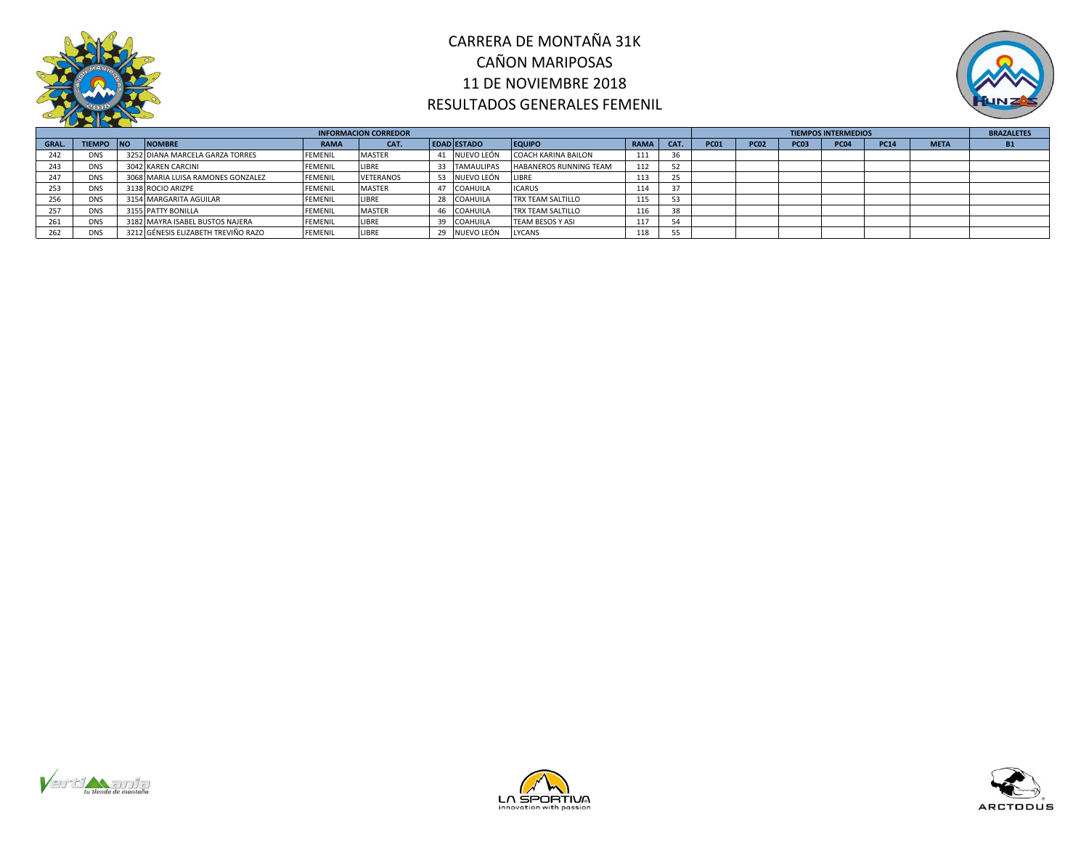



|             |            |                                     |                | <b>INFORMACION CORREDOR</b> |                    |                            |             |      |             |             |             | <b>TIEMPOS INTERMEDIOS</b> |             |             | <b>BRAZALETES</b> |
|-------------|------------|-------------------------------------|----------------|-----------------------------|--------------------|----------------------------|-------------|------|-------------|-------------|-------------|----------------------------|-------------|-------------|-------------------|
| <b>GRAL</b> | TIEMPO NO  | <b>NOMBRE</b>                       | <b>RAMA</b>    | CAT.                        | <b>EDAD ESTADO</b> | <b>EQUIPO</b>              | <b>RAMA</b> | CAT. | <b>PC01</b> | <b>PC02</b> | <b>PC03</b> | <b>PC04</b>                | <b>PC14</b> | <b>META</b> |                   |
|             | <b>DNS</b> | 3252 DIANA MARCELA GARZA TORRES     | <b>FEMENIL</b> | <b>MASTER</b>               | NUEVO LEÓN         | <b>COACH KARINA BAILON</b> | 111         |      |             |             |             |                            |             |             |                   |
| 243         | <b>DNS</b> | 3042 KAREN CARCINI                  | <b>FEMENIL</b> | LIBRE                       | 33 TAMAULIPAS      | HABANEROS RUNNING TEAM     | 112         | 52   |             |             |             |                            |             |             |                   |
| 247         | <b>DNS</b> | 3068 MARIA LUISA RAMONES GONZALEZ   | <b>FEMENIL</b> | <b>VETERANOS</b>            | NUEVO LEÓN         | <b>LIBRE</b>               | 113         | 25   |             |             |             |                            |             |             |                   |
| 253         | <b>DNS</b> | 3138 ROCIO ARIZPE                   | <b>FEMENIL</b> | <b>MASTER</b>               | COAHUILA           | <b>ICARUS</b>              | 114         |      |             |             |             |                            |             |             |                   |
|             | <b>DNS</b> | 3154 MARGARITA AGUILAR              | <b>FEMENIL</b> | LIBRE                       | 28 COAHUILA        | TRX TEAM SALTILLO          | 115         |      |             |             |             |                            |             |             |                   |
| 257         | <b>DNS</b> | 3155 PATTY BONILLA                  | <b>FEMENIL</b> | <b>MASTER</b>               | 46 COAHUILA        | TRX TEAM SALTILLO          | 116         | 38   |             |             |             |                            |             |             |                   |
| 261         | <b>DNS</b> | 3182 MAYRA ISABEL BUSTOS NAJERA     | <b>FEMENIL</b> | LIBRE                       | 39 COAHUILA        | TEAM BESOS Y ASI           | 117         | 54   |             |             |             |                            |             |             |                   |
|             | <b>DNS</b> | 3212 GÉNESIS ELIZABETH TREVIÑO RAZO | <b>FEMENIL</b> | LIBRE                       | NUEVO LEÓN         | <b>LYCANS</b>              | 118         | 55   |             |             |             |                            |             |             |                   |





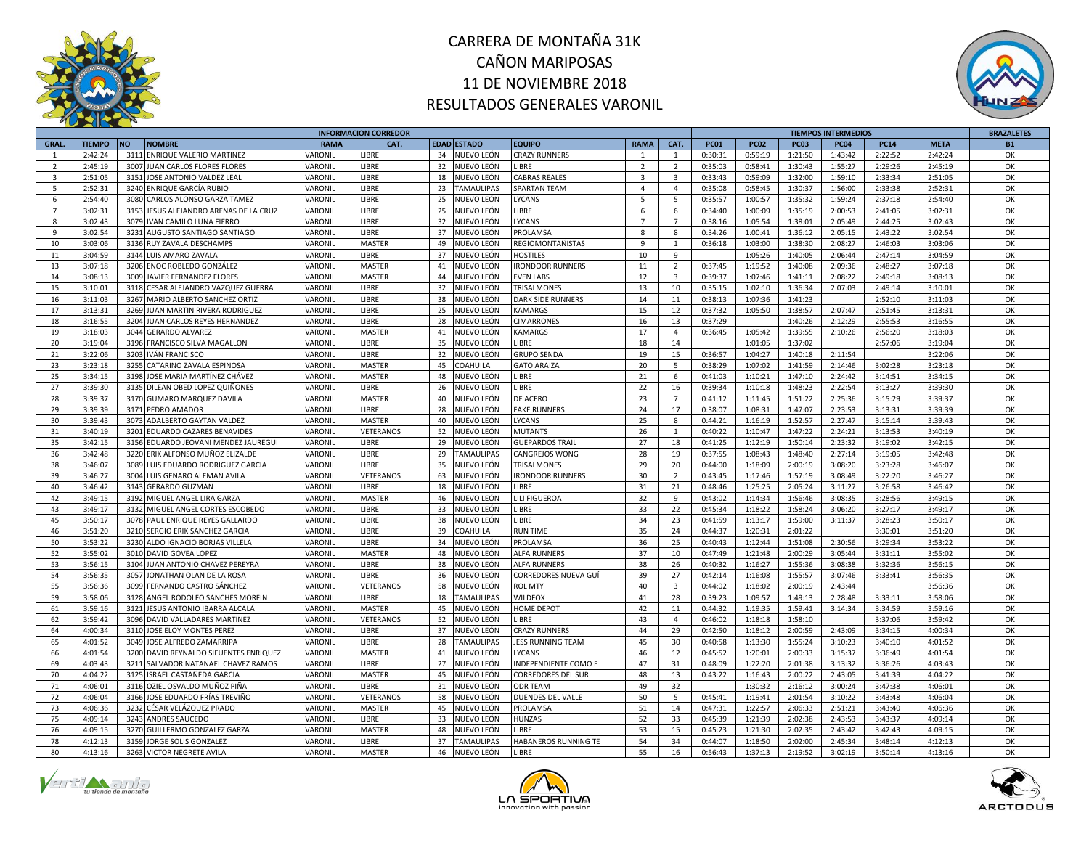



|                |               |                                        |                       | <b>INFORMACION CORREDOR</b> |    |                   |                           |                         |                         |             |             |             | <b>TIEMPOS INTERMEDIOS</b> |             |             | <b>BRAZALETES</b> |
|----------------|---------------|----------------------------------------|-----------------------|-----------------------------|----|-------------------|---------------------------|-------------------------|-------------------------|-------------|-------------|-------------|----------------------------|-------------|-------------|-------------------|
| <b>GRAL.</b>   | <b>TIEMPO</b> | <b>NOMBRE</b><br><b>NO</b>             | <b>RAMA</b>           | CAT.                        |    | EDAD ESTADO       | <b>EQUIPO</b>             | <b>RAMA</b>             | CAT.                    | <b>PC01</b> | <b>PC02</b> | <b>PC03</b> | <b>PC04</b>                | <b>PC14</b> | <b>META</b> | <b>B1</b>         |
| $\mathbf{1}$   | 2:42:24       | 3111 ENRIQUE VALERIO MARTINEZ          | <b><i>VARONIL</i></b> | <b>IBRE</b>                 | 34 | NUEVO LEÓN        | <b>CRAZY RUNNERS</b>      | $\overline{1}$          | $\mathbf{1}$            | 0:30:31     | 0:59:19     | 1:21:50     | 1:43:42                    | 2:22:52     | 2:42:24     | OK                |
| $\overline{2}$ | 2:45:19       | 3007 JUAN CARLOS FLORES FLORES         | VARONIL               | LIBRE                       | 32 | NUEVO LEÓN        | <b>IBRE</b>               | $\overline{2}$          | $\overline{2}$          | 0:35:03     | 0:58:41     | 1:30:43     | 1:55:27                    | 2:29:26     | 2:45:19     | OK                |
| 3              | 2:51:05       | 3151 JOSE ANTONIO VALDEZ LEAL          | VARONIL               | LIBRE                       | 18 | NUEVO LEÓN        | <b>CABRAS REALES</b>      | $\overline{\mathbf{3}}$ | $\overline{\mathbf{3}}$ | 0:33:43     | 0:59:09     | 1:32:00     | 1:59:10                    | 2:33:34     | 2:51:05     | OK                |
| $\overline{5}$ | 2:52:31       | 3240 ENRIQUE GARCÍA RUBIO              | VARONIL               | LIBRE                       | 23 | <b>TAMAULIPAS</b> | <b>SPARTAN TEAM</b>       | $\overline{4}$          | $\overline{4}$          | 0:35:08     | 0:58:45     | 1:30:37     | 1:56:00                    | 2:33:38     | 2:52:31     | OK                |
| 6              | 2:54:40       | 3080 CARLOS ALONSO GARZA TAMEZ         | <b><i>JARONIL</i></b> | LIBRE                       | 25 | NUEVO LEÓN        | <b>YCANS</b>              | 5                       | $5^{\circ}$             | 0:35:57     | 1:00:57     | 1:35:32     | 1:59:24                    | 2:37:18     | 2:54:40     | OK                |
| $\overline{7}$ | 3:02:31       | 3153 JESUS ALEJANDRO ARENAS DE LA CRUZ | VARONIL               | LIBRE                       | 25 | NUEVO LEÓN        | IBRE                      | 6                       | 6                       | 0:34:40     | 1:00:09     | 1:35:19     | 2:00:53                    | 2:41:05     | 3:02:31     | OK                |
| 8              | 3:02:43       | 3079 IVAN CAMILO LUNA FIERRO           | VARONIL               | LIBRE                       | 32 | NUEVO LEÓN        | YCANS.                    | $\overline{7}$          | $\overline{7}$          | 0:38:16     | 1:05:54     | 1:38:01     | 2:05:49                    | 2:44:25     | 3:02:43     | OK                |
| $\mathbf{q}$   | 3:02:54       | 3231 AUGUSTO SANTIAGO SANTIAGO         | <b><i>VARONIL</i></b> | LIBRE                       | 37 | NUEVO LEÓN        | PROLAMSA                  | 8                       | 8                       | 0:34:26     | 1:00:41     | 1:36:12     | 2:05:15                    | 2:43:22     | 3:02:54     | OK                |
| 10             | 3:03:06       | 3136 RUY ZAVALA DESCHAMPS              | VARONIL               | MASTER                      | 49 | NUEVO LEÓN        | REGIOMONTAÑISTAS          | $\mathbf{q}$            | 1                       | 0:36:18     | 1:03:00     | 1:38:30     | 2:08:27                    | 2:46:03     | 3:03:06     | ОK                |
| 11             | 3:04:59       | 3144 LUIS AMARO ZAVALA                 | VARONIL               | LIBRE                       | 37 | NUEVO LEÓN        | <b>HOSTILES</b>           | 10                      | 9                       |             | 1:05:26     | 1:40:05     | 2:06:44                    | 2:47:14     | 3:04:59     | OK                |
| 13             | 3:07:18       | 3206 ENOC ROBLEDO GONZÁLEZ             | VARONIL               | MASTER                      | 41 | NUEVO LEÓN        | <b>IRONDOOR RUNNERS</b>   | 11                      | $\overline{2}$          | 0:37:45     | 1:19:52     | 1:40:08     | 2:09:36                    | 2:48:27     | 3:07:18     | OK                |
| 14             | 3:08:13       | 3009 JAVIER FERNANDEZ FLORES           | VARONIL               | MASTER                      | 44 | NUEVO LEÓN        | <b>EVEN LABS</b>          | 12                      | $\overline{\mathbf{3}}$ | 0:39:37     | 1:07:46     | 1:41:11     | 2:08:22                    | 2:49:18     | 3:08:13     | OK                |
| 15             | 3:10:01       | 3118 CESAR ALEJANDRO VAZQUEZ GUERRA    | VARONIL               | LIBRE                       | 32 | IUEVO LEÓN        | TRISALMONES               | 13                      | 10                      | 0:35:15     | 1:02:10     | 1:36:34     | 2:07:03                    | 2:49:14     | 3:10:01     | OK                |
| 16             | 3:11:03       | 3267 MARIO ALBERTO SANCHEZ ORTIZ       | <b><i>VARONIL</i></b> | LIBRE                       | 38 | NUEVO LEÓN        | <b>DARK SIDE RUNNERS</b>  | 14                      | 11                      | 0:38:13     | 1:07:36     | 1:41:23     |                            | 2:52:10     | 3:11:03     | OK                |
| 17             | 3:13:31       |                                        | VARONIL               | LIBRE                       | 25 | NUEVO LEÓN        | <b>KAMARGS</b>            | 15                      | 12                      | 0:37:32     | 1:05:50     | 1:38:57     | 2:07:47                    | 2:51:45     | 3:13:31     | OK                |
|                |               | 3269 JUAN MARTIN RIVERA RODRIGUEZ      |                       |                             |    |                   |                           |                         |                         |             |             |             |                            |             |             |                   |
| 18             | 3:16:55       | 3204 JUAN CARLOS REYES HERNANDEZ       | VARONIL               | LIBRE                       | 28 | NUEVO LEÓN        | <b>CIMARRONES</b>         | 16                      | 13                      | 0:37:29     |             | 1:40:26     | 2:12:29                    | 2:55:53     | 3:16:55     | OK                |
| 19             | 3:18:03       | 3044 GERARDO ALVAREZ                   | <b><i>JARONIL</i></b> | MASTER                      | 41 | IUEVO LEÓN        | <b>KAMARGS</b>            | 17                      | $\overline{4}$          | 0:36:45     | 1:05:42     | 1:39:55     | 2:10:26                    | 2:56:20     | 3:18:03     | OK                |
| 20             | 3:19:04       | 3196 FRANCISCO SILVA MAGALLON          | VARONIL               | LIBRE                       | 35 | NUEVO LEÓN        | <b>IBRE</b>               | 18                      | 14                      |             | 1:01:05     | 1:37:02     |                            | 2:57:06     | 3:19:04     | OK                |
| 21             | 3:22:06       | 3203 IVÁN FRANCISCO                    | VARONIL               | LIBRE                       | 32 | NUEVO LEÓN        | <b>GRUPO SENDA</b>        | 19                      | 15                      | 0:36:57     | 1:04:27     | 1:40:18     | 2:11:54                    |             | 3:22:06     | OK                |
| 23             | 3:23:18       | 3255 CATARINO ZAVALA ESPINOSA          | VARONIL               | MASTER                      | 45 | <b>COAHUILA</b>   | <b>GATO ARAIZA</b>        | 20                      | 5                       | 0:38:29     | 1:07:02     | 1:41:59     | 2:14:46                    | 3:02:28     | 3:23:18     | OK                |
| 25             | 3:34:15       | 3198 JOSE MARIA MARTÍNEZ CHÁVEZ        | <b><i>VARONIL</i></b> | <b>MASTER</b>               | 48 | IUEVO LEÓN        | <b>IBRE</b>               | 21                      | 6                       | 0:41:03     | 1:10:21     | 1:47:10     | 2:24:42                    | 3:14:51     | 3:34:15     | OK                |
| 27             | 3:39:30       | 3135 DILEAN OBED LOPEZ QUIÑONES        | VARONIL               | LIBRE                       | 26 | NUEVO LEÓN        | <b>IBRE</b>               | 22                      | 16                      | 0:39:34     | 1:10:18     | 1:48:23     | 2:22:54                    | 3:13:27     | 3:39:30     | OK                |
| 28             | 3:39:37       | 3170 GUMARO MARQUEZ DAVILA             | VARONIL               | MASTER                      | 40 | NUEVO LEÓN        | DE ACERO                  | 23                      | $\overline{7}$          | 0:41:12     | 1:11:45     | 1:51:22     | 2:25:36                    | 3:15:29     | 3:39:37     | OK                |
| 29             | 3:39:39       | 3171 PEDRO AMADOR                      | VARONIL               | LIBRE                       | 28 | NUEVO LEÓN        | <b>FAKE RUNNERS</b>       | 24                      | 17                      | 0:38:07     | 1:08:31     | 1:47:07     | 2:23:53                    | 3:13:31     | 3:39:39     | OK                |
| 30             | 3:39:43       | 3073 ADALBERTO GAYTAN VALDEZ           | VARONIL               | <b>MASTER</b>               | 40 | NUEVO LEÓN        | YCANS.                    | 25                      | 8                       | 0:44:21     | 1:16:19     | 1:52:57     | 2:27:47                    | 3:15:14     | 3:39:43     | OK                |
| 31             | 3:40:19       | 3201 EDUARDO CAZARES BENAVIDES         | VARONIL               | VETERANOS                   | 52 | NUEVO LEÓN        | <b>MUTANTS</b>            | 26                      | 1                       | 0:40:22     | 1:10:47     | 1:47:22     | 2:24:21                    | 3:13:53     | 3:40:19     | ОК                |
| 35             | 3:42:15       | 3156 EDUARDO JEOVANI MENDEZ JAUREGUI   | <b><i>JARONIL</i></b> | LIBRE                       | 29 | IUEVO LEÓN        | <b>GUEPARDOS TRAIL</b>    | 27                      | 18                      | 0:41:25     | 1:12:19     | 1:50:14     | 2:23:32                    | 3:19:02     | 3:42:15     | OK                |
| 36             | 3:42:48       | 3220 ERIK ALFONSO MUÑOZ ELIZALDE       | <b><i>VARONIL</i></b> | LIBRE                       | 29 | <b>TAMAULIPAS</b> | CANGREJOS WONG            | 28                      | 19                      | 0:37:55     | 1:08:43     | 1:48:40     | 2:27:14                    | 3:19:05     | 3:42:48     | OK                |
| 38             | 3:46:07       | 3089 LUIS EDUARDO RODRIGUEZ GARCIA     | VARONIL               | LIBRE                       | 35 | NUEVO LEÓN        | TRISALMONES               | 29                      | 20                      | 0:44:00     | 1:18:09     | 2:00:19     | 3:08:20                    | 3:23:28     | 3:46:07     | OK                |
| 39             | 3:46:27       | 3004 LUIS GENARO ALEMAN AVILA          | VARONIL               | VETERANOS                   | 63 | NUEVO LEÓN        | <b>IRONDOOR RUNNERS</b>   | 30                      | $\overline{2}$          | 0:43:45     | 1:17:46     | 1:57:19     | 3:08:49                    | 3:22:20     | 3:46:27     | OK                |
| 40             | 3:46:42       | 3143 GERARDO GUZMAN                    | VARONIL               | LIBRE                       | 18 | NUEVO LEÓN        | <b>IBRE</b>               | 31                      | 21                      | 0:48:46     | 1:25:25     | 2:05:24     | 3:11:27                    | 3:26:58     | 3:46:42     | OK                |
| 42             | 3:49:15       | 3192 MIGUEL ANGEL LIRA GARZA           | <b><i>VARONIL</i></b> | MASTER                      | 46 | NUEVO LEÓN        | <b>ILI FIGUEROA</b>       | 32                      | 9                       | 0:43:02     | 1:14:34     | 1:56:46     | 3:08:35                    | 3:28:56     | 3:49:15     | OK                |
| 43             | 3:49:17       | 3132 MIGUEL ANGEL CORTES ESCOBEDO      | VARONIL               | LIBRE                       | 33 | NUEVO LEÓN        | <b>IBRE</b>               | 33                      | 22                      | 0:45:34     | 1:18:22     | 1:58:24     | 3:06:20                    | 3:27:17     | 3:49:17     | OK                |
| 45             | 3:50:17       | 3078 PAUL ENRIQUE REYES GALLARDO       | <b><i>JARONIL</i></b> | LIBRE                       | 38 | NUEVO LEÓN        | <b>IBRE</b>               | 34                      | 23                      | 0:41:59     | 1:13:17     | 1:59:00     | 3:11:37                    | 3:28:23     | 3:50:17     | OK                |
| 46             | 3:51:20       | 3210 SERGIO ERIK SANCHEZ GARCIA        | <b><i>VARONIL</i></b> | LIBRE                       | 39 | OAHUILA           | <b>RUN TIME</b>           | 35                      | 24                      | 0:44:37     | 1:20:31     | 2:01:22     |                            | 3:30:01     | 3:51:20     | OK                |
| 50             | 3:53:22       | 3230 ALDO IGNACIO BORJAS VILLELA       | VARONIL               | LIBRE                       | 34 | NUEVO LEÓN        | PROLAMSA                  | 36                      | 25                      | 0:40:43     | 1:12:44     | 1:51:08     | 2:30:56                    | 3:29:34     | 3:53:22     | OK                |
| 52             | 3:55:02       | 3010 DAVID GOVEA LOPEZ                 | VARONIL               | MASTER                      | 48 | NUEVO LEÓN        | <b>ALFA RUNNERS</b>       | 37                      | 10                      | 0:47:49     | 1:21:48     | 2:00:29     | 3:05:44                    | 3:31:11     | 3:55:02     | OK                |
| 53             | 3:56:15       | 3104 JUAN ANTONIO CHAVEZ PEREYRA       | <b><i>VARONIL</i></b> | LIBRE                       | 38 | IUEVO LEÓN        | <b>ALFA RUNNERS</b>       | 38                      | 26                      | 0:40:32     | 1:16:27     | 1:55:36     | 3:08:38                    | 3:32:36     | 3:56:15     | OK                |
| 54             | 3:56:35       | 3057 JONATHAN OLAN DE LA ROSA          | VARONIL               | LIBRE                       | 36 | NUEVO LEÓN        | CORREDORES NUEVA GUÍ      | 39                      | 27                      | 0:42:14     | 1:16:08     | 1:55:57     | 3:07:46                    | 3:33:41     | 3:56:35     | OK                |
| 55             | 3:56:36       | 3099 FERNANDO CASTRO SÁNCHEZ           | VARONIL               | VETERANOS                   | 58 | NUEVO LEÓN        | <b>ROL MTY</b>            | 40                      | $\overline{\mathbf{3}}$ | 0:44:02     | 1:18:02     | 2:00:19     | 2:43:44                    |             | 3:56:36     | ОК                |
| 59             | 3:58:06       | 3128 ANGEL RODOLFO SANCHES MORFIN      | <b><i>JARONIL</i></b> | LIBRE                       | 18 | <b>TAMAULIPAS</b> | <b>WILDFOX</b>            | 41                      | 28                      | 0:39:23     | 1:09:57     | 1:49:13     | 2:28:48                    | 3:33:11     | 3:58:06     | OK                |
| 61             | 3:59:16       | 3121 JESUS ANTONIO IBARRA ALCALÁ       | <b><i>JARONIL</i></b> | MASTER                      | 45 | NUEVO LEÓN        | <b>HOME DEPOT</b>         | 42                      | 11                      | 0:44:32     | 1:19:35     | 1:59:41     | 3:14:34                    | 3:34:59     | 3:59:16     | OK                |
| 62             | 3:59:42       | 3096 DAVID VALLADARES MARTINEZ         | <b><i>JARONIL</i></b> | VETERANOS                   | 52 | NUEVO LEÓN        | <b>IBRE</b>               | 43                      | $\overline{4}$          | 0:46:02     | 1:18:18     | 1:58:10     |                            | 3:37:06     | 3:59:42     | OK                |
| 64             | 4:00:34       | 3110 JOSE ELOY MONTES PEREZ            | VARONIL               | LIBRE                       | 37 | NUEVO LEÓN        | <b>CRAZY RUNNERS</b>      | 44                      | 29                      | 0:42:50     | 1:18:12     | 2:00:59     | 2:43:09                    | 3:34:15     | 4:00:34     | OK                |
| 65             | 4:01:52       | 3049 JOSE ALFREDO ZAMARRIPA            | <b><i>VARONIL</i></b> | LIBRE                       | 28 | <b>TAMAULIPAS</b> | <b>JESS RUNNING TEAM</b>  | 45                      | 30                      | 0:40:58     | 1:13:30     | 1:55:24     | 3:10:23                    | 3:40:10     | 4:01:52     | OK                |
| 66             | 4:01:54       | 3200 DAVID REYNALDO SIFUENTES ENRIQUEZ | <b><i>JARONIL</i></b> | MASTER                      | 41 | NUEVO LEÓN        | YCANS.                    | 46                      | 12                      | 0:45:52     | 1:20:01     | 2:00:33     | 3:15:37                    | 3:36:49     | 4:01:54     | OK                |
| 69             | 4:03:43       | 3211 SALVADOR NATANAEL CHAVEZ RAMOS    | VARONIL               | LIBRE                       | 27 | NUEVO LEÓN        | INDEPENDIENTE COMO E      | 47                      | 31                      | 0:48:09     | 1:22:20     | 2:01:38     | 3:13:32                    | 3:36:26     | 4:03:43     | OK                |
| 70             | 4:04:22       | 3125 ISRAEL CASTAÑEDA GARCIA           |                       |                             | 45 | NUEVO LEÓN        | <b>CORREDORES DEL SUR</b> | 48                      | 13                      | 0:43:22     | 1:16:43     | 2:00:22     | 2:43:05                    | 3:41:39     | 4:04:22     | OK                |
| 71             | 4:06:01       |                                        | VARONIL<br>VARONIL    | MASTER<br>LIBRE             |    | NUEVO LEÓN        | <b>ODR TEAM</b>           | 49                      | 32                      |             | 1:30:32     | 2:16:12     | 3:00:24                    | 3:47:38     | 4:06:01     | OK                |
|                |               | 3116 OZIEL OSVALDO MUÑOZ PIÑA          |                       |                             | 31 |                   |                           |                         |                         |             |             |             |                            |             |             |                   |
| 72             | 4:06:04       | 3166 JOSE EDUARDO FRÍAS TREVIÑO        | VARONIL               | VETERANOS                   | 58 | NUEVO LEÓN        | <b>DUENDES DEL VALLE</b>  | 50                      | -5                      | 0:45:41     | 1:19:41     | 2:01:54     | 3:10:22                    | 3:43:48     | 4:06:04     | OK                |
| 73             | 4:06:36       | 3232 CÉSAR VELÁZQUEZ PRADO             | VARONIL               | MASTER                      | 45 | NUEVO LEÓN        | PROLAMSA                  | 51                      | 14                      | 0:47:31     | 1:22:57     | 2:06:33     | 2:51:21                    | 3:43:40     | 4:06:36     | OK                |
| 75             | 4:09:14       | 3243 ANDRES SAUCEDO                    | <b><i>JARONIL</i></b> | LIBRE                       | 33 | IUEVO LEÓN        | HUNZAS                    | 52                      | 33                      | 0:45:39     | 1:21:39     | 2:02:38     | 2:43:53                    | 3:43:37     | 4:09:14     | OK                |
| 76             | 4:09:15       | 3270 GUILLERMO GONZALEZ GARZA          | <b><i>JARONIL</i></b> | MASTER                      | 48 | IUEVO LEÓN        | <b>IBRE</b>               | 53                      | 15                      | 0:45:23     | 1:21:30     | 2:02:35     | 2:43:42                    | 3:42:43     | 4:09:15     | OK                |
| 78             | 4:12:13       | 3159 JORGE SOLIS GONZALEZ              | VARONIL               | LIBRE                       | 37 | <b>TAMAULIPAS</b> | HABANEROS RUNNING TE      | 54                      | 34                      | 0:44:07     | 1:18:50     | 2:02:00     | 2:45:34                    | 3:48:14     | 4:12:13     | OK                |
| 80             | 4:13:16       | 3263 VICTOR NEGRETE AVILA              | VARONIL               | <b>MASTER</b>               | 46 | NUEVO LEÓN        | LIBRE                     | 55                      | 16                      | 0:56:43     | 1:37:13     | 2:19:52     | 3:02:19                    | 3:50:14     | 4:13:16     | OK                |





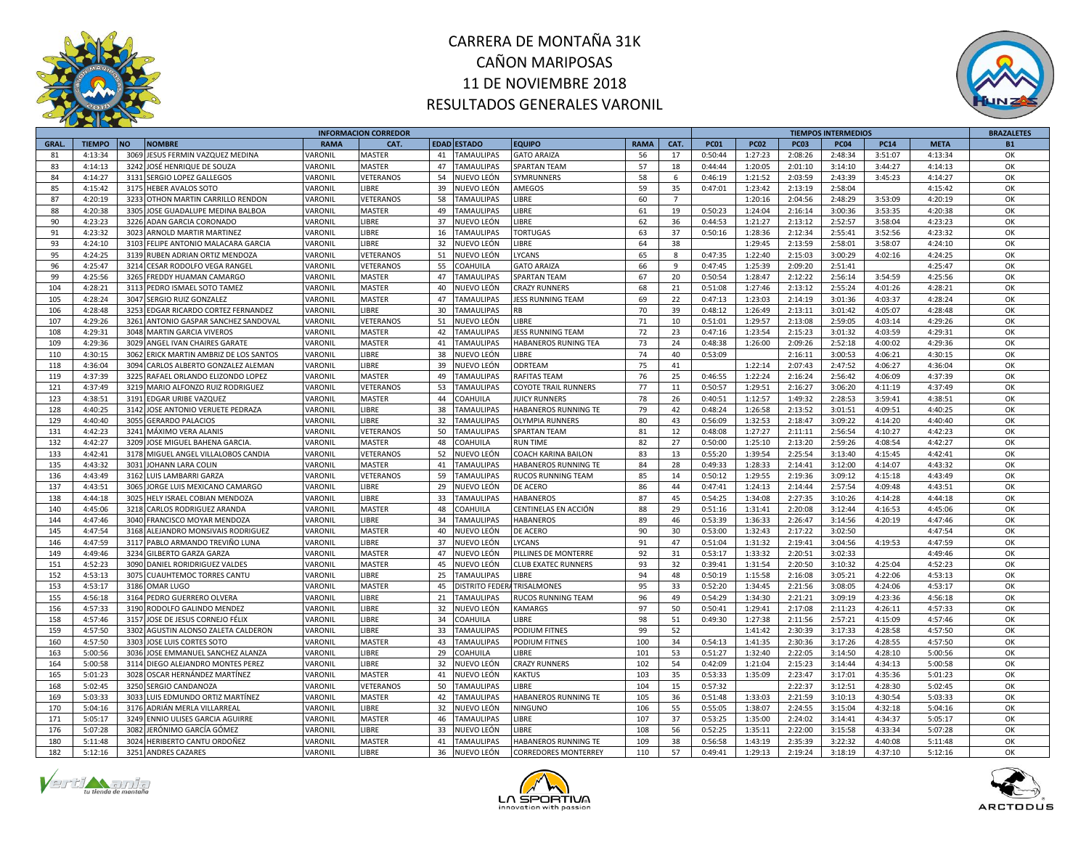



|              |               |                                         |             | <b>INFORMACION CORREDOR</b> |                                      |                             |             |                |             |             |                    | <b>TIEMPOS INTERMEDIOS</b> |             |             | <b>BRAZALETES</b> |
|--------------|---------------|-----------------------------------------|-------------|-----------------------------|--------------------------------------|-----------------------------|-------------|----------------|-------------|-------------|--------------------|----------------------------|-------------|-------------|-------------------|
| <b>GRAL.</b> | <b>TIEMPO</b> | <b>NO</b><br><b>NOMBRE</b>              | <b>RAMA</b> | CAT.                        | <b>EDAD ESTADO</b>                   | <b>EQUIPO</b>               | <b>RAMA</b> | CAT.           | <b>PC01</b> | <b>PC02</b> | <b>PC03</b>        | <b>PC04</b>                | <b>PC14</b> | <b>META</b> | <b>B1</b>         |
| 81           | 4:13:34       | JESUS FERMIN VAZQUEZ MEDINA<br>3069     | VARONIL     | <b>MASTER</b>               | 41<br><b>TAMAULIPAS</b>              | <b>GATO ARAIZA</b>          | 56          | 17             | 0:50:44     | 1:27:23     | 2:08:26            | 2:48:34                    | 3:51:07     | 4:13:34     | OK                |
| 83           | 4:14:13       | 3242<br>JOSÉ HENRIQUE DE SOUZA          | VARONIL     | <b>MASTER</b>               | 47<br><b>TAMAULIPAS</b>              | <b>SPARTAN TEAM</b>         | 57          | 18             | 0:44:44     | 1:20:05     | 2:01:10            | 3:14:10                    | 3:44:27     | 4:14:13     | OK                |
| 84           | 4:14:27       | 3131 SERGIO LOPEZ GALLEGOS              | VARONIL     | VETERANOS                   | 54<br>NUEVO LEÓN                     | SYMRUNNERS                  | 58          | 6              | 0:46:19     | 1:21:52     | 2:03:59            | 2:43:39                    | 3:45:23     | 4:14:27     | OK                |
| 85           | 4:15:42       | 3175 HEBER AVALOS SOTO                  | VARONIL     | LIBRE                       | 39<br>NUEVO LEÓN                     | AMEGOS                      | 59          | 35             | 0:47:01     | 1:23:42     | 2:13:19            | 2:58:04                    |             | 4:15:42     | OK                |
| 87           | 4:20:19       | 3233 OTHON MARTIN CARRILLO RENDON       | VARONIL     | VETERANOS                   | 58<br><b>TAMAULIPAS</b>              | LIBRE                       | 60          | $\overline{7}$ |             | 1:20:16     | 2:04:56            | 2:48:29                    | 3:53:09     | 4:20:19     | OK                |
| 88           | 4:20:38       | 3305 JOSE GUADALUPE MEDINA BALBOA       | VARONIL     | <b>MASTER</b>               | 49<br><b>TAMAULIPAS</b>              | <b>IBRE</b>                 | 61          | 19             | 0:50:23     | 1:24:04     | 2:16:14            | 3:00:36                    | 3:53:35     | 4:20:38     | ОK                |
| 90           | 4:23:23       | 3226 ADAN GARCIA CORONADO               | VARONIL     | <b>IBRE</b>                 | 37<br>NUEVO LEÓN                     | LIBRE                       | 62          | 36             | 0:44:53     | 1:21:27     | 2:13:12            | 2:52:57                    | 3:58:04     | 4:23:23     | OK                |
| 91           | 4:23:32       | 3023 ARNOLD MARTIR MARTINEZ             | VARONIL     | LIBRE                       | 16<br><b>TAMAULIPAS</b>              | <b>TORTUGAS</b>             | 63          | 37             | 0:50:16     | 1:28:36     | 2:12:34            | 2:55:41                    | 3:52:56     | 4:23:32     | OK                |
| 93           | 4:24:10       | 3103 FELIPE ANTONIO MALACARA GARCIA     | VARONIL     | LIBRE                       | 32<br>NUEVO LEÓN                     | LIBRE                       | 64          | 38             |             | 1:29:45     | 2:13:59            | 2:58:01                    | 3:58:07     | 4:24:10     | ОK                |
| 95           | 4:24:25       | 3139<br>RUBEN ADRIAN ORTIZ MENDOZA      | VARONIL     | VETERANOS                   | NUEVO LEÓN<br>51                     | LYCANS                      | 65          | 8              | 0:47:35     | 1:22:40     | 2:15:03            | 3:00:29                    | 4:02:16     | 4:24:25     | OK                |
| 96           | 4:25:47       | 3214 CESAR RODOLFO VEGA RANGEL          | VARONIL     | VETERANOS                   | 55<br>COAHUILA                       | <b>GATO ARAIZA</b>          | 66          | 9              | 0:47:45     | 1:25:39     | 2:09:20            | 2:51:41                    |             | 4:25:47     | OK                |
| 99           | 4:25:56       | 3265 FREDDY HUAMAN CAMARGO              | VARONIL     | MASTER                      | 47<br><b>TAMAULIPAS</b>              | <b>SPARTAN TEAM</b>         | 67          | 20             | 0:50:54     | 1:28:47     | 2:12:22            | 2:56:14                    | 3:54:59     | 4:25:56     | OK                |
| 104          | 4:28:21       | 3113 PEDRO ISMAEL SOTO TAMEZ            | VARONIL     | MASTER                      | 40<br>NUEVO LEÓN                     | <b>CRAZY RUNNERS</b>        | 68          | 21             | 0:51:08     | 1:27:46     | 2:13:12            | 2:55:24                    | 4:01:26     | 4:28:21     | OK                |
| 105          | 4:28:24       | 3047 SERGIO RUIZ GONZALEZ               | VARONIL     | MASTER                      | 47<br><b>TAMAULIPAS</b>              | <b>IESS RUNNING TEAM</b>    | 69          | 22             | 0:47:13     | 1:23:03     | 2:14:19            | 3:01:36                    | 4:03:37     | 4:28:24     | OK                |
| 106          | 4:28:48       | 3253 EDGAR RICARDO CORTEZ FERNANDEZ     | VARONIL     | LIBRE                       | 30 <sup>2</sup><br><b>TAMAULIPAS</b> | <b>RB</b>                   | 70          | 39             | 0:48:12     | 1:26:49     | 2:13:11            | 3:01:42                    | 4:05:07     | 4:28:48     | OK                |
| 107          | 4:29:26       | 3261<br>ANTONIO GASPAR SANCHEZ SANDOVAL | VARONIL     | VETERANOS                   | 51<br>NUEVO LEÓN                     | LIBRE                       | 71          | 10             | 0:51:01     | 1:29:57     | 2:13:08            | 2:59:05                    | 4:03:14     | 4:29:26     | OK                |
| 108          | 4:29:31       | 3048 MARTIN GARCIA VIVEROS              | VARONIL     | MASTER                      | 42<br>TAMAULIPAS                     | JESS RUNNING TEAM           | 72          | 23             | 0:47:16     | 1:23:54     | 2:15:23            | 3:01:32                    | 4:03:59     | 4:29:31     | OK                |
| 109          | 4:29:36       | 3029 ANGEL IVAN CHAIRES GARATE          | VARONIL     | <b>MASTER</b>               | 41<br><b>TAMAULIPAS</b>              | HABANEROS RUNING TEA        | 73          | 24             | 0:48:38     | 1:26:00     | 2:09:26            | 2:52:18                    | 4:00:02     | 4:29:36     | OK                |
| 110          | 4:30:15       | 3062                                    |             | LIBRE                       | 38                                   | <b>IBRE</b>                 | 74          | 40             |             |             |                    | 3:00:53                    |             | 4:30:15     | OK                |
|              | 4:36:04       | ERICK MARTIN AMBRIZ DE LOS SANTOS       | VARONIL     | <b>IBRE</b>                 | NUEVO LEÓN                           |                             | 75          |                | 0:53:09     | 1:22:14     | 2:16:11<br>2:07:43 |                            | 4:06:21     |             | OK                |
| 118          |               | 3094 CARLOS ALBERTO GONZALEZ ALEMAN     | VARONIL     |                             | 39<br>NUEVO LEÓN                     | ODRTEAM                     |             | 41             |             |             |                    | 2:47:52                    | 4:06:27     | 4:36:04     |                   |
| 119          | 4:37:39       | 3225 RAFAEL ORLANDO ELIZONDO LOPEZ      | VARONIL     | MASTER                      | 49<br><b>TAMAULIPAS</b>              | RAFITAS TEAM                | 76          | 25             | 0:46:55     | 1:22:24     | 2:16:24            | 2:56:42                    | 4:06:09     | 4:37:39     | OK                |
| 121          | 4:37:49       | 3219 MARIO ALFONZO RUIZ RODRIGUEZ       | VARONIL     | VETERANOS                   | 53<br><b>TAMAULIPAS</b>              | COYOTE TRAIL RUNNERS        | 77          | 11             | 0:50:57     | 1:29:51     | 2:16:27            | 3:06:20                    | 4:11:19     | 4:37:49     | OK                |
| 123          | 4:38:51       | 3191 EDGAR URIBE VAZQUEZ                | VARONIL     | MASTER                      | 44<br>COAHUILA                       | <b>IUICY RUNNERS</b>        | 78          | 26             | 0:40:51     | 1:12:57     | 1:49:32            | 2:28:53                    | 3:59:41     | 4:38:51     | OK                |
| 128          | 4:40:25       | 3142 JOSE ANTONIO VERUETE PEDRAZA       | VARONIL     | LIBRE                       | 38<br>TAMAULIPAS                     | HABANEROS RUNNING TE        | 79          | 42             | 0:48:24     | 1:26:58     | 2:13:52            | 3:01:51                    | 4:09:51     | 4:40:25     | OK                |
| 129          | 4:40:40       | 3055 GERARDO PALACIOS                   | VARONIL     | LIBRE                       | 32<br><b>TAMAULIPAS</b>              | <b>OLYMPIA RUNNERS</b>      | 80          | 43             | 0:56:09     | 1:32:53     | 2:18:47            | 3:09:22                    | 4:14:20     | 4:40:40     | OK                |
| 131          | 4:42:23       | 3241 MÁXIMO VERA ALANIS                 | VARONIL     | VETERANOS                   | 50<br>TAMAULIPAS                     | <b>SPARTAN TEAM</b>         | 81          | 12             | 0:48:08     | 1:27:27     | 2:11:11            | 2:56:54                    | 4:10:27     | 4:42:23     | OK                |
| 132          | 4:42:27       | 3209<br>JOSE MIGUEL BAHENA GARCIA       | VARONIL     | <b>MASTER</b>               | <b>COAHUILA</b><br>48                | RUN TIME                    | 82          | 27             | 0:50:00     | 1:25:10     | 2:13:20            | 2:59:26                    | 4:08:54     | 4:42:27     | OK                |
| 133          | 4:42:41       | 3178 MIGUEL ANGEL VILLALOBOS CANDIA     | VARONIL     | VETERANOS                   | 52<br>NUEVO LEÓN                     | COACH KARINA BAILON         | 83          | 13             | 0:55:20     | 1:39:54     | 2:25:54            | 3:13:40                    | 4:15:45     | 4:42:41     | OK                |
| 135          | 4:43:32       | 3031 JOHANN LARA COLIN                  | VARONIL     | MASTER                      | 41<br><b>TAMAULIPAS</b>              | HABANEROS RUNNING TE        | 84          | 28             | 0:49:33     | 1:28:33     | 2:14:41            | 3:12:00                    | 4:14:07     | 4:43:32     | OK                |
| 136          | 4:43:49       | 3162 LUIS LAMBARRI GARZA                | VARONIL     | VETERANOS                   | 59<br><b>TAMAULIPAS</b>              | RUCOS RUNNING TEAM          | 85          | 14             | 0:50:12     | 1:29:55     | 2:19:36            | 3:09:12                    | 4:15:18     | 4:43:49     | OK                |
| 137          | 4:43:51       | JORGE LUIS MEXICANO CAMARGO<br>3065     | VARONIL     | LIBRE                       | 29<br>NUEVO LEÓN                     | DE ACERO                    | 86          | 44             | 0:47:41     | 1:24:13     | 2:14:44            | 2:57:54                    | 4:09:48     | 4:43:51     | ОК                |
| 138          | 4:44:18       | HELY ISRAEL COBIAN MENDOZA<br>3025      | VARONIL     | <b>IBRE</b>                 | <b>TAMAULIPAS</b><br>33              | HABANEROS                   | 87          | 45             | 0:54:25     | 1:34:08     | 2:27:35            | 3:10:26                    | 4:14:28     | 4:44:18     | OK                |
| 140          | 4:45:06       | 3218 CARLOS RODRIGUEZ ARANDA            | VARONIL     | MASTER                      | 48<br>COAHUILA                       | CENTINELAS EN ACCIÓN        | 88          | 29             | 0:51:16     | 1:31:41     | 2:20:08            | 3:12:44                    | 4:16:53     | 4:45:06     | OK                |
| 144          | 4:47:46       | 3040 FRANCISCO MOYAR MENDOZA            | VARONIL     | <b>IBRE</b>                 | 34<br><b>TAMAULIPAS</b>              | HABANEROS                   | 89          | 46             | 0:53:39     | 1:36:33     | 2:26:47            | 3:14:56                    | 4:20:19     | 4:47:46     | OK                |
| 145          | 4:47:54       | 3168<br>ALEJANDRO MONSIVAIS RODRIGUEZ   | VARONIL     | MASTER                      | 40<br>NUEVO LEÓN                     | DE ACERO                    | 90          | 30             | 0:53:00     | 1:32:43     | 2:17:22            | 3:02:50                    |             | 4:47:54     | OK                |
| 146          | 4:47:59       | 3117 PABLO ARMANDO TREVIÑO LUNA         | VARONIL     | LIBRE                       | 37<br>NUEVO LEÓN                     | LYCANS                      | 91          | 47             | 0:51:04     | 1:31:32     | 2:19:41            | 3:04:56                    | 4:19:53     | 4:47:59     | OK                |
| 149          | 4:49:46       | 3234 GILBERTO GARZA GARZA               | VARONIL     | MASTER                      | 47<br>NUEVO LEÓN                     | PILLINES DE MONTERRE        | 92          | 31             | 0:53:17     | 1:33:32     | 2:20:51            | 3:02:33                    |             | 4:49:46     | OK                |
| 151          | 4:52:23       | 3090<br>DANIEL RORIDRIGUEZ VALDES       | VARONIL     | <b>MASTER</b>               | NUEVO LEÓN<br>45                     | <b>CLUB EXATEC RUNNERS</b>  | 93          | 32             | 0:39:41     | 1:31:54     | 2:20:50            | 3:10:32                    | 4:25:04     | 4:52:23     | OK                |
| 152          | 4:53:13       | 3075<br><b>CUAUHTEMOC TORRES CANTL</b>  | VARONIL     | LIBRE                       | 25<br><b>TAMAULIPAS</b>              | LIBRE                       | 94          | 48             | 0:50:19     | 1:15:58     | 2:16:08            | 3:05:21                    | 4:22:06     | 4:53:13     | OK                |
| 153          | 4:53:17       | 3186 OMAR LUGO                          | VARONIL     | <b>MASTER</b>               | 45<br><b>DISTRITO FEDER</b>          | TRISALMONES                 | 95          | 33             | 0:52:20     | 1:34:45     | 2:21:56            | 3:08:05                    | 4:24:06     | 4:53:17     | OK                |
| 155          | 4:56:18       | 3164 PEDRO GUERRERO OLVERA              | VARONIL     | LIBRE                       | 21<br><b>TAMAULIPAS</b>              | RUCOS RUNNING TEAM          | 96          | 49             | 0:54:29     | 1:34:30     | 2:21:21            | 3:09:19                    | 4:23:36     | 4:56:18     | OK                |
| 156          | 4:57:33       | 3190 RODOLFO GALINDO MENDEZ             | VARONIL     | LIBRE                       | 32<br>NUEVO LEÓN                     | KAMARGS                     | 97          | 50             | 0:50:41     | 1:29:41     | 2:17:08            | 2:11:23                    | 4:26:11     | 4:57:33     | OK                |
| 158          | 4:57:46       | 3157 JOSE DE JESUS CORNEJO FÉLIX        | VARONIL     | <b>IBRE</b>                 | 34<br>COAHUILA                       | LIBRE                       | 98          | 51             | 0:49:30     | 1:27:38     | 2:11:56            | 2:57:21                    | 4:15:09     | 4:57:46     | OK                |
| 159          | 4:57:50       | 3302<br>AGUSTIN ALONSO ZALETA CALDERON  | VARONIL     | LIBRE                       | <b>TAMAULIPAS</b><br>33              | PODIUM FITNES               | 99          | 52             |             | 1:41:42     | 2:30:39            | 3:17:33                    | 4:28:58     | 4:57:50     | OK                |
| 160          | 4:57:50       | 3303<br>JOSE LUIS CORTES SOTO           | VARONIL     | MASTER                      | 43<br><b>AMAULIPAS</b>               | <b>PODIUM FITNES</b>        | 100         | 34             | 0:54:13     | 1:41:35     | 2:30:36            | 3:17:26                    | 4:28:55     | 4:57:50     | OK                |
| 163          | 5:00:56       | 3036 JOSE EMMANUEL SANCHEZ ALANZA       | VARONIL     | LIBRE                       | 29<br>COAHUILA                       | LIBRE                       | 101         | 53             | 0:51:27     | 1:32:40     | 2:22:05            | 3:14:50                    | 4:28:10     | 5:00:56     | OK                |
| 164          | 5:00:58       | 3114 DIEGO ALEJANDRO MONTES PEREZ       | VARONIL     | LIBRE                       | 32<br>NUEVO LEÓN                     | <b>CRAZY RUNNERS</b>        | 102         | 54             | 0:42:09     | 1:21:04     | 2:15:23            | 3:14:44                    | 4:34:13     | 5:00:58     | OK                |
| 165          | 5:01:23       | 3028 OSCAR HERNÁNDEZ MARTÍNEZ           | VARONIL     | <b>MASTER</b>               | NUEVO LEÓN<br>41                     | <b>KAKTUS</b>               | 103         | 35             | 0:53:33     | 1:35:09     | 2:23:47            | 3:17:01                    | 4:35:36     | 5:01:23     | OK                |
| 168          | 5:02:45       | 3250 SERGIO CANDANOZA                   | VARONIL     | VETERANOS                   | 50<br>TAMAULIPAS                     | LIBRE                       | 104         | 15             | 0:57:32     |             | 2:22:37            | 3:12:51                    | 4:28:30     | 5:02:45     | OK                |
| 169          | 5:03:33       | 3033 LUIS EDMUNDO ORTIZ MARTÍNEZ        | VARONIL     | <b>MASTER</b>               | 42<br><b>TAMAULIPAS</b>              | HABANEROS RUNNING TE        | 105         | 36             | 0:51:48     | 1:33:03     | 2:21:59            | 3:10:13                    | 4:30:54     | 5:03:33     | OK                |
| 170          | 5:04:16       | 3176 ADRIÁN MERLA VILLARREAL            | VARONIL     | <b>IBRE</b>                 | 32 NUEVO LEÓN                        | NINGUNO                     | 106         | 55             | 0:55:05     | 1:38:07     | 2:24:55            | 3:15:04                    | 4:32:18     | 5:04:16     | OK                |
| 171          | 5:05:17       | 3249 ENNIO ULISES GARCIA AGUIRRE        | VARONIL     | MASTER                      | 46<br><b>TAMAULIPAS</b>              | <b>IBRE</b>                 | 107         | 37             | 0:53:25     | 1:35:00     | 2:24:02            | 3:14:41                    | 4:34:37     | 5:05:17     | OK                |
| 176          | 5:07:28       | 3082<br>JERÓNIMO GARCÍA GÓMEZ           | VARONIL     | <b>IBRE</b>                 | 33<br>NUEVO LEÓN                     | <b>IBRE</b>                 | 108         | 56             | 0:52:25     | 1:35:11     | 2:22:00            | 3:15:58                    | 4:33:34     | 5:07:28     | OK                |
| 180          | 5:11:48       | 3024 HERIBERTO CANTU ORDOÑEZ            | VARONIL     | <b>MASTER</b>               | 41<br><b>TAMAULIPAS</b>              | HABANEROS RUNNING TE        | 109         | 38             | 0:56:58     | 1:43:19     | 2:35:39            | 3:22:32                    | 4:40:08     | 5:11:48     | OK                |
| 182          | 5:12:16       | 3251 ANDRES CAZARES                     | VARONIL     | LIBRE                       | 36<br>NUEVO LEÓN                     | <b>CORREDORES MONTERREY</b> | 110         | 57             | 0:49:41     | 1:29:13     | 2:19:24            | 3:18:19                    | 4:37:10     | 5:12:16     | OK                |





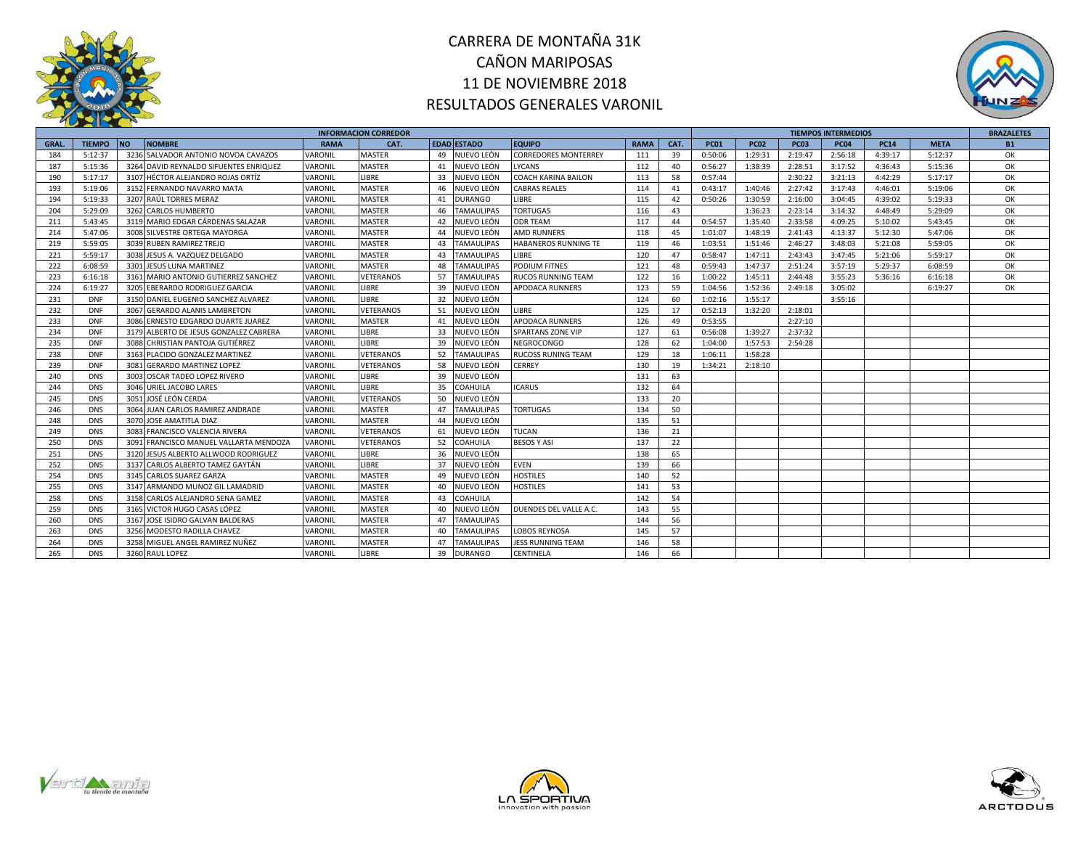



|             |               |                                           |             | <b>INFORMACION CORREDOR</b> |    |                    |                             |             |      |             |             | <b>TIEMPOS INTERMEDIOS</b> |             |             | <b>BRAZALETES</b> |           |
|-------------|---------------|-------------------------------------------|-------------|-----------------------------|----|--------------------|-----------------------------|-------------|------|-------------|-------------|----------------------------|-------------|-------------|-------------------|-----------|
| <b>GRAL</b> | <b>TIEMPO</b> | <b>NO</b><br><b>NOMBRE</b>                | <b>RAMA</b> | CAT.                        |    | <b>EDAD ESTADO</b> | <b>EQUIPO</b>               | <b>RAMA</b> | CAT. | <b>PC01</b> | <b>PC02</b> | <b>PC03</b>                | <b>PC04</b> | <b>PC14</b> | <b>META</b>       | <b>B1</b> |
| 184         | 5:12:37       | 3236 SALVADOR ANTONIO NOVOA CAVAZOS       | VARONIL     | MASTER                      | 49 | NUEVO LEÓN         | <b>CORREDORES MONTERREY</b> | 111         | 39   | 0:50:06     | 1:29:31     | 2:19:47                    | 2:56:18     | 4:39:17     | 5:12:37           | OK        |
| 187         | 5:15:36       | 3264 DAVID REYNALDO SIFUENTES ENRIQUEZ    | VARONIL     | MASTER                      | 41 | NUEVO LEÓN         | <b>LYCANS</b>               | 112         | 40   | 0:56:27     | 1:38:39     | 2:28:51                    | 3:17:52     | 4:36:43     | 5:15:36           | OK        |
| 190         | 5:17:17       | 3107 HÉCTOR ALEJANDRO ROJAS ORTÍZ         | VARONIL     | LIBRE                       | 33 | NUEVO LEÓN         | <b>COACH KARINA BAILON</b>  | 113         | 58   | 0:57:44     |             | 2:30:22                    | 3:21:13     | 4:42:29     | 5:17:17           | ОК        |
| 193         | 5:19:06       | 3152 FERNANDO NAVARRO MATA                | VARONIL     | <b>MASTER</b>               | 46 | NUEVO LEÓN         | <b>CABRAS REALES</b>        | 114         | 41   | 0:43:17     | 1:40:46     | 2:27:42                    | 3:17:43     | 4:46:01     | 5:19:06           | OK        |
| 194         | 5:19:33       | 3207 RAÚL TORRES MERAZ                    | VARONIL     | MASTER                      | 41 | <b>DURANGO</b>     | <b>LIBRE</b>                | 115         | 42   | 0:50:26     | 1:30:59     | 2:16:00                    | 3:04:45     | 4:39:02     | 5:19:33           | OK        |
| 204         | 5:29:09       | 3262 CARLOS HUMBERTO                      | VARONIL     | <b>MASTER</b>               | 46 | <b>TAMAULIPAS</b>  | <b>TORTUGAS</b>             | 116         | 43   |             | 1:36:23     | 2:23:14                    | 3:14:32     | 4:48:49     | 5:29:09           | OK        |
| 211         | 5:43:45       | 3119 MARIO EDGAR CÁRDENAS SALAZAR         | VARONIL     | <b>MASTER</b>               | 42 | NUEVO LEÓN         | <b>ODR TEAM</b>             | 117         | 44   | 0:54:57     | 1:35:40     | 2:33:58                    | 4:09:25     | 5:10:02     | 5:43:45           | OK        |
| 214         | 5:47:06       | 3008 SILVESTRE ORTEGA MAYORGA             | VARONIL     | MASTER                      | 44 | NUEVO LEÓN         | <b>AMD RUNNERS</b>          | 118         | 45   | 1:01:07     | 1:48:19     | 2:41:43                    | 4:13:37     | 5:12:30     | 5:47:06           | OK        |
| 219         | 5:59:05       | 3039 RUBEN RAMIREZ TREJO                  | VARONIL     | <b>MASTER</b>               | 43 | <b>TAMAULIPAS</b>  | <b>HABANEROS RUNNING TE</b> | 119         | 46   | 1:03:51     | 1:51:46     | 2:46:27                    | 3:48:03     | 5:21:08     | 5:59:05           | OK        |
| 221         | 5:59:17       | 3038 JESUS A. VAZQUEZ DELGADO             | VARONIL     | <b>MASTER</b>               | 43 | <b>TAMAULIPAS</b>  | LIBRE                       | 120         | 47   | 0:58:47     | 1:47:11     | 2:43:43                    | 3:47:45     | 5:21:06     | 5:59:17           | ОК        |
| 222         | 6:08:59       | 3301<br><b>JESUS LUNA MARTINEZ</b>        | VARONIL     | <b>MASTER</b>               | 48 | <b>TAMAULIPAS</b>  | <b>PODIUM FITNES</b>        | 121         | 48   | 0:59:43     | 1:47:37     | 2:51:24                    | 3:57:19     | 5:29:37     | 6:08:59           | OK        |
| 223         | 6:16:18       | 3161<br>MARIO ANTONIO GUTIERREZ SANCHEZ   | VARONIL     | VETERANOS                   | 57 | TAMAULIPAS         | <b>RUCOS RUNNING TEAM</b>   | 122         | 16   | 1:00:22     | 1:45:11     | 2:44:48                    | 3:55:23     | 5:36:16     | 6:16:18           | ОК        |
| 224         | 6:19:27       | 3205 EBERARDO RODRIGUEZ GARCIA            | VARONIL     | LIBRE                       | 39 | NUEVO LEÓN         | <b>APODACA RUNNERS</b>      | 123         | 59   | 1:04:56     | 1:52:36     | 2:49:18                    | 3:05:02     |             | 6:19:27           | ОК        |
| 231         | <b>DNF</b>    | DANIEL EUGENIO SANCHEZ ALVAREZ<br>3150    | VARONIL     | <b>LIBRE</b>                | 32 | NUEVO LEÓN         |                             | 124         | 60   | 1:02:16     | 1:55:17     |                            | 3:55:16     |             |                   |           |
| 232         | <b>DNF</b>    | 3067<br><b>GERARDO ALANIS LAMBRETON</b>   | VARONIL     | VETERANOS                   | 51 | NUEVO LEÓN         | LIBRE                       | 125         | 17   | 0:52:13     | 1:32:20     | 2:18:01                    |             |             |                   |           |
| 233         | <b>DNF</b>    | 3086<br>ERNESTO EDGARDO DUARTE JUAREZ     | VARONIL     | MASTER                      | 41 | NUEVO LEÓN         | <b>APODACA RUNNERS</b>      | 126         | 49   | 0:53:55     |             | 2:27:10                    |             |             |                   |           |
| 234         | <b>DNF</b>    | 3179<br>ALBERTO DE JESUS GONZALEZ CABRERA | VARONIL     | LIBRE                       | 33 | NUEVO LEÓN         | <b>SPARTANS ZONE VIP</b>    | 127         | 61   | 0:56:08     | 1:39:27     | 2:37:32                    |             |             |                   |           |
| 235         | <b>DNF</b>    | 3088 CHRISTIAN PANTOJA GUTIÉRREZ          | VARONIL     | <b>LIBRE</b>                | 39 | NUEVO LEÓN         | <b>NEGROCONGO</b>           | 128         | 62   | 1:04:00     | 1:57:53     | 2:54:28                    |             |             |                   |           |
| 238         | <b>DNF</b>    | 3163 PLACIDO GONZALEZ MARTINEZ            | VARONIL     | VETERANOS                   | 52 | <b>TAMAULIPAS</b>  | <b>RUCOSS RUNING TEAM</b>   | 129         | 18   | 1:06:11     | 1:58:28     |                            |             |             |                   |           |
| 239         | <b>DNF</b>    | 3081 GERARDO MARTINEZ LOPEZ               | VARONIL     | VETERANOS                   | 58 | NUEVO LEÓN         | <b>CERREY</b>               | 130         | 19   | 1:34:21     | 2:18:10     |                            |             |             |                   |           |
| 240         | <b>DNS</b>    | 3003 OSCAR TADEO LOPEZ RIVERO             | VARONIL     | LIBRE                       |    | 39 NUEVO LEÓN      |                             | 131         | 63   |             |             |                            |             |             |                   |           |
| 244         | <b>DNS</b>    | 3046 URIEL JACOBO LARES                   | VARONIL     | <b>LIBRE</b>                | 35 | <b>COAHUILA</b>    | <b>ICARUS</b>               | 132         | 64   |             |             |                            |             |             |                   |           |
| 245         | <b>DNS</b>    | JOSÉ LEÓN CERDA<br>3051                   | VARONIL     | VETERANOS                   | 50 | NUEVO LEÓN         |                             | 133         | 20   |             |             |                            |             |             |                   |           |
| 246         | <b>DNS</b>    | 3064 JUAN CARLOS RAMIREZ ANDRADE          | VARONIL     | <b>MASTER</b>               | 47 | <b>TAMAULIPAS</b>  | <b>TORTUGAS</b>             | 134         | 50   |             |             |                            |             |             |                   |           |
| 248         | <b>DNS</b>    | 3070<br>JOSE AMATITLA DIAZ                | VARONIL     | <b>MASTER</b>               | 44 | NUEVO LEÓN         |                             | 135         | 51   |             |             |                            |             |             |                   |           |
| 249         | <b>DNS</b>    | 3083<br><b>FRANCISCO VALENCIA RIVERA</b>  | VARONIL     | VETERANOS                   | 61 | NUEVO LEÓN         | <b>TUCAN</b>                | 136         | 21   |             |             |                            |             |             |                   |           |
| 250         | <b>DNS</b>    | 3091<br>FRANCISCO MANUEL VALLARTA MENDOZA | VARONIL     | VETERANOS                   | 52 | COAHUILA           | <b>BESOS Y ASI</b>          | 137         | 22   |             |             |                            |             |             |                   |           |
| 251         | <b>DNS</b>    | 3120<br>JESUS ALBERTO ALLWOOD RODRIGUEZ   | VARONIL     | LIBRE                       | 36 | NUEVO LEÓN         |                             | 138         | 65   |             |             |                            |             |             |                   |           |
| 252         | <b>DNS</b>    | 3137 CARLOS ALBERTO TAMEZ GAYTÁN          | VARONIL     | LIBRE                       | 37 | NUEVO LEÓN         | <b>EVEN</b>                 | 139         | 66   |             |             |                            |             |             |                   |           |
| 254         | <b>DNS</b>    | 3145 CARLOS SUAREZ GARZA                  | VARONIL     | MASTER                      | 49 | NUEVO LEÓN         | <b>HOSTILES</b>             | 140         | 52   |             |             |                            |             |             |                   |           |
| 255         | <b>DNS</b>    | 3147 ARMANDO MUNOZ GIL LAMADRID           | VARONIL     | <b>MASTER</b>               | 40 | NUEVO LEÓN         | <b>HOSTILES</b>             | 141         | 53   |             |             |                            |             |             |                   |           |
| 258         | <b>DNS</b>    | 3158 CARLOS ALEJANDRO SENA GAMEZ          | VARONIL     | <b>MASTER</b>               | 43 | COAHUILA           |                             | 142         | 54   |             |             |                            |             |             |                   |           |
| 259         | <b>DNS</b>    | 3165 VICTOR HUGO CASAS LÓPEZ              | VARONIL     | <b>MASTER</b>               | 40 | NUEVO LEÓN         | DUENDES DEL VALLE A.C.      | 143         | 55   |             |             |                            |             |             |                   |           |
| 260         | <b>DNS</b>    | 3167 JOSE ISIDRO GALVAN BALDERAS          | VARONIL     | MASTER                      |    | 47 TAMAULIPAS      |                             | 144         | 56   |             |             |                            |             |             |                   |           |
| 263         | <b>DNS</b>    | 3256 MODESTO RADILLA CHAVEZ               | VARONIL     | <b>MASTER</b>               | 40 | TAMAULIPAS         | <b>LOBOS REYNOSA</b>        | 145         | 57   |             |             |                            |             |             |                   |           |
| 264         | <b>DNS</b>    | MIGUEL ANGEL RAMIREZ NUÑEZ<br>3258        | VARONIL     | MASTER                      | 47 | <b>TAMAULIPAS</b>  | <b>JESS RUNNING TEAM</b>    | 146         | 58   |             |             |                            |             |             |                   |           |
| 265         | <b>DNS</b>    | 3260 RAUL LOPEZ                           | VARONIL     | <b>LIBRE</b>                | 39 | <b>DURANGO</b>     | CENTINELA                   | 146         | 66   |             |             |                            |             |             |                   |           |





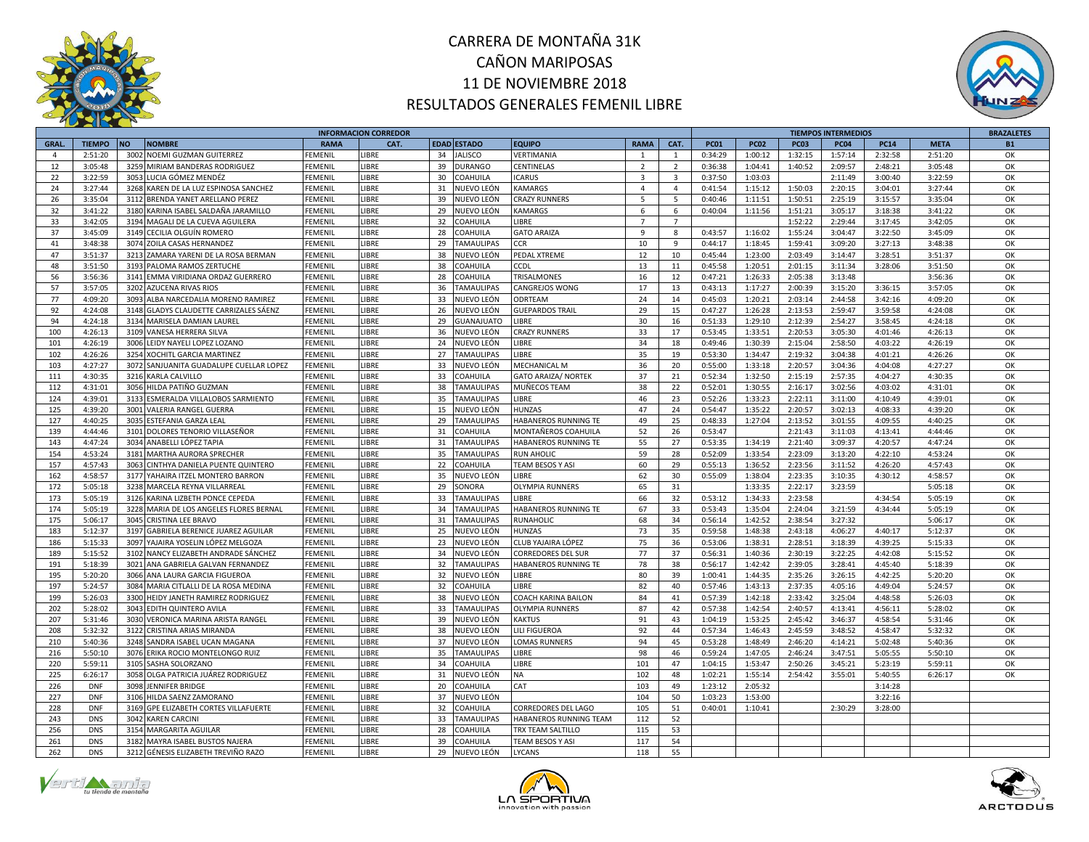



|              |               |                                         |                | <b>INFORMACION CORREDOR</b> |    |                    |                            |                         |                         |             |             |             | <b>TIEMPOS INTERMEDIOS</b> |             |             | <b>BRAZALETES</b> |
|--------------|---------------|-----------------------------------------|----------------|-----------------------------|----|--------------------|----------------------------|-------------------------|-------------------------|-------------|-------------|-------------|----------------------------|-------------|-------------|-------------------|
| <b>GRAL.</b> | <b>TIEMPO</b> | <b>NOMBRE</b><br><b>NO</b>              | <b>RAMA</b>    | CAT.                        |    | <b>EDAD ESTADO</b> | <b>EQUIPO</b>              | <b>RAMA</b>             | CAT.                    | <b>PC01</b> | <b>PC02</b> | <b>PC03</b> | <b>PC04</b>                | <b>PC14</b> | <b>META</b> | <b>B1</b>         |
| $\Lambda$    | 2:51:20       | 3002 NOEMI GUZMAN GUITERREZ             | FEMENIL        | <b>IBRE</b>                 | 34 | <b>ALISCO</b>      | VERTIMANIA                 | $\overline{1}$          | $\mathbf{1}$            | 0:34:29     | 1:00:12     | 1:32:15     | 1:57:14                    | 2:32:58     | 2:51:20     | OK                |
| 12           | 3:05:48       | 3259 MIRIAM BANDERAS RODRIGUEZ          | FEMENIL        | LIBRE                       | 39 | <b>DURANGO</b>     | <b>CENTINELAS</b>          | $\overline{2}$          | $\overline{2}$          | 0:36:38     | 1:04:41     | 1:40:52     | 2:09:57                    | 2:48:21     | 3:05:48     | OK                |
| 22           | 3:22:59       | 3053 LUCIA GÓMEZ MENDÉZ                 | FEMENIL        | LIBRE                       | 30 | COAHUILA           | <b>ICARUS</b>              | $\overline{\mathbf{3}}$ | $\overline{\mathbf{3}}$ | 0:37:50     | 1:03:03     |             | 2:11:49                    | 3:00:40     | 3:22:59     | OK                |
| 24           | 3:27:44       | 3268 KAREN DE LA LUZ ESPINOSA SANCHEZ   | FEMENIL        | LIBRE                       | 31 | NUEVO LEÓN         | <b>KAMARGS</b>             | $\overline{4}$          | $\overline{4}$          | 0:41:54     | 1:15:12     | 1:50:03     | 2:20:15                    | 3:04:01     | 3:27:44     | OK                |
| 26           | 3:35:04       | 3112 BRENDA YANET ARELLANO PEREZ        | FEMENIL        | LIBRE                       | 39 | IUEVO LEÓN         | <b>CRAZY RUNNERS</b>       | 5                       | $5^{\circ}$             | 0:40:46     | 1:11:51     | 1:50:51     | 2:25:19                    | 3:15:57     | 3:35:04     | OK                |
| 32           | 3:41:22       | 3180 KARINA ISABEL SALDAÑA JARAMILLO    | FEMENIL        | LIBRE                       | 29 | NUEVO LEÓN         | <b>KAMARGS</b>             | 6                       | 6                       | 0:40:04     | 1:11:56     | 1:51:21     | 3:05:17                    | 3:18:38     | 3:41:22     | OK                |
| 33           | 3:42:05       | 3194 MAGALI DE LA CUEVA AGUILERA        | FEMENIL        | <b>IBRE</b>                 | 32 | <b>COAHUILA</b>    | <b>IBRE</b>                | $\overline{7}$          | $\overline{7}$          |             |             | 1:52:22     | 2:29:44                    | 3:17:45     | 3:42:05     | OK                |
| 37           | 3:45:09       | 3149 CECILIA OLGUÍN ROMERO              | FEMENIL        | LIBRE                       | 28 | COAHUILA           | <b>GATO ARAIZA</b>         | $\overline{9}$          | 8                       | 0:43:57     | 1:16:02     | 1:55:24     | 3:04:47                    | 3:22:50     | 3:45:09     | OK                |
| 41           | 3:48:38       | 3074 ZOILA CASAS HERNANDEZ              | FEMENIL        | LIBRE                       | 29 | <b>TAMAULIPAS</b>  | <b>CCR</b>                 | 10                      | 9                       | 0:44:17     | 1:18:45     | 1:59:41     | 3:09:20                    | 3:27:13     | 3:48:38     | ОK                |
| 47           | 3:51:37       | 3213 ZAMARA YARENI DE LA ROSA BERMAN    | FEMENIL        | LIBRE                       | 38 | IUEVO LEÓN         | PEDAL XTREME               | 12                      | 10                      | 0:45:44     | 1:23:00     | 2:03:49     | 3:14:47                    | 3:28:51     | 3:51:37     | OK                |
| 48           | 3:51:50       | 3193 PALOMA RAMOS ZERTUCHE              | FEMENIL        | LIBRE                       | 38 | COAHUILA           | <b>CCDL</b>                | 13                      | 11                      | 0:45:58     | 1:20:51     | 2:01:15     | 3:11:34                    | 3:28:06     | 3:51:50     | OK                |
| 56           | 3:56:36       | 3141 EMMA VIRIDIANA ORDAZ GUERRERO      | FEMENIL        | LIBRE                       | 28 | COAHUILA           | TRISALMONES                | 16                      | 12                      | 0:47:21     | 1:26:33     | 2:05:38     | 3:13:48                    |             | 3:56:36     | OK                |
| 57           | 3:57:05       | 3202 AZUCENA RIVAS RIOS                 | FEMENIL        | LIBRE                       | 36 | <b>TAMAULIPAS</b>  | CANGREJOS WONG             | 17                      | 13                      | 0:43:13     | 1:17:27     | 2:00:39     | 3:15:20                    | 3:36:15     | 3:57:05     | OK                |
| 77           | 4:09:20       | 3093 ALBA NARCEDALIA MORENO RAMIREZ     | FEMENIL        | LIBRE                       | 33 | NUEVO LEÓN         | ODRTEAM                    | 24                      | 14                      | 0:45:03     | 1:20:21     | 2:03:14     | 2:44:58                    | 3:42:16     | 4:09:20     | OK                |
| 92           | 4:24:08       | 3148 GLADYS CLAUDETTE CARRIZALES SÁENZ  | FEMENIL        | LIBRE                       | 26 | IUEVO LEÓN         | <b>GUEPARDOS TRAIL</b>     | 29                      | 15                      | 0:47:27     | 1:26:28     | 2:13:53     | 2:59:47                    | 3:59:58     | 4:24:08     | OK                |
|              |               |                                         |                |                             |    |                    |                            |                         |                         |             |             |             |                            |             |             |                   |
| 94           | 4:24:18       | 3134 MARISELA DAMIAN LAUREI             | <b>FEMENIL</b> | LIBRE                       | 29 | <b>GUANAJUATO</b>  | <b>IBRE</b>                | 30                      | 16                      | 0:51:33     | 1:29:10     | 2:12:39     | 2:54:27                    | 3:58:45     | 4:24:18     | OK                |
| 100          | 4:26:13       | 3109 VANESA HERRERA SILVA               | FEMENIL        | LIBRE                       | 36 | IUEVO LEÓN         | <b>CRAZY RUNNERS</b>       | 33                      | 17                      | 0:53:45     | 1:33:51     | 2:20:53     | 3:05:30                    | 4:01:46     | 4:26:13     | OK                |
| 101          | 4:26:19       | 3006 LEIDY NAYELI LOPEZ LOZANO          | FEMENIL        | <b>IBRE</b>                 | 24 | NUEVO LEÓN         | <b>IBRE</b>                | 34                      | 18                      | 0:49:46     | 1:30:39     | 2:15:04     | 2:58:50                    | 4:03:22     | 4:26:19     | OK                |
| 102          | 4:26:26       | 3254 XOCHITL GARCIA MARTINEZ            | FEMENIL        | LIBRE                       | 27 | <b>TAMAULIPAS</b>  | <b>IBRE</b>                | 35                      | 19                      | 0:53:30     | 1:34:47     | 2:19:32     | 3:04:38                    | 4:01:21     | 4:26:26     | OK                |
| 103          | 4:27:27       | 3072 SANJUANITA GUADALUPE CUELLAR LOPEZ | FEMENIL        | LIBRE                       | 33 | NUEVO LEÓN         | <b>MECHANICAL M</b>        | 36                      | 20                      | 0:55:00     | 1:33:18     | 2:20:57     | 3:04:36                    | 4:04:08     | 4:27:27     | OK                |
| 111          | 4:30:35       | 3216 KARLA CALVILLO                     | FEMENIL        | LIBRE                       | 33 | OAHUILA            | <b>GATO ARAIZA/ NORTEK</b> | 37                      | 21                      | 0:52:34     | 1:32:50     | 2:15:19     | 2:57:35                    | 4:04:27     | 4:30:35     | OK                |
| 112          | 4:31:01       | 3056 HILDA PATIÑO GUZMAN                | FEMENIL        | LIBRE                       | 38 | <b>TAMAULIPAS</b>  | MUÑECOS TEAM               | 38                      | 22                      | 0:52:01     | 1:30:55     | 2:16:17     | 3:02:56                    | 4:03:02     | 4:31:01     | OK                |
| 124          | 4:39:01       | 3133 ESMERALDA VILLALOBOS SARMIENTO     | FEMENIL        | LIBRE                       | 35 | TAMAULIPAS         | <b>IBRE</b>                | 46                      | 23                      | 0:52:26     | 1:33:23     | 2:22:11     | 3:11:00                    | 4:10:49     | 4:39:01     | OK                |
| 125          | 4:39:20       | 3001 VALERIA RANGEL GUERRA              | FEMENIL        | LIBRE                       | 15 | NUEVO LEÓN         | <b>HUNZAS</b>              | 47                      | 24                      | 0:54:47     | 1:35:22     | 2:20:57     | 3:02:13                    | 4:08:33     | 4:39:20     | OK                |
| 127          | 4:40:25       | 3035 ESTEFANIA GARZA LEAL               | FEMENIL        | LIBRE                       | 29 | <b>TAMAULIPAS</b>  | HABANEROS RUNNING TE       | 49                      | 25                      | 0:48:33     | 1:27:04     | 2:13:52     | 3:01:55                    | 4:09:55     | 4:40:25     | OK                |
| 139          | 4:44:46       | 3101 DOLORES TENORIO VILLASEÑOR         | FEMENIL        | LIBRE                       | 31 | COAHUILA           | MONTAÑEROS COAHUILA        | 52                      | 26                      | 0:53:47     |             | 2:21:43     | 3:11:03                    | 4:13:41     | 4:44:46     | ОК                |
| 143          | 4:47:24       | 3034 ANABELLI LÓPEZ TAPIA               | FEMENIL        | LIBRE                       | 31 | AMAULIPAS          | HABANEROS RUNNING TE       | 55                      | 27                      | 0:53:35     | 1:34:19     | 2:21:40     | 3:09:37                    | 4:20:57     | 4:47:24     | OK                |
| 154          | 4:53:24       | 3181 MARTHA AURORA SPRECHER             | FEMENIL        | <b>IBRE</b>                 | 35 | <b>TAMAULIPAS</b>  | <b>RUN AHOLIC</b>          | 59                      | 28                      | 0:52:09     | 1:33:54     | 2:23:09     | 3:13:20                    | 4:22:10     | 4:53:24     | OK                |
| 157          | 4:57:43       | 3063 CINTHYA DANIELA PUENTE QUINTERO    | FEMENIL        | LIBRE                       | 22 | COAHUILA           | TEAM BESOS Y ASI           | 60                      | 29                      | 0:55:13     | 1:36:52     | 2:23:56     | 3:11:52                    | 4:26:20     | 4:57:43     | OK                |
| 162          | 4:58:57       | 3177 YAHAIRA ITZEL MONTERO BARRON       | FEMENIL        | LIBRE                       | 35 | IUEVO LEÓN         | <b>IBRE</b>                | 62                      | 30                      | 0:55:09     | 1:38:04     | 2:23:35     | 3:10:35                    | 4:30:12     | 4:58:57     | OK                |
| 172          | 5:05:18       | 3238 MARCELA REYNA VILLARREAL           | FEMENIL        | LIBRE                       | 29 | SONORA             | <b>OLYMPIA RUNNERS</b>     | 65                      | 31                      |             | 1:33:35     | 2:22:17     | 3:23:59                    |             | 5:05:18     | OK                |
| 173          | 5:05:19       | 3126 KARINA LIZBETH PONCE CEPEDA        | FEMENIL        | <b>IBRE</b>                 | 33 | <b>TAMAULIPAS</b>  | <b>IBRE</b>                | 66                      | 32                      | 0:53:12     | 1:34:33     | 2:23:58     |                            | 4:34:54     | 5:05:19     | OK                |
| 174          | 5:05:19       | 3228 MARIA DE LOS ANGELES FLORES BERNAL | FEMENIL        | LIBRE                       | 34 | <b>TAMAULIPAS</b>  | HABANEROS RUNNING TE       | 67                      | 33                      | 0:53:43     | 1:35:04     | 2:24:04     | 3:21:59                    | 4:34:44     | 5:05:19     | OK                |
| 175          | 5:06:17       | 3045 CRISTINA LEE BRAVO                 | FEMENIL        | <b>IBRE</b>                 | 31 | <b>TAMAULIPAS</b>  | <b>RUNAHOLIC</b>           | 68                      | 34                      | 0:56:14     | 1:42:52     | 2:38:54     | 3:27:32                    |             | 5:06:17     | OK                |
| 183          | 5:12:37       | 3197 GABRIELA BERENICE JUAREZ AGUILAR   | FEMENIL        | LIBRE                       | 25 | NUEVO LEÓN         | <b>HUNZAS</b>              | 73                      | 35                      | 0:59:58     | 1:48:38     | 2:43:18     | 4:06:27                    | 4:40:17     | 5:12:37     | ОК                |
| 186          | 5:15:33       | 3097 YAJAIRA YOSELIN LÓPEZ MELGOZA      | FEMENIL        | LIBRE                       | 23 | NUEVO LEÓN         | CLUB YAJAIRA LÓPEZ         | 75                      | 36                      | 0:53:06     | 1:38:31     | 2:28:51     | 3:18:39                    | 4:39:25     | 5:15:33     | OK                |
| 189          | 5:15:52       | 3102 NANCY ELIZABETH ANDRADE SÁNCHEZ    | FEMENIL        | LIBRE                       | 34 | NUEVO LEÓN         | <b>CORREDORES DEL SUR</b>  | 77                      | 37                      | 0:56:31     | 1:40:36     | 2:30:19     | 3:22:25                    | 4:42:08     | 5:15:52     | OK                |
| 191          | 5:18:39       | 3021 ANA GABRIELA GALVAN FERNANDEZ      | FEMENIL        | LIBRE                       | 32 | <b>TAMAULIPAS</b>  | HABANEROS RUNNING TE       | 78                      | 38                      | 0:56:17     | 1:42:42     | 2:39:05     | 3:28:41                    | 4:45:40     | 5:18:39     | OK                |
| 195          | 5:20:20       | 3066 ANA LAURA GARCIA FIGUEROA          | FEMENIL        | LIBRE                       | 32 | NUEVO LEÓN         | <b>IBRE</b>                | 80                      | 39                      | 1:00:41     | 1:44:35     | 2:35:26     | 3:26:15                    | 4:42:25     | 5:20:20     | OK                |
| 197          | 5:24:57       | 3084 MARIA CITLALLI DE LA ROSA MEDINA   | FEMENIL        | LIBRE                       | 32 | COAHUILA           | <b>IBRE</b>                | 82                      | 40                      | 0:57:46     | 1:43:13     | 2:37:35     | 4:05:16                    | 4:49:04     | 5:24:57     | ОК                |
| 199          | 5:26:03       | 3300 HEIDY JANETH RAMIREZ RODRIGUEZ     | FEMENIL        | LIBRE                       | 38 | NUEVO LEÓN         | <b>COACH KARINA BAILON</b> | 84                      | 41                      | 0:57:39     | 1:42:18     | 2:33:42     | 3:25:04                    | 4:48:58     | 5:26:03     | OK                |
| 202          | 5:28:02       | 3043 EDITH QUINTERO AVILA               | FEMENIL        | LIBRE                       | 33 | <b>TAMAULIPAS</b>  | <b>OLYMPIA RUNNERS</b>     | 87                      | 42                      | 0:57:38     | 1:42:54     | 2:40:57     | 4:13:41                    | 4:56:11     | 5:28:02     | OK                |
| 207          | 5:31:46       | 3030 VERONICA MARINA ARISTA RANGEL      | FEMENIL        | <b>IBRE</b>                 | 39 | NUEVO LEÓN         | <b>KAKTUS</b>              | 91                      | 43                      | 1:04:19     | 1:53:25     | 2:45:42     | 3:46:37                    | 4:58:54     | 5:31:46     | ОК                |
| 208          | 5:32:32       | 3122 CRISTINA ARIAS MIRANDA             | FEMENIL        | LIBRE                       | 38 | NUEVO LEÓN         | LILI FIGUEROA              | 92                      | 44                      | 0:57:34     | 1:46:43     | 2:45:59     | 3:48:52                    | 4:58:47     | 5:32:32     | OK                |
| 210          | 5:40:36       | 3248 SANDRA ISABEL UCAN MAGANA          | FEMENIL        | LIBRE                       | 37 | IUEVO LEÓN         | <b>LOMAS RUNNERS</b>       | 94                      | 45                      | 0:53:28     | 1:48:49     | 2:46:20     | 4:14:21                    | 5:02:48     | 5:40:36     | OK                |
| 216          | 5:50:10       | 3076 ERIKA ROCIO MONTELONGO RUIZ        | FEMENIL        | <b>IBRE</b>                 | 35 | <b>TAMAULIPAS</b>  | <b>IBRE</b>                | 98                      | 46                      | 0:59:24     | 1:47:05     | 2:46:24     | 3:47:51                    | 5:05:55     | 5:50:10     | OK                |
| 220          | 5:59:11       | 3105 SASHA SOLORZANO                    | FEMENIL        | LIBRE                       | 34 | COAHUILA           | LIBRE                      | 101                     | 47                      | 1:04:15     | 1:53:47     | 2:50:26     | 3:45:21                    | 5:23:19     | 5:59:11     | OK                |
| 225          | 6:26:17       | 3058 OLGA PATRICIA JUÁREZ RODRIGUEZ     | FEMENIL        | LIBRE                       | 31 |                    |                            | 102                     | 48                      | 1:02:21     | 1:55:14     | 2:54:42     | 3:55:01                    | 5:40:55     |             | OK                |
| 226          | <b>DNF</b>    | 3098 JENNIFER BRIDGE                    | FEMENIL        | LIBRE                       |    | NUEVO LEÓN         | <b>NA</b><br>CAT           | 103                     | 49                      | 1:23:12     | 2:05:32     |             |                            | 3:14:28     | 6:26:17     |                   |
|              |               |                                         |                |                             | 20 | <b>COAHUILA</b>    |                            |                         |                         |             |             |             |                            |             |             |                   |
| 227          | <b>DNF</b>    | 3106 HILDA SAENZ ZAMORANO               | FEMENIL        | LIBRE                       | 37 | NUEVO LEÓN         |                            | 104                     | 50                      | 1:03:23     | 1:53:00     |             |                            | 3:22:16     |             |                   |
| 228          | <b>DNF</b>    | 3169 GPE ELIZABETH CORTES VILLAFUERTE   | FEMENIL        | LIBRE                       | 32 | OAHUILA            | CORREDORES DEL LAGO        | 105                     | 51                      | 0:40:01     | 1:10:41     |             | 2:30:29                    | 3:28:00     |             |                   |
| 243          | <b>DNS</b>    | 3042 KAREN CARCINI                      | FEMENIL        | <b>IBRE</b>                 | 33 | AMAULIPAS          | HABANEROS RUNNING TEAM     | 112                     | 52                      |             |             |             |                            |             |             |                   |
| 256          | <b>DNS</b>    | 3154 MARGARITA AGUILAR                  | FEMENIL        | <b>IBRE</b>                 | 28 | COAHUILA           | TRX TEAM SALTILLO          | 115                     | 53                      |             |             |             |                            |             |             |                   |
| 261          | <b>DNS</b>    | 3182 MAYRA ISABEL BUSTOS NAJERA         | FEMENIL        | LIBRE                       | 39 | COAHUILA           | TEAM BESOS Y ASI           | 117                     | 54                      |             |             |             |                            |             |             |                   |
| 262          | <b>DNS</b>    | 3212 GÉNESIS ELIZABETH TREVIÑO RAZO     | <b>FEMENIL</b> | LIBRE                       | 29 | NUEVO LEÓN         | <b>LYCANS</b>              | 118                     | 55                      |             |             |             |                            |             |             |                   |





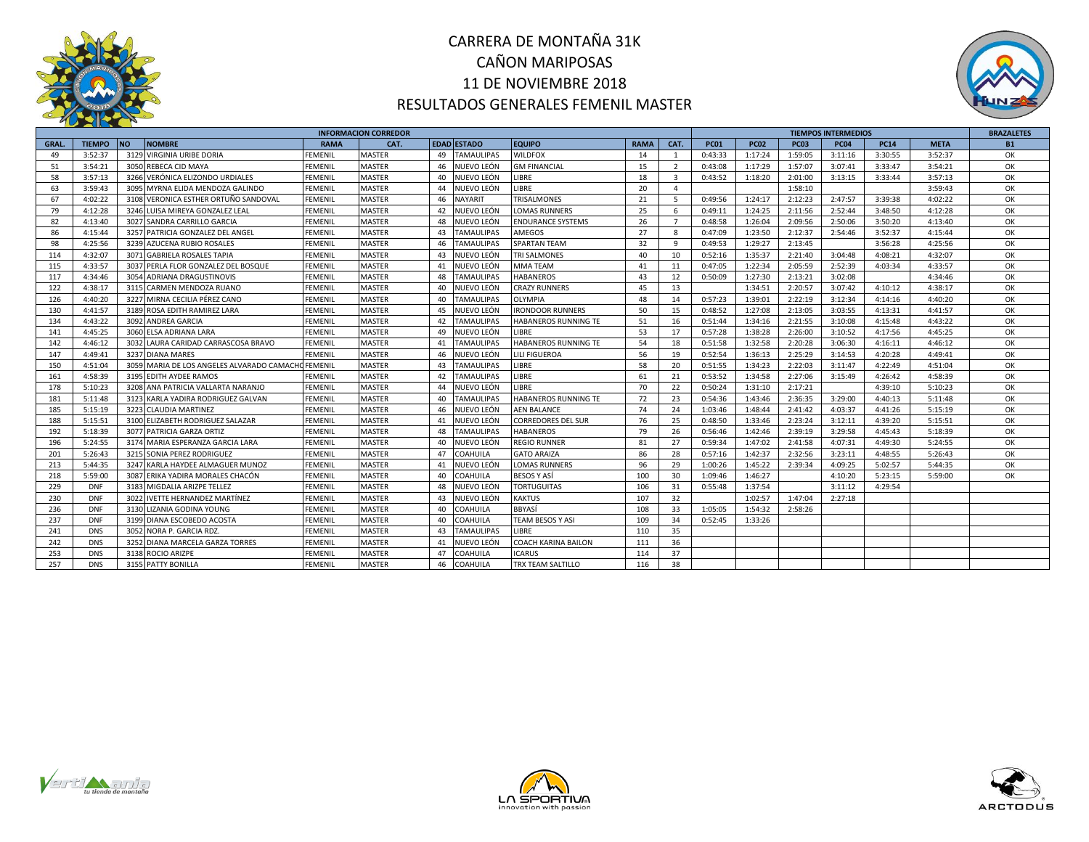



|             |               |           |                                                    |                | <b>INFORMACION CORREDOR</b> |    |                    |                            |             |                         |             |             |             | <b>TIEMPOS INTERMEDIOS</b> |             |             | <b>BRAZALETES</b> |
|-------------|---------------|-----------|----------------------------------------------------|----------------|-----------------------------|----|--------------------|----------------------------|-------------|-------------------------|-------------|-------------|-------------|----------------------------|-------------|-------------|-------------------|
| <b>GRAL</b> | <b>TIEMPO</b> | <b>NO</b> | <b>NOMBRE</b>                                      | <b>RAMA</b>    | CAT.                        |    | <b>EDAD ESTADO</b> | <b>EQUIPO</b>              | <b>RAMA</b> | CAT.                    | <b>PC01</b> | <b>PC02</b> | <b>PC03</b> | <b>PC04</b>                | <b>PC14</b> | <b>META</b> | <b>B1</b>         |
| 49          | 3:52:37       |           | 3129 VIRGINIA URIBE DORIA                          | FEMENIL        | <b>MASTER</b>               | 49 | <b>TAMAULIPAS</b>  | <b>WILDFOX</b>             | 14          | 1                       | 0:43:33     | 1:17:24     | 1:59:05     | 3:11:16                    | 3:30:55     | 3:52:37     | ОК                |
| 51          | 3:54:21       |           | 3050 REBECA CID MAYA                               | FEMENIL        | <b>MASTER</b>               | 46 | NUEVO LEÓN         | <b>GM FINANCIAL</b>        | 15          | 2                       | 0:43:08     | 1:17:29     | 1:57:07     | 3:07:41                    | 3:33:47     | 3:54:21     | ОК                |
| 58          | 3:57:13       |           | 3266 VERÓNICA ELIZONDO URDIALES                    | <b>FEMENIL</b> | <b>MASTER</b>               | 40 | NUEVO LEÓN         | LIBRE                      | 18          | $\overline{\mathbf{3}}$ | 0:43:52     | 1:18:20     | 2:01:00     | 3:13:15                    | 3:33:44     | 3:57:13     | ОК                |
| 63          | 3:59:43       |           | 3095 MYRNA ELIDA MENDOZA GALINDO                   | <b>FEMENIL</b> | <b>MASTER</b>               | 44 | NUEVO LEÓN         | LIBRE                      | 20          | $\overline{4}$          |             |             | 1:58:10     |                            |             | 3:59:43     | OK                |
| 67          | 4:02:22       |           | 3108 VERONICA ESTHER ORTUÑO SANDOVAL               | <b>FEMENIL</b> | <b>MASTER</b>               | 46 | <b>NAYARIT</b>     | <b>TRISALMONES</b>         | 21          | 5                       | 0:49:56     | 1:24:17     | 2:12:23     | 2:47:57                    | 3:39:38     | 4:02:22     | OK                |
| 79          | 4:12:28       | 3246      | LUISA MIREYA GONZALEZ LEAL                         | <b>FEMENIL</b> | <b>MASTER</b>               | 42 | NUEVO LEÓN         | <b>LOMAS RUNNERS</b>       | 25          | 6                       | 0:49:11     | 1:24:25     | 2:11:56     | 2:52:44                    | 3:48:50     | 4:12:28     | ОК                |
| 82          | 4:13:40       | 3027      | SANDRA CARRILLO GARCIA                             | <b>FEMENIL</b> | <b>MASTER</b>               | 48 | IUEVO LEÓN         | <b>ENDURANCE SYSTEMS</b>   | 26          | $\overline{7}$          | 0:48:58     | 1:26:04     | 2:09:56     | 2:50:06                    | 3:50:20     | 4:13:40     | ОК                |
| 86          | 4:15:44       |           | 3257 PATRICIA GONZALEZ DEL ANGEL                   | <b>FEMENIL</b> | <b>MASTER</b>               | 43 | <b>TAMAULIPAS</b>  | AMEGOS                     | 27          | 8                       | 0:47:09     | 1:23:50     | 2:12:37     | 2:54:46                    | 3:52:37     | 4:15:44     | OK                |
| 98          | 4:25:56       |           | 3239 AZUCENA RUBIO ROSALES                         | <b>FEMENIL</b> | MASTER                      | 46 | <b>TAMAULIPAS</b>  | SPARTAN TEAM               | 32          | 9                       | 0:49:53     | 1:29:27     | 2:13:45     |                            | 3:56:28     | 4:25:56     | ОК                |
| 114         | 4:32:07       |           | 3071 GABRIELA ROSALES TAPIA                        | <b>FEMENIL</b> | <b>MASTER</b>               | 43 | NUEVO LEÓN         | <b>TRI SALMONES</b>        | 40          | 10                      | 0:52:16     | 1:35:37     | 2:21:40     | 3:04:48                    | 4:08:21     | 4:32:07     | ОК                |
| 115         | 4:33:57       | 3037      | PERLA FLOR GONZALEZ DEL BOSQUE                     | <b>FEMENIL</b> | <b>MASTER</b>               | 41 | NUEVO LEÓN         | <b>MMATEAM</b>             | 41          | 11                      | 0:47:05     | 1:22:34     | 2:05:59     | 2:52:39                    | 4:03:34     | 4:33:57     | ОК                |
| 117         | 4:34:46       |           | 3054 ADRIANA DRAGUSTINOVIS                         | <b>FEMENIL</b> | <b>MASTER</b>               | 48 | <b>TAMAULIPAS</b>  | <b>HABANEROS</b>           | 43          | 12                      | 0:50:09     | 1:27:30     | 2:13:21     | 3:02:08                    |             | 4:34:46     | ОК                |
| 122         | 4:38:17       |           | 3115 CARMEN MENDOZA RUANO                          | <b>FEMENIL</b> | <b>MASTER</b>               | 40 | NUEVO LEÓN         | <b>CRAZY RUNNERS</b>       | 45          | 13                      |             | 1:34:51     | 2:20:57     | 3:07:42                    | 4:10:12     | 4:38:17     | OK                |
| 126         | 4:40:20       |           | 3227 MIRNA CECILIA PÉREZ CANO                      | <b>FEMENIL</b> | <b>MASTER</b>               | 40 | <b>TAMAULIPAS</b>  | OLYMPIA                    | 48          | 14                      | 0:57:23     | 1:39:01     | 2:22:19     | 3:12:34                    | 4:14:16     | 4:40:20     | OK                |
| 130         | 4:41:57       |           | 3189 ROSA EDITH RAMIREZ LARA                       | <b>FEMENIL</b> | <b>MASTER</b>               | 45 | NUEVO LEÓN         | <b>RONDOOR RUNNERS</b>     | 50          | 15                      | 0:48:52     | 1:27:08     | 2:13:05     | 3:03:55                    | 4:13:31     | 4:41:57     | OK                |
| 134         | 4:43:22       | 3092      | <b>ANDREA GARCIA</b>                               | <b>FEMENIL</b> | <b>MASTER</b>               | 42 | <b>TAMAULIPAS</b>  | HABANEROS RUNNING TE       | 51          | 16                      | 0:51:44     | 1:34:16     | 2:21:55     | 3:10:08                    | 4:15:48     | 4:43:22     | OK                |
| 141         | 4:45:25       |           | 3060 ELSA ADRIANA LARA                             | <b>FEMENIL</b> | <b>MASTER</b>               | 49 | NUEVO LEÓN         | <b>LIBRE</b>               | 53          | 17                      | 0:57:28     | 1:38:28     | 2:26:00     | 3:10:52                    | 4:17:56     | 4:45:25     | ОК                |
| 142         | 4:46:12       |           | 3032 LAURA CARIDAD CARRASCOSA BRAVO                | <b>FEMENIL</b> | <b>MASTER</b>               | 41 | <b>TAMAULIPAS</b>  | HABANEROS RUNNING TE       | 54          | 18                      | 0:51:58     | 1:32:58     | 2:20:28     | 3:06:30                    | 4:16:11     | 4:46:12     | ОК                |
| 147         | 4:49:41       |           | 3237 DIANA MARES                                   | <b>FEMENIL</b> | <b>MASTER</b>               | 46 | NUEVO LEÓN         | LILI FIGUEROA              | 56          | 19                      | 0:52:54     | 1:36:13     | 2:25:29     | 3:14:53                    | 4:20:28     | 4:49:41     | ОК                |
| 150         | 4:51:04       |           | 3059 MARIA DE LOS ANGELES ALVARADO CAMACHO FEMENIL |                | <b>MASTER</b>               | 43 | <b>TAMAULIPAS</b>  | LIBRE                      | 58          | 20                      | 0:51:55     | 1:34:23     | 2:22:03     | 3:11:47                    | 4:22:49     | 4:51:04     | OK                |
| 161         | 4:58:39       |           | 3195 EDITH AYDEE RAMOS                             | <b>FEMENIL</b> | <b>MASTER</b>               | 42 | <b>TAMAULIPAS</b>  | LIBRE                      | 61          | 21                      | 0:53:52     | 1:34:58     | 2:27:06     | 3:15:49                    | 4:26:42     | 4:58:39     | OK                |
| 178         | 5:10:23       |           | 3208 ANA PATRICIA VALLARTA NARANJO                 | <b>FEMENIL</b> | <b>MASTER</b>               | 44 | NUEVO LEÓN         | <b>IBRE</b>                | 70          | 22                      | 0:50:24     | 1:31:10     | 2:17:21     |                            | 4:39:10     | 5:10:23     | ОК                |
| 181         | 5:11:48       |           | 3123 KARLA YADIRA RODRIGUEZ GALVAN                 | <b>FEMENIL</b> | <b>MASTER</b>               | 40 | <b>TAMAULIPAS</b>  | HABANEROS RUNNING TE       | 72          | 23                      | 0:54:36     | 1:43:46     | 2:36:35     | 3:29:00                    | 4:40:13     | 5:11:48     | OK                |
| 185         | 5:15:19       |           | 3223 CLAUDIA MARTINEZ                              | <b>FEMENIL</b> | <b>MASTER</b>               | 46 | NUEVO LEÓN         | <b>AEN BALANCE</b>         | 74          | 24                      | 1:03:46     | 1:48:44     | 2:41:42     | 4:03:37                    | 4:41:26     | 5:15:19     | OK                |
| 188         | 5:15:51       |           | 3100 ELIZABETH RODRIGUEZ SALAZAR                   | <b>FEMENIL</b> | <b>MASTER</b>               | 41 | NUEVO LEÓN         | <b>CORREDORES DEL SUR</b>  | 76          | 25                      | 0:48:50     | 1:33:46     | 2:23:24     | 3:12:11                    | 4:39:20     | 5:15:51     | ОК                |
| 192         | 5:18:39       |           | 3077 PATRICIA GARZA ORTIZ                          | <b>FEMENIL</b> | <b>MASTER</b>               | 48 | <b>TAMAULIPAS</b>  | <b>HABANEROS</b>           | 79          | 26                      | 0:56:46     | 1:42:46     | 2:39:19     | 3:29:58                    | 4:45:43     | 5:18:39     | ОК                |
| 196         | 5:24:55       |           | 3174 MARIA ESPERANZA GARCIA LARA                   | <b>FEMENIL</b> | <b>MASTER</b>               | 40 | NUEVO LEÓN         | <b>REGIO RUNNER</b>        | 81          | 27                      | 0:59:34     | 1:47:02     | 2:41:58     | 4:07:31                    | 4:49:30     | 5:24:55     | ОК                |
| 201         | 5:26:43       |           | 3215 SONIA PEREZ RODRIGUEZ                         | <b>FEMENIL</b> | <b>MASTER</b>               | 47 | <b>COAHUILA</b>    | <b>GATO ARAIZA</b>         | 86          | 28                      | 0:57:16     | 1:42:37     | 2:32:56     | 3:23:11                    | 4:48:55     | 5:26:43     | ОК                |
| 213         | 5:44:35       |           | 3247 KARLA HAYDEE ALMAGUER MUNOZ                   | <b>FEMENIL</b> | <b>MASTER</b>               | 41 | NUEVO LEÓN         | <b>LOMAS RUNNERS</b>       | 96          | 29                      | 1:00:26     | 1:45:22     | 2:39:34     | 4:09:25                    | 5:02:57     | 5:44:35     | OK                |
| 218         | 5:59:00       |           | 3087 ERIKA YADIRA MORALES CHACÓN                   | <b>FEMENIL</b> | <b>MASTER</b>               | 40 | <b>COAHUILA</b>    | <b>BESOS Y ASÍ</b>         | 100         | 30                      | 1:09:46     | 1:46:27     |             | 4:10:20                    | 5:23:15     | 5:59:00     | ОК                |
| 229         | <b>DNF</b>    | 3183      | MIGDALIA ARIZPE TELLEZ                             | <b>FEMENIL</b> | <b>MASTER</b>               | 48 | NUEVO LEÓN         | <b>TORTUGUITAS</b>         | 106         | 31                      | 0:55:48     | 1:37:54     |             | 3:11:12                    | 4:29:54     |             |                   |
| 230         | <b>DNF</b>    | 3022      | IVETTE HERNANDEZ MARTÍNEZ                          | <b>FEMENIL</b> | <b>MASTER</b>               | 43 | NUEVO LEÓN         | <b>KAKTUS</b>              | 107         | 32                      |             | 1:02:57     | 1:47:04     | 2:27:18                    |             |             |                   |
| 236         | <b>DNF</b>    | 3130      | LIZANIA GODINA YOUNG                               | <b>FEMENIL</b> | <b>MASTER</b>               | 40 | COAHUILA           | <b>BBYASÍ</b>              | 108         | 33                      | 1:05:05     | 1:54:32     | 2:58:26     |                            |             |             |                   |
| 237         | <b>DNF</b>    |           | 3199 DIANA ESCOBEDO ACOSTA                         | <b>FEMENIL</b> | MASTER                      | 40 | <b>COAHUILA</b>    | <b>TEAM BESOS Y ASI</b>    | 109         | 34                      | 0:52:45     | 1:33:26     |             |                            |             |             |                   |
| 241         | <b>DNS</b>    | 3052      | NORA P. GARCIA RDZ.                                | <b>FEMENIL</b> | <b>MASTER</b>               | 43 | <b>TAMAULIPAS</b>  | LIBRE                      | 110         | 35                      |             |             |             |                            |             |             |                   |
| 242         | <b>DNS</b>    |           | 3252 DIANA MARCELA GARZA TORRES                    | <b>FEMENIL</b> | <b>MASTER</b>               | 41 | NUEVO LEÓN         | <b>COACH KARINA BAILON</b> | 111         | 36                      |             |             |             |                            |             |             |                   |
| 253         | <b>DNS</b>    |           | 3138 ROCIO ARIZPE                                  | FEMENIL        | <b>MASTER</b>               | 47 | COAHUILA           | <b>ICARUS</b>              | 114         | 37                      |             |             |             |                            |             |             |                   |
| 257         | <b>DNS</b>    |           | 3155 PATTY BONILLA                                 | <b>FEMENIL</b> | <b>MASTER</b>               | 46 | <b>COAHUILA</b>    | TRX TEAM SALTILLO          | 116         | 38                      |             |             |             |                            |             |             |                   |





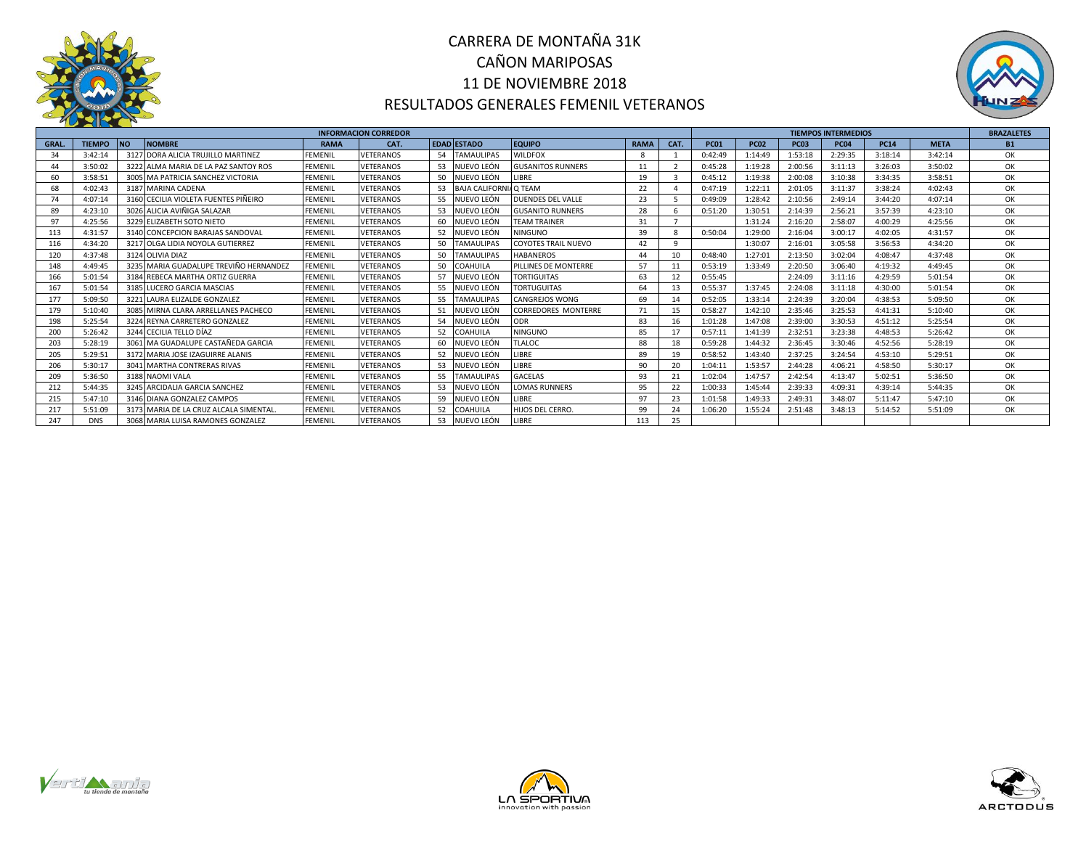

# CARRERA DE MONTAÑA 31K CAÑON MARIPOSAS 11 DE NOVIEMBRE 2018 RESULTADOS GENERALES FEMENIL VETERANOS



|              |               |                                        |                | <b>INFORMACION CORREDOR</b> |    |                       |                            |             |                |             |             |             | <b>TIEMPOS INTERMEDIOS</b> |             |             | <b>BRAZALETES</b> |
|--------------|---------------|----------------------------------------|----------------|-----------------------------|----|-----------------------|----------------------------|-------------|----------------|-------------|-------------|-------------|----------------------------|-------------|-------------|-------------------|
| <b>GRAL.</b> | <b>TIEMPO</b> | <b>INO</b><br><b>NOMBRE</b>            | <b>RAMA</b>    | CAT.                        |    | <b>EDAD ESTADO</b>    | <b>EQUIPO</b>              | <b>RAMA</b> | CAT.           | <b>PC01</b> | <b>PC02</b> | <b>PC03</b> | <b>PC04</b>                | <b>PC14</b> | <b>META</b> | <b>B1</b>         |
| 34           | 3:42:14       | 3127 DORA ALICIA TRUJILLO MARTINEZ     | <b>FEMENIL</b> | VETERANOS                   | 54 | <b>TAMAULIPAS</b>     | <b>WILDFOX</b>             |             |                | 0:42:49     | 1:14:49     | 1:53:18     | 2:29:35                    | 3:18:14     | 3:42:14     | ОК                |
| 44           | 3:50:02       | 3222 ALMA MARIA DE LA PAZ SANTOY ROS   | <b>FEMENIL</b> | <b>VETERANOS</b>            |    | 53 NUEVO LEÓN         | <b>GUSANITOS RUNNERS</b>   | 11          | $\overline{z}$ | 0:45:28     | 1:19:28     | 2:00:56     | 3:11:13                    | 3:26:03     | 3:50:02     | ОК                |
| 60           | 3:58:51       | 3005 MA PATRICIA SANCHEZ VICTORIA      | <b>FEMENIL</b> | VETERANOS                   | 50 | NUEVO LEÓN            | LIBRE                      | 19          |                | 0:45:12     | 1:19:38     | 2:00:08     | 3:10:38                    | 3:34:35     | 3:58:51     | OK                |
| 68           | 4:02:43       | 3187 MARINA CADENA                     | <b>FEMENIL</b> | <b>VETERANOS</b>            | 53 | <b>BAJA CALIFORNI</b> | I/O TEAM                   | 22          |                | 0:47:19     | 1:22:11     | 2:01:05     | 3:11:37                    | 3:38:24     | 4:02:43     | OK                |
| 74           | 4:07:14       | 3160 CECILIA VIOLETA FUENTES PIÑEIRO   | <b>FEMENIL</b> | VETERANOS                   | 55 | NUEVO LEÓN            | <b>DUENDES DEL VALLE</b>   | 23          |                | 0:49:09     | 1:28:42     | 2:10:56     | 2:49:14                    | 3:44:20     | 4:07:14     | OK                |
| 89           | 4:23:10       | 3026 ALICIA AVIÑIGA SALAZAR            | <b>FEMENIL</b> | <b>VETERANOS</b>            | 53 | NUEVO LEÓN            | <b>GUSANITO RUNNERS</b>    | 28          |                | 0:51:20     | 1:30:51     | 2:14:39     | 2:56:21                    | 3:57:39     | 4:23:10     | OK                |
| 97           | 4:25:56       | 3229 ELIZABETH SOTO NIETO              | <b>FEMENIL</b> | VETERANOS                   | 60 | NUEVO LEÓN            | <b>TEAM TRAINER</b>        | 31          | $\overline{7}$ |             | 1:31:24     | 2:16:20     | 2:58:07                    | 4:00:29     | 4:25:56     | ОК                |
| 113          | 4:31:57       | 3140 CONCEPCION BARAJAS SANDOVAL       | <b>FEMENIL</b> | VETERANOS                   | 52 | NUEVO LEÓN            | <b>NINGUNO</b>             | 39          |                | 0:50:04     | 1:29:00     | 2:16:04     | 3:00:17                    | 4:02:05     | 4:31:57     | OK                |
| 116          | 4:34:20       | 3217 OLGA LIDIA NOYOLA GUTIERREZ       | <b>FEMENIL</b> | VETERANOS                   | 50 | <b>TAMAULIPAS</b>     | <b>COYOTES TRAIL NUEVO</b> | 42          | -9             |             | 1:30:07     | 2:16:01     | 3:05:58                    | 3:56:53     | 4:34:20     | ОК                |
| 120          | 4:37:48       | 3124 OLIVIA DIAZ                       | <b>FEMENIL</b> | VETERANOS                   | 50 | <b>TAMAULIPAS</b>     | <b>HABANEROS</b>           | 44          | 10             | 0:48:40     | 1:27:01     | 2:13:50     | 3:02:04                    | 4:08:47     | 4:37:48     | ОК                |
| 148          | 4:49:45       | 3235 MARIA GUADALUPE TREVIÑO HERNANDEZ | <b>FEMENIL</b> | <b>VETERANOS</b>            | 50 | COAHUILA              | PILLINES DE MONTERRE       | 57          | 11             | 0:53:19     | 1:33:49     | 2:20:50     | 3:06:40                    | 4:19:32     | 4:49:45     | OK                |
| 166          | 5:01:54       | 3184 REBECA MARTHA ORTIZ GUERRA        | <b>FEMENIL</b> | <b>VETERANOS</b>            | 57 | NUEVO LEÓN            | <b>TORTIGUITAS</b>         | 63          | 12             | 0:55:45     |             | 2:24:09     | 3:11:16                    | 4:29:59     | 5:01:54     | OK                |
| 167          | 5:01:54       | 3185 LUCERO GARCIA MASCIAS             | <b>FEMENIL</b> | VETERANOS                   | 55 | NUEVO LEÓN            | <b>TORTUGUITAS</b>         | 64          | 13             | 0:55:37     | 1:37:45     | 2:24:08     | 3:11:18                    | 4:30:00     | 5:01:54     | OK                |
| 177          | 5:09:50       | 3221 LAURA ELIZALDE GONZALEZ           | <b>FEMENIL</b> | VETERANOS                   | 55 | <b>TAMAULIPAS</b>     | <b>CANGREJOS WONG</b>      | 69          | 14             | 0:52:05     | 1:33:14     | 2:24:39     | 3:20:04                    | 4:38:53     | 5:09:50     | ОК                |
| 179          | 5:10:40       | 3085 MIRNA CLARA ARRELLANES PACHECO    | <b>FEMENIL</b> | VETERANOS                   | 51 | NUEVO LEÓN            | <b>CORREDORES MONTERRE</b> | 71          | 15             | 0:58:27     | 1:42:10     | 2:35:46     | 3:25:53                    | 4:41:31     | 5:10:40     | OK                |
| 198          | 5:25:54       | 3224 REYNA CARRETERO GONZALEZ          | <b>FEMENIL</b> | <b>VETERANOS</b>            | 54 | NUEVO LEÓN            | ODR                        | 83          | 16             | 1:01:28     | 1:47:08     | 2:39:00     | 3:30:53                    | 4:51:12     | 5:25:54     | OK                |
| 200          | 5:26:42       | 3244 CECILIA TELLO DÍAZ                | <b>FEMENIL</b> | VETERANOS                   | 52 | <b>COAHUILA</b>       | <b>NINGUNO</b>             | 85          | 17             | 0:57:11     | 1:41:39     | 2:32:51     | 3:23:38                    | 4:48:53     | 5:26:42     | OK                |
| 203          | 5:28:19       | 3061 MA GUADALUPE CASTAÑEDA GARCIA     | <b>FEMENIL</b> | <b>VETERANOS</b>            | 60 | NUEVO LEÓN            | <b>TLALOC</b>              | 88          | 18             | 0:59:28     | 1:44:32     | 2:36:45     | 3:30:46                    | 4:52:56     | 5:28:19     | ОК                |
| 205          | 5:29:51       | 3172 MARIA JOSE IZAGUIRRE ALANIS       | <b>FEMENIL</b> | <b>VETERANOS</b>            | 52 | NUEVO LEÓN            | LIBRE                      | 89          | 19             | 0:58:52     | 1:43:40     | 2:37:25     | 3:24:54                    | 4:53:10     | 5:29:51     | OK                |
| 206          | 5:30:17       | 3041 MARTHA CONTRERAS RIVAS            | <b>FEMENIL</b> | <b>VETERANOS</b>            | 53 | NUEVO LEÓN            | LIBRE                      | 90          | 20             | 1:04:11     | 1:53:57     | 2:44:28     | 4:06:21                    | 4:58:50     | 5:30:17     | ОК                |
| 209          | 5:36:50       | 3188 NAOMI VALA                        | <b>FEMENIL</b> | <b>VETERANOS</b>            | 55 | <b>TAMAULIPAS</b>     | <b>GACELAS</b>             | 93          | 21             | 1:02:04     | 1:47:57     | 2:42:54     | 4:13:47                    | 5:02:51     | 5:36:50     | ОК                |
| 212          | 5:44:35       | 3245 ARCIDALIA GARCIA SANCHEZ          | <b>FEMENIL</b> | <b>VETERANOS</b>            | 53 | NUEVO LEÓN            | <b>LOMAS RUNNERS</b>       | 95          | 22             | 1:00:33     | 1:45:44     | 2:39:33     | 4:09:31                    | 4:39:14     | 5:44:35     | OK                |
| 215          | 5:47:10       | 3146 DIANA GONZALEZ CAMPOS             | <b>FEMENIL</b> | <b>VETERANOS</b>            | 59 | NUEVO LEÓN            | LIBRE                      | 97          | 23             | 1:01:58     | 1:49:33     | 2:49:31     | 3:48:07                    | 5:11:47     | 5:47:10     | OK                |
| 217          | 5:51:09       | 3173 MARIA DE LA CRUZ ALCALA SIMENTAL  | <b>FEMENIL</b> | VETERANOS                   | 52 | COAHUILA              | <b>HIJOS DEL CERRO.</b>    | 99          | 24             | 1:06:20     | 1:55:24     | 2:51:48     | 3:48:13                    | 5:14:52     | 5:51:09     | OK                |
| 247          | <b>DNS</b>    | 3068 MARIA LUISA RAMONES GONZALEZ      | <b>FEMENIL</b> | <b>VETERANOS</b>            | 53 | NUEVO LEÓN            | LIBRE                      | 113         | 25             |             |             |             |                            |             |             |                   |





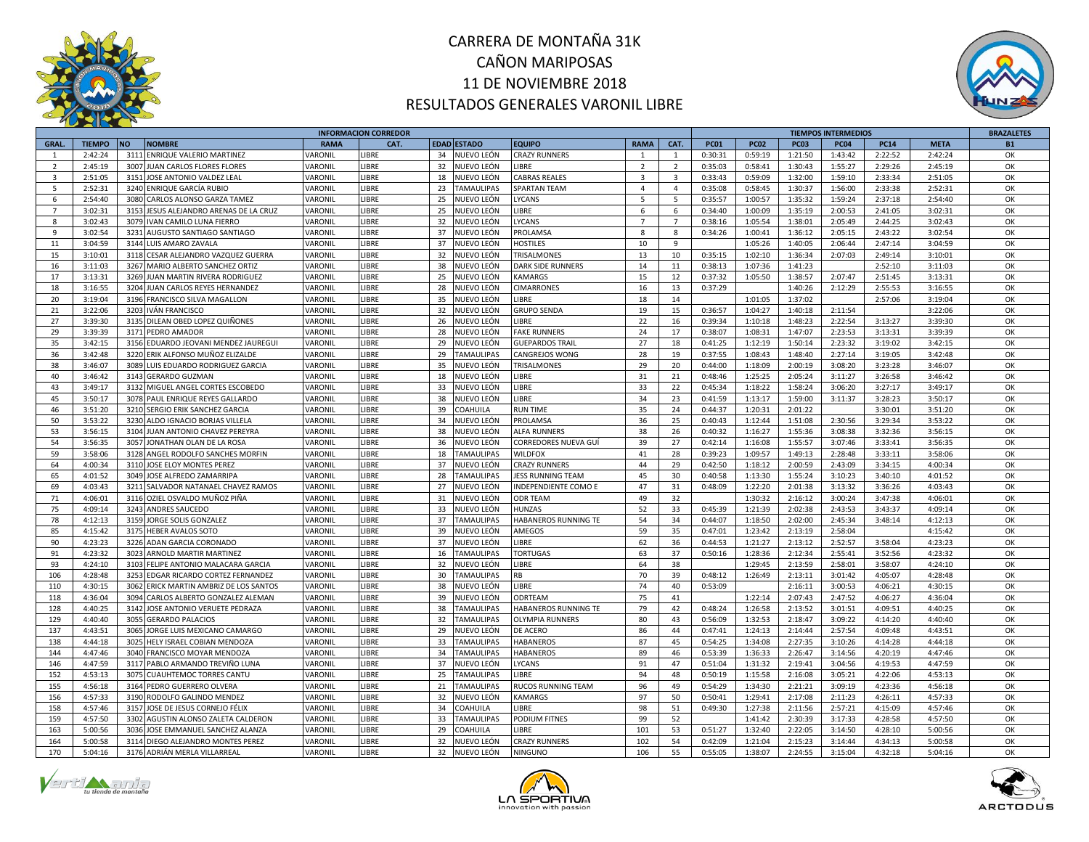



|                         |               |                                        |             | <b>INFORMACION CORREDOR</b> |                         |                          |                         |                         |             |             |             | <b>TIEMPOS INTERMEDIOS</b> |             | <b>BRAZALETES</b> |           |
|-------------------------|---------------|----------------------------------------|-------------|-----------------------------|-------------------------|--------------------------|-------------------------|-------------------------|-------------|-------------|-------------|----------------------------|-------------|-------------------|-----------|
| <b>GRAL.</b>            | <b>TIEMPO</b> | <b>NO</b><br><b>NOMBRE</b>             | <b>RAMA</b> | CAT.                        | <b>EDAD ESTADO</b>      | <b>EQUIPO</b>            | <b>RAMA</b>             | CAT.                    | <b>PC01</b> | <b>PC02</b> | <b>PC03</b> | <b>PC04</b>                | <b>PC14</b> | <b>META</b>       | <b>B1</b> |
| $\mathbf{1}$            | 2:42:24       | 3111 ENRIQUE VALERIO MARTINEZ          | VARONIL     | LIBRE                       | 34 NUEVO LEÓN           | <b>CRAZY RUNNERS</b>     | $\overline{1}$          | $\overline{1}$          | 0:30:31     | 0:59:19     | 1:21:50     | 1:43:42                    | 2:22:52     | 2:42:24           | OK        |
| $\overline{2}$          | 2:45:19       | 3007<br>JUAN CARLOS FLORES FLORES      | VARONIL     | LIBRE                       | 32 NUEVO LEÓN           | LIBRE                    | $\overline{2}$          | $\overline{2}$          | 0:35:03     | 0:58:41     | 1:30:43     | 1:55:27                    | 2:29:26     | 2:45:19           | OK        |
| $\overline{\mathbf{3}}$ | 2:51:05       | 3151 JOSE ANTONIO VALDEZ LEAL          | VARONIL     | LIBRE                       | NUEVO LEÓN<br>18        | <b>CABRAS REALES</b>     | $\overline{\mathbf{3}}$ | $\overline{\mathbf{3}}$ | 0:33:43     | 0:59:09     | 1:32:00     | 1:59:10                    | 2:33:34     | 2:51:05           | ОK        |
| 5                       | 2:52:31       | 3240 ENRIQUE GARCÍA RUBIO              | VARONIL     | LIBRE                       | 23 TAMAULIPAS           | <b>SPARTAN TEAM</b>      | $\overline{4}$          | $\overline{4}$          | 0:35:08     | 0:58:45     | 1:30:37     | 1:56:00                    | 2:33:38     | 2:52:31           | OK        |
| 6                       | 2:54:40       | 3080 CARLOS ALONSO GARZA TAMEZ         | VARONIL     | LIBRE                       | 25<br>NUEVO LEÓN        | LYCANS                   | $5^{\circ}$             | -5                      | 0:35:57     | 1:00:57     | 1:35:32     | 1:59:24                    | 2:37:18     | 2:54:40           | OK        |
| $\overline{7}$          | 3:02:31       | 3153 JESUS ALEJANDRO ARENAS DE LA CRUZ | VARONIL     | LIBRE                       | 25<br>NUEVO LEÓN        | LIBRE                    | 6                       | 6                       | 0:34:40     | 1:00:09     | 1:35:19     | 2:00:53                    | 2:41:05     | 3:02:31           | OK        |
| 8                       | 3:02:43       | 3079 IVAN CAMILO LUNA FIERRO           | VARONIL     | <b>IBRE</b>                 | 32<br>NUEVO LEÓN        | LYCANS                   | $\overline{7}$          | $\overline{7}$          | 0:38:16     | 1:05:54     | 1:38:01     | 2:05:49                    | 2:44:25     | 3:02:43           | OK        |
| 9                       | 3:02:54       | 3231 AUGUSTO SANTIAGO SANTIAGO         | VARONIL     | LIBRE                       | 37<br>NUEVO LEÓN        | PROLAMSA                 | 8                       | 8                       | 0:34:26     | 1:00:41     | 1:36:12     | 2:05:15                    | 2:43:22     | 3:02:54           | OK        |
| 11                      | 3:04:59       | 3144 LUIS AMARO ZAVALA                 | VARONIL     | LIBRE                       | 37 NUEVO LEÓN           | HOSTILES                 | 10                      | 9                       |             | 1:05:26     | 1:40:05     | 2:06:44                    | 2:47:14     | 3:04:59           | ОK        |
|                         |               |                                        |             |                             |                         |                          |                         |                         |             | 1:02:10     |             |                            |             |                   | OK        |
| 15                      | 3:10:01       | 3118 CESAR ALEJANDRO VAZQUEZ GUERRA    | VARONIL     | LIBRE                       | NUEVO LEÓN<br>32        | <b>TRISALMONES</b>       | 13                      | 10                      | 0:35:15     |             | 1:36:34     | 2:07:03                    | 2:49:14     | 3:10:01           |           |
| 16                      | 3:11:03       | 3267 MARIO ALBERTO SANCHEZ ORTIZ       | VARONIL     | LIBRE                       | 38<br>NUEVO LEÓN        | DARK SIDE RUNNERS        | 14                      | 11                      | 0:38:13     | 1:07:36     | 1:41:23     |                            | 2:52:10     | 3:11:03           | OK        |
| 17                      | 3:13:31       | 3269 JUAN MARTIN RIVERA RODRIGUEZ      | VARONIL     | LIBRE                       | 25<br>NUEVO LEÓN        | KAMARGS                  | 15                      | 12                      | 0:37:32     | 1:05:50     | 1:38:57     | 2:07:47                    | 2:51:45     | 3:13:31           | OK        |
| 18                      | 3:16:55       | 3204<br>JUAN CARLOS REYES HERNANDEZ    | VARONIL     | LIBRE                       | 28<br>NUEVO LEÓN        | CIMARRONES               | 16                      | 13                      | 0:37:29     |             | 1:40:26     | 2:12:29                    | 2:55:53     | 3:16:55           | OK        |
| 20                      | 3:19:04       | 3196 FRANCISCO SILVA MAGALLON          | VARONIL     | LIBRE                       | 35<br>NUEVO LEÓN        | <b>IBRE</b>              | 18                      | 14                      |             | 1:01:05     | 1:37:02     |                            | 2:57:06     | 3:19:04           | OK        |
| 21                      | 3:22:06       | 3203 IVÁN FRANCISCO                    | VARONIL     | LIBRE                       | 32 NUEVO LEÓN           | <b>GRUPO SENDA</b>       | 19                      | 15                      | 0:36:57     | 1:04:27     | 1:40:18     | 2:11:54                    |             | 3:22:06           | OK        |
| 27                      | 3:39:30       | 3135 DILEAN OBED LOPEZ QUIÑONES        | VARONIL     | LIBRE                       | 26 NUEVO LEÓN           | LIBRE                    | 22                      | 16                      | 0:39:34     | 1:10:18     | 1:48:23     | 2:22:54                    | 3:13:27     | 3:39:30           | OK        |
| 29                      | 3:39:39       | 3171 PEDRO AMADOR                      | VARONIL     | LIBRE                       | 28<br>NUEVO LEÓN        | <b>FAKE RUNNERS</b>      | 24                      | 17                      | 0:38:07     | 1:08:31     | 1:47:07     | 2:23:53                    | 3:13:31     | 3:39:39           | OK        |
| 35                      | 3:42:15       | 3156 EDUARDO JEOVANI MENDEZ JAUREGUI   | VARONIL     | LIBRE                       | NUEVO LEÓN<br>29        | <b>GUEPARDOS TRAIL</b>   | 27                      | 18                      | 0:41:25     | 1:12:19     | 1:50:14     | 2:23:32                    | 3:19:02     | 3:42:15           | OK        |
| 36                      | 3:42:48       | 3220 ERIK ALFONSO MUÑOZ ELIZALDE       | VARONIL     | LIBRE                       | 29<br><b>TAMAULIPAS</b> | CANGREJOS WONG           | 28                      | 19                      | 0:37:55     | 1:08:43     | 1:48:40     | 2:27:14                    | 3:19:05     | 3:42:48           | OK        |
| 38                      | 3:46:07       | 3089 LUIS EDUARDO RODRIGUEZ GARCIA     | VARONIL     | LIBRE                       | 35<br>NUEVO LEÓN        | TRISALMONES              | 29                      | 20                      | 0:44:00     | 1:18:09     | 2:00:19     | 3:08:20                    | 3:23:28     | 3:46:07           | OK        |
| 40                      | 3:46:42       | 3143 GERARDO GUZMAN                    | VARONIL     | LIBRE                       | 18<br>NUEVO LEÓN        | LIBRE                    | 31                      | 21                      | 0:48:46     | 1:25:25     | 2:05:24     | 3:11:27                    | 3:26:58     | 3:46:42           | OK        |
| 43                      | 3:49:17       | 3132 MIGUEL ANGEL CORTES ESCOBEDO      | VARONIL     | LIBRE                       | NUEVO LEÓN<br>33        | LIBRE                    | 33                      | 22                      | 0:45:34     | 1:18:22     | 1:58:24     | 3:06:20                    | 3:27:17     | 3:49:17           | OK        |
| 45                      | 3:50:17       | 3078 PAUL ENRIQUE REYES GALLARDO       | VARONIL     | LIBRE                       | NUEVO LEÓN<br>38        | LIBRE                    | 34                      | 23                      | 0:41:59     | 1:13:17     | 1:59:00     | 3:11:37                    | 3:28:23     | 3:50:17           | OK        |
| 46                      | 3:51:20       | 3210 SERGIO ERIK SANCHEZ GARCIA        | VARONIL     | LIBRE                       | 39<br>COAHUILA          | <b>RUN TIME</b>          | 35                      | 24                      | 0:44:37     | 1:20:31     | 2:01:22     |                            | 3:30:01     | 3:51:20           | OK        |
| 50                      | 3:53:22       | 3230 ALDO IGNACIO BORJAS VILLELA       | VARONIL     | LIBRE                       | NUEVO LEÓN<br>34        | PROLAMSA                 | 36                      | 25                      | 0:40:43     | 1:12:44     | 1:51:08     | 2:30:56                    | 3:29:34     | 3:53:22           | OK        |
| 53                      | 3:56:15       | 3104 JUAN ANTONIO CHAVEZ PEREYRA       | VARONIL     | LIBRE                       | 38<br>NUEVO LEÓN        | <b>ALFA RUNNERS</b>      | 38                      | 26                      | 0:40:32     | 1:16:27     | 1:55:36     | 3:08:38                    | 3:32:36     | 3:56:15           | OK        |
| 54                      | 3:56:35       | 3057<br>JONATHAN OLAN DE LA ROSA       | VARONIL     | LIBRE                       | NUEVO LEÓN<br>36        | CORREDORES NUEVA GUÍ     | 39                      | 27                      | 0:42:14     | 1:16:08     | 1:55:57     | 3:07:46                    | 3:33:41     | 3:56:35           | OK        |
| 59                      | 3:58:06       | 3128 ANGEL RODOLFO SANCHES MORFIN      | VARONIL     | LIBRE                       | 18<br><b>TAMAULIPAS</b> | WILDFOX                  | 41                      | 28                      | 0:39:23     | 1:09:57     | 1:49:13     | 2:28:48                    | 3:33:11     | 3:58:06           | OK        |
| 64                      | 4:00:34       | 3110 JOSE ELOY MONTES PEREZ            | VARONIL     | LIBRE                       | 37 NUEVO LEÓN           | <b>CRAZY RUNNERS</b>     | 44                      | 29                      | 0:42:50     | 1:18:12     | 2:00:59     | 2:43:09                    | 3:34:15     | 4:00:34           | OK        |
| 65                      | 4:01:52       | 3049 JOSE ALFREDO ZAMARRIPA            | VARONIL     | LIBRE                       | 28<br><b>TAMAULIPAS</b> |                          | 45                      | 30                      | 0:40:58     | 1:13:30     | 1:55:24     |                            |             |                   | OK        |
|                         |               |                                        |             |                             |                         | <b>IESS RUNNING TEAM</b> | 47                      |                         |             |             |             | 3:10:23                    | 3:40:10     | 4:01:52           |           |
| 69                      | 4:03:43       | 3211 SALVADOR NATANAEL CHAVEZ RAMOS    | VARONIL     | LIBRE                       | 27<br>NUEVO LEÓN        | INDEPENDIENTE COMO E     |                         | 31                      | 0:48:09     | 1:22:20     | 2:01:38     | 3:13:32                    | 3:36:26     | 4:03:43           | ОК        |
| 71                      | 4:06:01       | 3116 OZIEL OSVALDO MUÑOZ PIÑA          | VARONIL     | LIBRE                       | NUEVO LEÓN<br>31        | <b>ODR TEAM</b>          | 49                      | 32                      |             | 1:30:32     | 2:16:12     | 3:00:24                    | 3:47:38     | 4:06:01           | OK        |
| 75                      | 4:09:14       | 3243 ANDRES SAUCEDO                    | VARONIL     | LIBRE                       | 33<br>NUEVO LEÓN        | HUNZAS                   | 52                      | 33                      | 0:45:39     | 1:21:39     | 2:02:38     | 2:43:53                    | 3:43:37     | 4:09:14           | OK        |
| 78                      | 4:12:13       | 3159 JORGE SOLIS GONZALEZ              | VARONIL     | <b>IBRE</b>                 | 37<br><b>TAMAULIPAS</b> | HABANEROS RUNNING TE     | 54                      | 34                      | 0:44:07     | 1:18:50     | 2:02:00     | 2:45:34                    | 3:48:14     | 4:12:13           | OK        |
| 85                      | 4:15:42       | 3175 HEBER AVALOS SOTO                 | VARONIL     | <b>IBRE</b>                 | 39<br>NUEVO LEÓN        | AMEGOS                   | 59                      | 35                      | 0:47:01     | 1:23:42     | 2:13:19     | 2:58:04                    |             | 4:15:42           | OK        |
| 90                      | 4:23:23       | 3226 ADAN GARCIA CORONADO              | VARONIL     | LIBRE                       | 37<br>NUEVO LEÓN        | <b>IBRE</b>              | 62                      | 36                      | 0:44:53     | 1:21:27     | 2:13:12     | 2:52:57                    | 3:58:04     | 4:23:23           | OK        |
| 91                      | 4:23:32       | 3023<br>ARNOLD MARTIR MARTINEZ         | VARONIL     | LIBRE                       | <b>TAMAULIPAS</b><br>16 | <b>TORTUGAS</b>          | 63                      | 37                      | 0:50:16     | 1:28:36     | 2:12:34     | 2:55:41                    | 3:52:56     | 4:23:32           | OK        |
| 93                      | 4:24:10       | 3103<br>FELIPE ANTONIO MALACARA GARCIA | VARONIL     | LIBRE                       | NUEVO LEÓN<br>32        | LIBRE                    | 64                      | 38                      |             | 1:29:45     | 2:13:59     | 2:58:01                    | 3:58:07     | 4:24:10           | OK        |
| 106                     | 4:28:48       | 3253 EDGAR RICARDO CORTEZ FERNANDEZ    | VARONIL     | LIBRE                       | 30<br><b>TAMAULIPAS</b> | RB                       | 70                      | 39                      | 0:48:12     | 1:26:49     | 2:13:11     | 3:01:42                    | 4:05:07     | 4:28:48           | OK        |
| 110                     | 4:30:15       | 3062 ERICK MARTIN AMBRIZ DE LOS SANTOS | VARONIL     | LIBRE                       | 38<br>NUEVO LEÓN        | LIBRE                    | 74                      | 40                      | 0:53:09     |             | 2:16:11     | 3:00:53                    | 4:06:21     | 4:30:15           | ОК        |
| 118                     | 4:36:04       | 3094<br>CARLOS ALBERTO GONZALEZ ALEMAN | VARONIL     | LIBRE                       | NUEVO LEÓN<br>39        | ODRTEAM                  | 75                      | 41                      |             | 1:22:14     | 2:07:43     | 2:47:52                    | 4:06:27     | 4:36:04           | OK        |
| 128                     | 4:40:25       | 3142<br>JOSE ANTONIO VERUETE PEDRAZA   | VARONIL     | LIBRE                       | 38<br>TAMAULIPAS        | HABANEROS RUNNING TE     | 79                      | 42                      | 0:48:24     | 1:26:58     | 2:13:52     | 3:01:51                    | 4:09:51     | 4:40:25           | OK        |
| 129                     | 4:40:40       | 3055 GERARDO PALACIOS                  | VARONIL     | LIBRE                       | <b>TAMAULIPAS</b><br>32 | OLYMPIA RUNNERS          | 80                      | 43                      | 0:56:09     | 1:32:53     | 2:18:47     | 3:09:22                    | 4:14:20     | 4:40:40           | OK        |
| 137                     | 4:43:51       | 3065<br>JORGE LUIS MEXICANO CAMARGO    | VARONIL     | LIBRE                       | NUEVO LEÓN<br>29        | DE ACERO                 | 86                      | 44                      | 0:47:41     | 1:24:13     | 2:14:44     | 2:57:54                    | 4:09:48     | 4:43:51           | OK        |
| 138                     | 4:44:18       | 3025 HELY ISRAEL COBIAN MENDOZA        | VARONIL     | <b>IBRE</b>                 | 33<br><b>TAMAULIPAS</b> | <b>HABANEROS</b>         | 87                      | 45                      | 0:54:25     | 1:34:08     | 2:27:35     | 3:10:26                    | 4:14:28     | 4:44:18           | OK        |
| 144                     | 4:47:46       | 3040 FRANCISCO MOYAR MENDOZA           | VARONIL     | LIBRE                       | 34<br><b>TAMAULIPAS</b> | HABANEROS                | 89                      | 46                      | 0:53:39     | 1:36:33     | 2:26:47     | 3:14:56                    | 4:20:19     | 4:47:46           | OK        |
| 146                     | 4:47:59       | 3117 PABLO ARMANDO TREVIÑO LUNA        | VARONIL     | LIBRE                       | 37 NUEVO LEÓN           | LYCANS                   | 91                      | 47                      | 0:51:04     | 1:31:32     | 2:19:41     | 3:04:56                    | 4:19:53     | 4:47:59           | OK        |
| 152                     | 4:53:13       | 3075 CUAUHTEMOC TORRES CANTU           | VARONIL     | LIBRE                       | <b>TAMAULIPAS</b><br>25 | LIBRE                    | 94                      | 48                      | 0:50:19     | 1:15:58     | 2:16:08     | 3:05:21                    | 4:22:06     | 4:53:13           | OK        |
| 155                     | 4:56:18       | 3164 PEDRO GUERRERO OLVERA             | VARONIL     | LIBRE                       | 21<br>TAMAULIPAS        | RUCOS RUNNING TEAM       | 96                      | 49                      | 0:54:29     | 1:34:30     | 2:21:21     | 3:09:19                    | 4:23:36     | 4:56:18           | OK        |
| 156                     | 4:57:33       | 3190 RODOLFO GALINDO MENDEZ            | VARONIL     | LIBRE                       | 32<br>NUEVO LEÓN        | KAMARGS                  | 97                      | 50                      | 0:50:41     | 1:29:41     | 2:17:08     | 2:11:23                    | 4:26:11     | 4:57:33           | OK        |
| 158                     | 4:57:46       | JOSE DE JESUS CORNEJO FÉLIX<br>3157    | VARONIL     | LIBRE                       | 34<br>COAHUILA          | LIBRE                    | 98                      | 51                      | 0:49:30     | 1:27:38     | 2:11:56     | 2:57:21                    | 4:15:09     | 4:57:46           | OK        |
| 159                     | 4:57:50       | 3302<br>AGUSTIN ALONSO ZALETA CALDERON | VARONIL     | LIBRE                       | 33<br><b>TAMAULIPAS</b> | PODIUM FITNES            | 99                      | 52                      |             | 1:41:42     | 2:30:39     | 3:17:33                    | 4:28:58     | 4:57:50           | OK        |
| 163                     | 5:00:56       | 3036<br>JOSE EMMANUEL SANCHEZ ALANZA   | VARONIL     | LIBRE                       | 29<br>COAHUILA          | <b>IBRE</b>              | 101                     | 53                      | 0:51:27     | 1:32:40     | 2:22:05     | 3:14:50                    | 4:28:10     | 5:00:56           | OK        |
| 164                     | 5:00:58       | 3114 DIEGO ALEJANDRO MONTES PEREZ      | VARONIL     | LIBRE                       | 32<br>NUEVO LEÓN        | <b>CRAZY RUNNERS</b>     | 102                     | 54                      | 0:42:09     | 1:21:04     | 2:15:23     | 3:14:44                    | 4:34:13     | 5:00:58           | OK        |
|                         |               |                                        |             |                             |                         |                          |                         |                         |             |             |             |                            |             |                   |           |
| 170                     | 5:04:16       | 3176 ADRIÁN MERLA VILLARREAL           | VARONIL     | LIBRE                       | 32<br>NUEVO LEÓN        | <b>NINGUNO</b>           | 106                     | 55                      | 0:55:05     | 1:38:07     | 2:24:55     | 3:15:04                    | 4:32:18     | 5:04:16           | OK        |





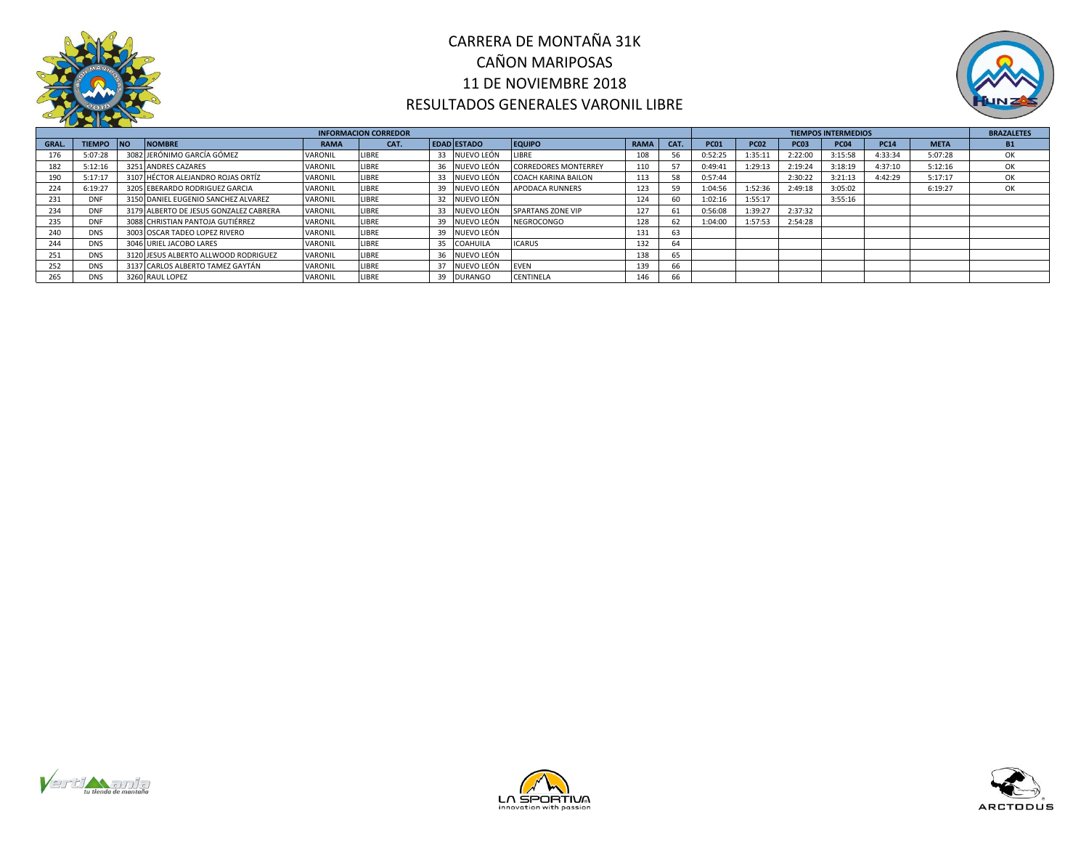



|              | <b>INFORMACION CORREDOR</b> |  |                                        |                |              |  |                    |                             |             |      |             | <b>TIEMPOS INTERMEDIOS</b> |             |             |             |             |           |  |  |  |
|--------------|-----------------------------|--|----------------------------------------|----------------|--------------|--|--------------------|-----------------------------|-------------|------|-------------|----------------------------|-------------|-------------|-------------|-------------|-----------|--|--|--|
| <b>GRAL.</b> | <b>TIEMPO INO</b>           |  | <b>NOMBRE</b>                          | <b>RAMA</b>    | CAT.         |  | <b>EDAD ESTADO</b> | <b>EQUIPO</b>               | <b>RAMA</b> | CAT. | <b>PC01</b> | <b>PC02</b>                | <b>PC03</b> | <b>PC04</b> | <b>PC14</b> | <b>META</b> | <b>B1</b> |  |  |  |
| 176          | 5:07:28                     |  | 3082 JERÓNIMO GARCÍA GÓMEZ             | VARONIL        | LIBRE        |  | 33 NUEVO LEÓN      | LIBRE                       | 108         | 56   | 0:52:25     | 1:35:11                    | 2:22:00     | 3:15:58     | 4:33:34     | 5:07:28     | ОК        |  |  |  |
| 182          | 5:12:16                     |  | 3251 ANDRES CAZARES                    | VARONIL        | <b>LIBRE</b> |  | 36 NUEVO LEÓN      | <b>CORREDORES MONTERREY</b> | 110         | 57   | 0:49:41     | 1:29:13                    | 2:19:24     | 3:18:19     | 4:37:10     | 5:12:16     | OK        |  |  |  |
| 190          | 5:17:17                     |  | 3107 HÉCTOR ALEJANDRO ROJAS ORTÍZ      | <b>VARONIL</b> | LIBRE        |  | NUEVO LEÓN         | <b>COACH KARINA BAILON</b>  | 113         | 58   | 0:57:44     |                            | 2:30:22     | 3:21:13     | 4:42:29     | 5:17:17     | OK        |  |  |  |
| 224          | 6:19:27                     |  | 3205 EBERARDO RODRIGUEZ GARCIA         | VARONIL        | LIBRE        |  | 39 NUEVO LEÓN      | <b>APODACA RUNNERS</b>      | 123         | 59   | 1:04:56     | 1:52:36                    | 2:49:18     | 3:05:02     |             | 6:19:27     | ОК        |  |  |  |
| 231          | <b>DNF</b>                  |  | 3150 DANIEL EUGENIO SANCHEZ ALVAREZ    | <b>VARONIL</b> | LIBRE        |  | 32 NUEVO LEÓN      |                             | 124         | 60   | 1:02:16     | 1:55:17                    |             | 3:55:16     |             |             |           |  |  |  |
| 234          | DNF                         |  | 3179 ALBERTO DE JESUS GONZALEZ CABRERA | VARONIL        | <b>LIBRE</b> |  | NUEVO LEÓN         | SPARTANS ZONE VIP           | 127         | 61   | 0:56:08     | 1:39:27                    | 2:37:32     |             |             |             |           |  |  |  |
| 235          | DNF                         |  | 3088 CHRISTIAN PANTOJA GUTIÉRREZ       | <b>VARONIL</b> | LIBRE        |  | 39 NUEVO LEÓN      | NEGROCONGO                  | 128         | 62   | 1:04:00     | 1:57:53                    | 2:54:28     |             |             |             |           |  |  |  |
| 240          | <b>DNS</b>                  |  | 3003 OSCAR TADEO LOPEZ RIVERO          | VARONIL        | LIBRE        |  | NUEVO LEÓN         |                             | 131         | 63   |             |                            |             |             |             |             |           |  |  |  |
| 244          | <b>DNS</b>                  |  | 3046 URIEL JACOBO LARES                | VARONIL        | LIBRE        |  | 35 COAHUILA        | <b>ICARUS</b>               | 132         | 64   |             |                            |             |             |             |             |           |  |  |  |
| 251          | <b>DNS</b>                  |  | 3120 JESUS ALBERTO ALLWOOD RODRIGUEZ   | <b>VARONIL</b> | LIBRE        |  | NUEVO LEÓN         |                             | 138         | 65   |             |                            |             |             |             |             |           |  |  |  |
| 252          | <b>DNS</b>                  |  | 3137 CARLOS ALBERTO TAMEZ GAYTÁN       | VARONIL        | <b>LIBRE</b> |  | ' NUEVO LEÓN       | <b>EVEN</b>                 | 139         | 66   |             |                            |             |             |             |             |           |  |  |  |
|              | <b>DNS</b>                  |  | 3260 RAUL LOPEZ                        | VARONIL        | LIBRE        |  | 39 DURANGO         | CENTINELA                   | 146         | 66   |             |                            |             |             |             |             |           |  |  |  |





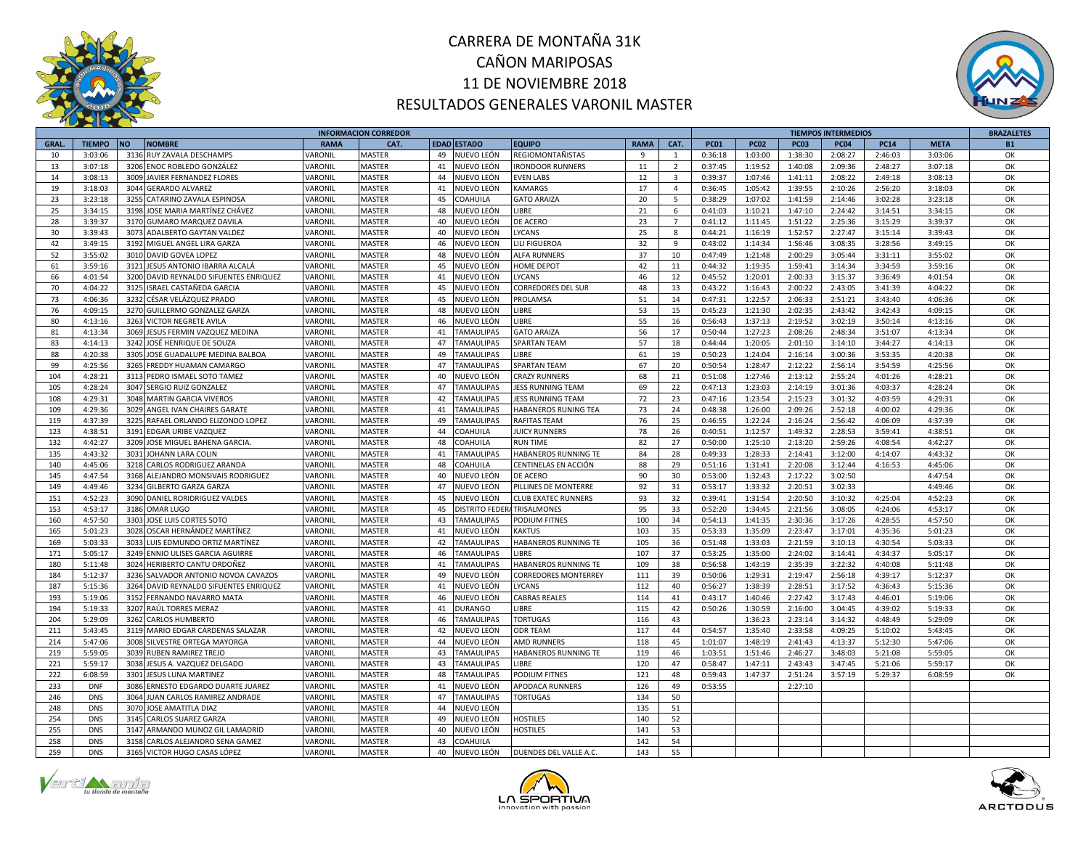



|              |               |                                                           |                                  | <b>INFORMACION CORREDOR</b> |    |                       |                             |             | <b>TIEMPOS INTERMEDIOS</b> |             |             |             |             |             | <b>BRAZALETES</b> |           |
|--------------|---------------|-----------------------------------------------------------|----------------------------------|-----------------------------|----|-----------------------|-----------------------------|-------------|----------------------------|-------------|-------------|-------------|-------------|-------------|-------------------|-----------|
| <b>GRAL.</b> | <b>TIEMPO</b> | <b>NOMBRE</b><br><b>NO</b>                                | <b>RAMA</b>                      | CAT.                        |    | EDAD ESTADO           | <b>EQUIPO</b>               | <b>RAMA</b> | CAT.                       | <b>PC01</b> | <b>PC02</b> | <b>PC03</b> | <b>PC04</b> | <b>PC14</b> | <b>META</b>       | <b>B1</b> |
| 10           | 3:03:06       | 3136 RUY ZAVALA DESCHAMPS                                 | <b><i>VARONIL</i></b>            | MASTER                      | 49 | NUEVO LEÓN            | <b>REGIOMONTAÑISTAS</b>     | -9          | $\mathbf{1}$               | 0:36:18     | 1:03:00     | 1:38:30     | 2:08:27     | 2:46:03     | 3:03:06           | OK        |
| 13           | 3:07:18       | 3206 ENOC ROBLEDO GONZÁLEZ                                | VARONIL                          | MASTER                      | 41 | NUEVO LEÓN            | <b>IRONDOOR RUNNERS</b>     | 11          | $\overline{2}$             | 0:37:45     | 1:19:52     | 1:40:08     | 2:09:36     | 2:48:27     | 3:07:18           | OK        |
| 14           | 3:08:13       | 3009 JAVIER FERNANDEZ FLORES                              | VARONIL                          | <b>MASTER</b>               | 44 | NUEVO LEÓN            | <b>EVEN LABS</b>            | 12          | $\overline{\mathbf{3}}$    | 0:39:37     | 1:07:46     | 1:41:11     | 2:08:22     | 2:49:18     | 3:08:13           | ОК        |
| 19           | 3:18:03       | 3044 GERARDO ALVAREZ                                      | VARONIL                          | <b>MASTER</b>               | 41 | NUEVO LEÓN            | <b>KAMARGS</b>              | 17          | $\overline{4}$             | 0:36:45     | 1:05:42     | 1:39:55     | 2:10:26     | 2:56:20     | 3:18:03           | OK        |
| 23           | 3:23:18       | 3255<br>CATARINO ZAVALA ESPINOSA                          | <b><i>VARONIL</i></b>            | MASTER                      | 45 | COAHUILA              | <b>GATO ARAIZA</b>          | 20          | $5^{\circ}$                | 0:38:29     | 1:07:02     | 1:41:59     | 2:14:46     | 3:02:28     | 3:23:18           | OK        |
| 25           | 3:34:15       | 3198 JOSE MARIA MARTÍNEZ CHÁVEZ                           | VARONIL                          | <b>MASTER</b>               | 48 | NUEVO LEÓN            | LIBRE                       | 21          | 6                          | 0:41:03     | 1:10:21     | 1:47:10     | 2:24:42     | 3:14:51     | 3:34:15           | OK        |
| 28           | 3:39:37       | 3170 GUMARO MARQUEZ DAVILA                                | VARONIL                          | MASTER                      | 40 | NUEVO LEÓN            | DE ACERO                    | 23          | $\overline{7}$             | 0:41:12     | 1:11:45     | 1:51:22     | 2:25:36     | 3:15:29     | 3:39:37           | OK        |
| 30           | 3:39:43       | 3073 ADALBERTO GAYTAN VALDEZ                              | <b><i>VARONIL</i></b>            | MASTER                      | 40 | NUEVO LEÓN            | LYCANS                      | 25          | 8                          | 0:44:21     | 1:16:19     | 1:52:57     | 2:27:47     | 3:15:14     | 3:39:43           | OK        |
| 42           | 3:49:15       | 3192 MIGUEL ANGEL LIRA GARZA                              | VARONIL                          | MASTER                      | 46 | NUEVO LEÓN            | LILI FIGUEROA               | 32          | 9                          | 0:43:02     | 1:14:34     | 1:56:46     | 3:08:35     | 3:28:56     | 3:49:15           | ОK        |
| 52           | 3:55:02       | 3010 DAVID GOVEA LOPEZ                                    | VARONIL                          | MASTER                      | 48 | IUEVO LEÓN            | ALFA RUNNERS                | 37          | 10                         | 0:47:49     | 1:21:48     | 2:00:29     | 3:05:44     | 3:31:11     | 3:55:02           | OK        |
| 61           | 3:59:16       | 3121 JESUS ANTONIO IBARRA ALCALÁ                          | VARONIL                          | <b>MASTER</b>               | 45 | NUEVO LEÓN            | <b>HOME DEPOT</b>           | 42          | 11                         | 0:44:32     | 1:19:35     | 1:59:41     | 3:14:34     | 3:34:59     | 3:59:16           | OK        |
| 66           | 4:01:54       | 3200 DAVID REYNALDO SIFUENTES ENRIQUEZ                    | <b><i>VARONIL</i></b>            | <b>MASTER</b>               | 41 | NUEVO LEÓN            | <b>YCANS</b>                | 46          | 12                         | 0:45:52     | 1:20:01     | 2:00:33     | 3:15:37     | 3:36:49     | 4:01:54           | OK        |
| 70           | 4:04:22       | 3125<br>ISRAEL CASTAÑEDA GARCIA                           | VARONIL                          | <b>MASTER</b>               | 45 | IUEVO LEÓN            | CORREDORES DEL SUR          | 48          | 13                         | 0:43:22     | 1:16:43     | 2:00:22     | 2:43:05     | 3:41:39     | 4:04:22           | OK        |
| 73           | 4:06:36       | 3232 CÉSAR VELÁZQUEZ PRADO                                | <b><i>VARONIL</i></b>            | MASTER                      | 45 | NUEVO LEÓN            | PROLAMSA                    | 51          | 14                         | 0:47:31     | 1:22:57     | 2:06:33     | 2:51:21     | 3:43:40     | 4:06:36           | OK        |
| 76           | 4:09:15       | 3270 GUILLERMO GONZALEZ GARZA                             | VARONIL                          | MASTER                      | 48 | NUEVO LEÓN            | <b>IBRE</b>                 | 53          | 15                         | 0:45:23     | 1:21:30     | 2:02:35     | 2:43:42     | 3:42:43     |                   | OK        |
|              |               |                                                           |                                  |                             |    |                       |                             |             |                            |             |             |             |             |             | 4:09:15           |           |
| 80           | 4:13:16       | 3263 VICTOR NEGRETE AVILA                                 | VARONIL                          | <b>MASTER</b>               | 46 | NUEVO LEÓN            | <b>IBRE</b>                 | 55          | 16                         | 0:56:43     | 1:37:13     | 2:19:52     | 3:02:19     | 3:50:14     | 4:13:16           | OK        |
| 81           | 4:13:34       | 3069 JESUS FERMIN VAZQUEZ MEDINA                          | <b><i>JARONIL</i></b>            | MASTER                      | 41 | <b>TAMAULIPAS</b>     | <b>GATO ARAIZA</b>          | 56          | 17                         | 0:50:44     | 1:27:23     | 2:08:26     | 2:48:34     | 3:51:07     | 4:13:34           | OK        |
| 83           | 4:14:13       | 3242 JOSÉ HENRIQUE DE SOUZA                               | <b><i>VARONIL</i></b>            | MASTER                      | 47 | <b>TAMAULIPAS</b>     | <b>SPARTAN TEAM</b>         | 57          | 18                         | 0:44:44     | 1:20:05     | 2:01:10     | 3:14:10     | 3:44:27     | 4:14:13           | OK        |
| 88           | 4:20:38       | 3305 JOSE GUADALUPE MEDINA BALBOA                         | VARONIL                          | MASTER                      | 49 | <b>TAMAULIPAS</b>     | <b>IBRE</b>                 | 61          | 19                         | 0:50:23     | 1:24:04     | 2:16:14     | 3:00:36     | 3:53:35     | 4:20:38           | OK        |
| 99           | 4:25:56       | 3265 FREDDY HUAMAN CAMARGO                                | <b><i>JARONIL</i></b>            | MASTER                      | 47 | <b>TAMAULIPAS</b>     | <b>SPARTAN TEAM</b>         | 67          | 20                         | 0:50:54     | 1:28:47     | 2:12:22     | 2:56:14     | 3:54:59     | 4:25:56           | OK        |
| 104          | 4:28:21       | 3113 PEDRO ISMAEL SOTO TAMEZ                              | <b><i>VARONIL</i></b>            | <b>MASTER</b>               | 40 | IUEVO LEÓN            | <b>CRAZY RUNNERS</b>        | 68          | 21                         | 0:51:08     | 1:27:46     | 2:13:12     | 2:55:24     | 4:01:26     | 4:28:21           | OK        |
| 105          | 4:28:24       | 3047 SERGIO RUIZ GONZALEZ                                 | VARONIL                          | <b>MASTER</b>               | 47 | <b>TAMAULIPAS</b>     | JESS RUNNING TEAM           | 69          | 22                         | 0:47:13     | 1:23:03     | 2:14:19     | 3:01:36     | 4:03:37     | 4:28:24           | OK        |
| 108          | 4:29:31       | 3048 MARTIN GARCIA VIVEROS                                | VARONIL                          | <b>MASTER</b>               | 42 | <b>TAMAULIPAS</b>     | <b>JESS RUNNING TEAM</b>    | 72          | 23                         | 0:47:16     | 1:23:54     | 2:15:23     | 3:01:32     | 4:03:59     | 4:29:31           | OK        |
| 109          | 4:29:36       | 3029 ANGEL IVAN CHAIRES GARATE                            | VARONIL                          | <b>MASTER</b>               | 41 | <b>TAMAULIPAS</b>     | HABANEROS RUNING TEA        | 73          | 24                         | 0:48:38     | 1:26:00     | 2:09:26     | 2:52:18     | 4:00:02     | 4:29:36           | OK        |
| 119          | 4:37:39       | 3225 RAFAEL ORLANDO ELIZONDO LOPEZ                        | <b><i>VARONIL</i></b>            | <b>MASTER</b>               | 49 | <b>TAMAULIPAS</b>     | RAFITAS TEAM                | 76          | 25                         | 0:46:55     | 1:22:24     | 2:16:24     | 2:56:42     | 4:06:09     | 4:37:39           | OK        |
| 123          | 4:38:51       | 3191 EDGAR URIBE VAZQUEZ                                  | VARONIL                          | MASTER                      | 44 | COAHUILA              | <b>JUICY RUNNERS</b>        | 78          | 26                         | 0:40:51     | 1:12:57     | 1:49:32     | 2:28:53     | 3:59:41     | 4:38:51           | ОК        |
| 132          | 4:42:27       | 3209 JOSE MIGUEL BAHENA GARCIA                            | <b><i>JARONIL</i></b>            | <b>MASTER</b>               | 48 | OAHUILA               | <b>RUN TIME</b>             | 82          | 27                         | 0:50:00     | 1:25:10     | 2:13:20     | 2:59:26     | 4:08:54     | 4:42:27           | OK        |
| 135          | 4:43:32       | 3031 JOHANN LARA COLIN                                    | <b><i>JARONIL</i></b>            | MASTER                      | 41 | <b>TAMAULIPAS</b>     | HABANEROS RUNNING TE        | 84          | 28                         | 0:49:33     | 1:28:33     | 2:14:41     | 3:12:00     | 4:14:07     | 4:43:32           | OK        |
| 140          | 4:45:06       | 3218 CARLOS RODRIGUEZ ARANDA                              | VARONIL                          | <b>MASTER</b>               | 48 | COAHUILA              | CENTINELAS EN ACCIÓN        | 88          | 29                         | 0:51:16     | 1:31:41     | 2:20:08     | 3:12:44     | 4:16:53     | 4:45:06           | OK        |
| 145          | 4:47:54       | 3168 ALEJANDRO MONSIVAIS RODRIGUEZ                        | VARONIL                          | MASTER                      | 40 | NUEVO LEÓN            | DE ACERO                    | 90          | 30                         | 0:53:00     | 1:32:43     | 2:17:22     | 3:02:50     |             | 4:47:54           | OK        |
| 149          | 4:49:46       | 3234 GILBERTO GARZA GARZA                                 | VARONIL                          | <b>MASTER</b>               | 47 | NUEVO LEÓN            | PILLINES DE MONTERRE        | 92          | 31                         | 0:53:17     | 1:33:32     | 2:20:51     | 3:02:33     |             | 4:49:46           | OK        |
| 151          | 4:52:23       | 3090 DANIEL RORIDRIGUEZ VALDES                            | <b><i>VARONIL</i></b>            | MASTER                      | 45 | NUEVO LEÓN            | <b>CLUB EXATEC RUNNERS</b>  | 93          | 32                         | 0:39:41     | 1:31:54     | 2:20:50     | 3:10:32     | 4:25:04     | 4:52:23           | OK        |
| 153          | 4:53:17       | 3186 OMAR LUGO                                            | VARONIL                          | MASTER                      | 45 | <b>DISTRITO FEDER</b> | TRISALMONES                 | 95          | 33                         | 0:52:20     | 1:34:45     | 2:21:56     | 3:08:05     | 4:24:06     | 4:53:17           | OK        |
| 160          | 4:57:50       | 3303 JOSE LUIS CORTES SOTO                                | VARONIL                          | MASTER                      | 43 | <b>TAMAULIPAS</b>     | <b>PODIUM FITNES</b>        | 100         | 34                         | 0:54:13     | 1:41:35     | 2:30:36     | 3:17:26     | 4:28:55     | 4:57:50           | OK        |
| 165          | 5:01:23       | 3028 OSCAR HERNÁNDEZ MARTÍNEZ                             | <b><i>VARONIL</i></b>            | <b>MASTER</b>               | 41 | NUEVO LEÓN            | <b>KAKTUS</b>               | 103         | 35                         | 0:53:33     | 1:35:09     | 2:23:47     | 3:17:01     | 4:35:36     | 5:01:23           | ОК        |
| 169          | 5:03:33       | 3033 LUIS EDMUNDO ORTIZ MARTÍNEZ                          | VARONIL                          | MASTER                      | 42 | TAMAULIPAS            | HABANEROS RUNNING TE        | 105         | 36                         | 0:51:48     | 1:33:03     | 2:21:59     | 3:10:13     | 4:30:54     | 5:03:33           | OK        |
| 171          | 5:05:17       | 3249 ENNIO ULISES GARCIA AGUIRRE                          | VARONIL                          | <b>MASTER</b>               | 46 | TAMAULIPAS            | <b>IBRE</b>                 | 107         | 37                         | 0:53:25     | 1:35:00     | 2:24:02     | 3:14:41     | 4:34:37     | 5:05:17           | ОК        |
| 180          | 5:11:48       | 3024 HERIBERTO CANTU ORDOÑEZ                              | <b><i>VARONIL</i></b>            | MASTER                      | 41 | <b>TAMAULIPAS</b>     | HABANEROS RUNNING TE        | 109         | 38                         | 0:56:58     | 1:43:19     | 2:35:39     | 3:22:32     | 4:40:08     | 5:11:48           | OK        |
| 184          | 5:12:37       | 3236 SALVADOR ANTONIO NOVOA CAVAZOS                       | <b><i>VARONIL</i></b>            | MASTER                      | 49 | NUEVO LEÓN            | <b>CORREDORES MONTERREY</b> | 111         | 39                         | 0:50:06     | 1:29:31     | 2:19:47     | 2:56:18     | 4:39:17     | 5:12:37           | OK        |
| 187          | 5:15:36       | 3264 DAVID REYNALDO SIFUENTES ENRIQUEZ                    | VARONIL                          | MASTER                      | 41 | NUEVO LEÓN            | <b>YCANS</b>                | 112         | 40                         | 0:56:27     | 1:38:39     | 2:28:51     | 3:17:52     | 4:36:43     | 5:15:36           | ОК        |
| 193          | 5:19:06       | 3152 FERNANDO NAVARRO MATA                                | <b><i>VARONIL</i></b>            | MASTER                      | 46 | NUEVO LEÓN            | <b>CABRAS REALES</b>        | 114         | 41                         | 0:43:17     | 1:40:46     | 2:27:42     | 3:17:43     | 4:46:01     | 5:19:06           | OK        |
| 194          | 5:19:33       | 3207 RAÚL TORRES MERAZ                                    | <b><i>JARONIL</i></b>            | MASTER                      | 41 | <b>DURANGO</b>        | <b>IBRE</b>                 | 115         | 42                         | 0:50:26     | 1:30:59     | 2:16:00     | 3:04:45     | 4:39:02     | 5:19:33           | OK        |
| 204          | 5:29:09       | 3262 CARLOS HUMBERTO                                      | <b><i>JARONIL</i></b>            | MASTER                      | 46 | <b>TAMAULIPAS</b>     | <b>TORTUGAS</b>             | 116         | 43                         |             | 1:36:23     | 2:23:14     | 3:14:32     | 4:48:49     | 5:29:09           | ОК        |
| 211          | 5:43:45       | 3119 MARIO EDGAR CÁRDENAS SALAZAR                         | VARONIL                          | <b>MASTER</b>               | 42 | NUEVO LEÓN            | ODR TEAM                    | 117         | 44                         | 0:54:57     | 1:35:40     | 2:33:58     | 4:09:25     | 5:10:02     | 5:43:45           | OK        |
| 214          | 5:47:06       | 3008 SILVESTRE ORTEGA MAYORGA                             | <b><i>VARONIL</i></b>            | MASTER                      | 44 | IUEVO LEÓN            | <b>AMD RUNNERS</b>          | 118         | 45                         | 1:01:07     | 1:48:19     | 2:41:43     | 4:13:37     | 5:12:30     | 5:47:06           | OK        |
| 219          | 5:59:05       | 3039 RUBEN RAMIREZ TREJO                                  | <b><i>JARONIL</i></b>            | MASTER                      | 43 | <b>TAMAULIPAS</b>     | HABANEROS RUNNING TE        | 119         | 46                         | 1:03:51     | 1:51:46     | 2:46:27     | 3:48:03     | 5:21:08     | 5:59:05           | OK        |
| 221          | 5:59:17       |                                                           |                                  |                             | 43 | <b>TAMAULIPAS</b>     | <b>IBRE</b>                 | 120         | 47                         | 0:58:47     | 1:47:11     | 2:43:43     | 3:47:45     | 5:21:06     | 5:59:17           | OK        |
| 222          | 6:08:59       | 3038 JESUS A. VAZQUEZ DELGADO<br>3301 JESUS LUNA MARTINEZ | VARONIL                          | MASTER                      | 48 | <b>TAMAULIPAS</b>     |                             | 121         | 48                         | 0:59:43     | 1:47:37     | 2:51:24     |             |             |                   | ОК        |
| 233          | <b>DNF</b>    | 3086 ERNESTO EDGARDO DUARTE JUAREZ                        | <b><i>JARONIL</i></b><br>VARONIL | MASTER<br>MASTER            | 41 |                       | <b>PODIUM FITNES</b>        | 126         | 49                         |             |             |             | 3:57:19     | 5:29:37     | 6:08:59           |           |
|              |               |                                                           |                                  |                             |    | NUEVO LEÓN            | APODACA RUNNERS             |             |                            | 0:53:55     |             | 2:27:10     |             |             |                   |           |
| 246          | <b>DNS</b>    | 3064 JUAN CARLOS RAMIREZ ANDRADE                          | VARONIL                          | MASTER                      | 47 | <b>TAMAULIPAS</b>     | <b>TORTUGAS</b>             | 134         | 50                         |             |             |             |             |             |                   |           |
| 248          | <b>DNS</b>    | 3070 JOSE AMATITLA DIAZ                                   | VARONIL                          | MASTER                      | 44 | NUEVO LEÓN            |                             | 135         | 51                         |             |             |             |             |             |                   |           |
| 254          | <b>DNS</b>    | 3145 CARLOS SUAREZ GARZA                                  | <b><i>JARONIL</i></b>            | MASTER                      | 49 | IUEVO LEÓN            | <b>HOSTILES</b>             | 140         | 52                         |             |             |             |             |             |                   |           |
| 255          | <b>DNS</b>    | 3147 ARMANDO MUNOZ GIL LAMADRID                           | <b><i>JARONIL</i></b>            | MASTER                      | 40 | NUEVO LEÓN            | HOSTILES                    | 141         | 53                         |             |             |             |             |             |                   |           |
| 258          | <b>DNS</b>    | 3158 CARLOS ALEJANDRO SENA GAMEZ                          | <b><i>JARONIL</i></b>            | MASTER                      | 43 | COAHUILA              |                             | 142         | 54                         |             |             |             |             |             |                   |           |
| 259          | <b>DNS</b>    | 3165 VICTOR HUGO CASAS LÓPEZ                              | VARONIL                          | <b>MASTER</b>               | 40 | NUEVO LEÓN            | DUENDES DEL VALLE A.C.      | 143         | 55                         |             |             |             |             |             |                   |           |





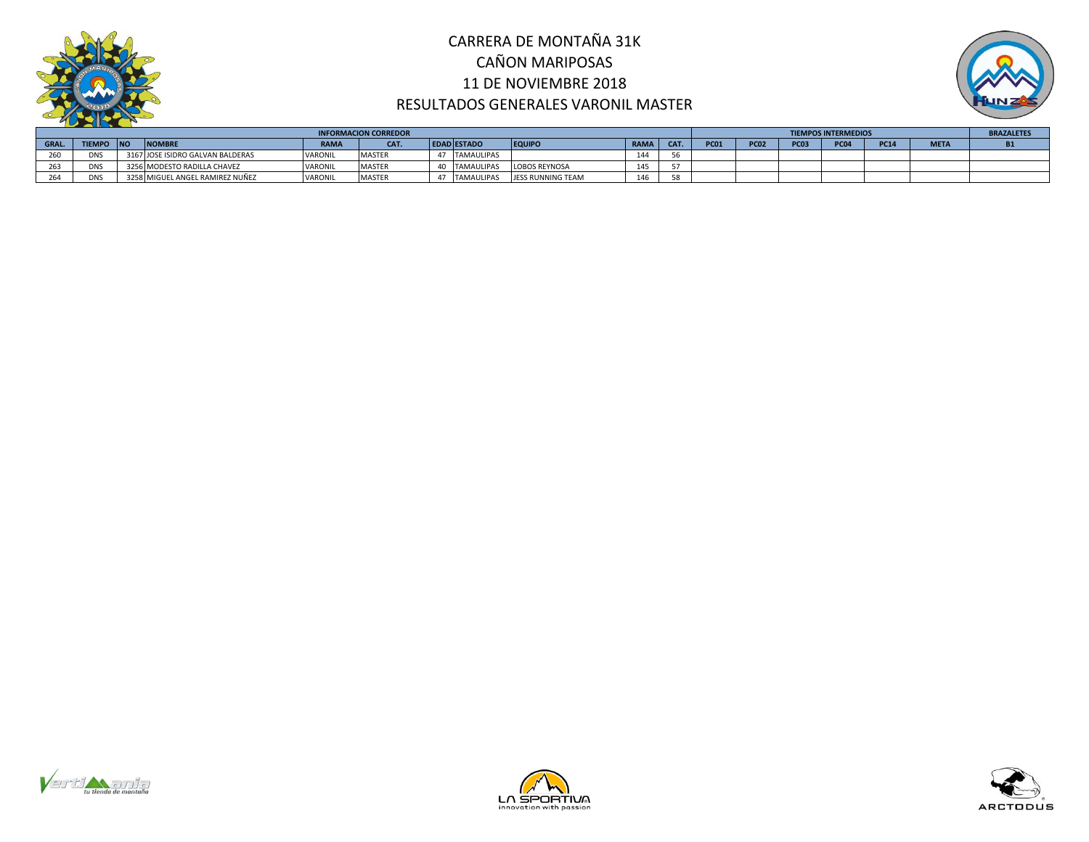



|      | <b>INFORMACION CORREDOR</b> |  |                                  |                |               |  |                    |                   |      |     |             |             | <b>TIEMPOS INTERMEDIOS</b> |                  |             |             |  |  |  |  |
|------|-----------------------------|--|----------------------------------|----------------|---------------|--|--------------------|-------------------|------|-----|-------------|-------------|----------------------------|------------------|-------------|-------------|--|--|--|--|
| GRAL | <b>TIEMPO INO</b>           |  | <b>NOMBRE</b>                    | <b>RAMA</b>    | CAT.          |  | <b>EDAD ESTADO</b> | <b>EQUIPO</b>     | RAMA | CAT | <b>PC01</b> | <b>PC02</b> | <b>PC03</b>                | PC <sub>04</sub> | <b>PC14</b> | <b>META</b> |  |  |  |  |
| ∠ບປ  | DNS                         |  | 3167 JOSE ISIDRO GALVAN BALDERAS | VARONIL        | <b>MASTER</b> |  | <b>TAMAULIPAS</b>  |                   |      |     |             |             |                            |                  |             |             |  |  |  |  |
|      | <b>DNS</b>                  |  | 3256 MODESTO RADILLA CHAVEZ      | <b>VARONIL</b> | <b>MASTER</b> |  | <b>TAMAULIPAS</b>  | LOBOS REYNOSA     |      |     |             |             |                            |                  |             |             |  |  |  |  |
|      | DN:                         |  | 3258 MIGUEL ANGEL RAMIREZ NUÑEZ  | VARONIL        | <b>MASTEF</b> |  | <b>TAMAULIPAS</b>  | JESS RUNNING TEAM |      | 58  |             |             |                            |                  |             |             |  |  |  |  |